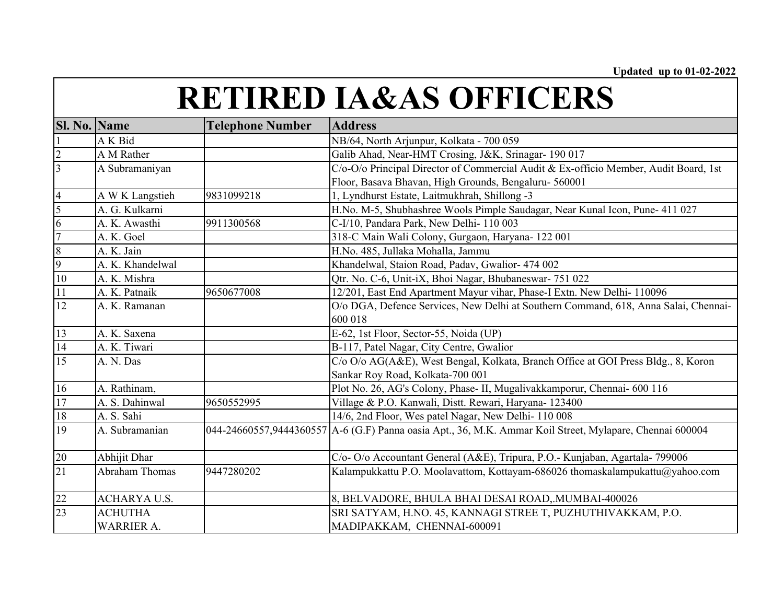| <b>Sl. No. Name</b> |                    | <b>Telephone Number</b> | <b>Address</b>                                                                                           |
|---------------------|--------------------|-------------------------|----------------------------------------------------------------------------------------------------------|
|                     | A K Bid            |                         | NB/64, North Arjunpur, Kolkata - 700 059                                                                 |
| $rac{2}{3}$         | A M Rather         |                         | Galib Ahad, Near-HMT Crosing, J&K, Srinagar- 190 017                                                     |
|                     | A Subramaniyan     |                         | C/o-O/o Principal Director of Commercial Audit & Ex-officio Member, Audit Board, 1st                     |
|                     |                    |                         | Floor, Basava Bhavan, High Grounds, Bengaluru- 560001                                                    |
| $\frac{4}{5}$       | A W K Langstieh    | 9831099218              | 1, Lyndhurst Estate, Laitmukhrah, Shillong -3                                                            |
|                     | A. G. Kulkarni     |                         | H.No. M-5, Shubhashree Wools Pimple Saudagar, Near Kunal Icon, Pune- 411 027                             |
| $\overline{6}$      | A. K. Awasthi      | 9911300568              | C-I/10, Pandara Park, New Delhi- 110 003                                                                 |
| $\overline{7}$      | A. K. Goel         |                         | 318-C Main Wali Colony, Gurgaon, Haryana- 122 001                                                        |
| $\frac{8}{9}$       | A. K. Jain         |                         | H.No. 485, Jullaka Mohalla, Jammu                                                                        |
|                     | A. K. Khandelwal   |                         | Khandelwal, Staion Road, Padav, Gwalior- 474 002                                                         |
| 10                  | A. K. Mishra       |                         | Qtr. No. C-6, Unit-iX, Bhoi Nagar, Bhubaneswar- 751 022                                                  |
| 11                  | A. K. Patnaik      | 9650677008              | 12/201, East End Apartment Mayur vihar, Phase-I Extn. New Delhi- 110096                                  |
| 12                  | A. K. Ramanan      |                         | O/o DGA, Defence Services, New Delhi at Southern Command, 618, Anna Salai, Chennai-                      |
|                     |                    |                         | 600 018                                                                                                  |
| $\overline{13}$     | A. K. Saxena       |                         | E-62, 1st Floor, Sector-55, Noida (UP)                                                                   |
| 14                  | A. K. Tiwari       |                         | B-117, Patel Nagar, City Centre, Gwalior                                                                 |
| $\overline{15}$     | A. N. Das          |                         | C/o O/o AG(A&E), West Bengal, Kolkata, Branch Office at GOI Press Bldg., 8, Koron                        |
|                     |                    |                         | Sankar Roy Road, Kolkata-700 001                                                                         |
| 16                  | A. Rathinam,       |                         | Plot No. 26, AG's Colony, Phase- II, Mugalivakkamporur, Chennai- 600 116                                 |
| 17                  | A. S. Dahinwal     | 9650552995              | Village & P.O. Kanwali, Distt. Rewari, Haryana- 123400                                                   |
| $18\,$              | A. S. Sahi         |                         | 14/6, 2nd Floor, Wes patel Nagar, New Delhi-110 008                                                      |
| 19                  | A. Subramanian     |                         | 044-24660557,9444360557 A-6 (G.F) Panna oasia Apt., 36, M.K. Ammar Koil Street, Mylapare, Chennai 600004 |
|                     |                    |                         |                                                                                                          |
| 20                  | Abhijit Dhar       |                         | C/o-O/o Accountant General (A&E), Tripura, P.O.- Kunjaban, Agartala-799006                               |
| $\overline{21}$     | Abraham Thomas     | 9447280202              | Kalampukkattu P.O. Moolavattom, Kottayam-686026 thomaskalampukattu@yahoo.com                             |
|                     |                    |                         |                                                                                                          |
| $\frac{22}{23}$     | <b>ACHARYAU.S.</b> |                         | 8, BELVADORE, BHULA BHAI DESAI ROAD, MUMBAI-400026                                                       |
|                     | <b>ACHUTHA</b>     |                         | SRI SATYAM, H.NO. 45, KANNAGI STREE T, PUZHUTHIVAKKAM, P.O.                                              |
|                     | <b>WARRIER A.</b>  |                         | MADIPAKKAM, CHENNAI-600091                                                                               |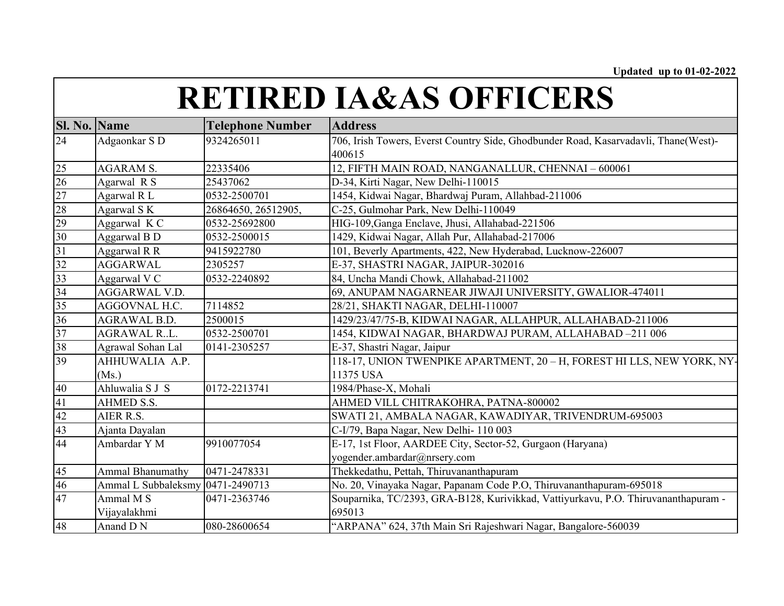| <b>Sl. No. Name</b> |                     | <b>Telephone Number</b> | <b>Address</b>                                                                      |
|---------------------|---------------------|-------------------------|-------------------------------------------------------------------------------------|
| 24                  | Adgaonkar S D       | 9324265011              | 706, Irish Towers, Everst Country Side, Ghodbunder Road, Kasarvadavli, Thane(West)- |
|                     |                     |                         | 400615                                                                              |
| 25                  | <b>AGARAM S.</b>    | 22335406                | 12, FIFTH MAIN ROAD, NANGANALLUR, CHENNAI - 600061                                  |
| 26                  | Agarwal R S         | 25437062                | D-34, Kirti Nagar, New Delhi-110015                                                 |
| 27                  | Agarwal R L         | 0532-2500701            | 1454, Kidwai Nagar, Bhardwaj Puram, Allahbad-211006                                 |
|                     | Agarwal SK          | 26864650, 26512905,     | C-25, Gulmohar Park, New Delhi-110049                                               |
| $\frac{28}{29}$     | Aggarwal K C        | 0532-25692800           | HIG-109, Ganga Enclave, Jhusi, Allahabad-221506                                     |
| 30                  | Aggarwal B D        | 0532-2500015            | 1429, Kidwai Nagar, Allah Pur, Allahabad-217006                                     |
| $\overline{31}$     | Aggarwal R R        | 9415922780              | 101, Beverly Apartments, 422, New Hyderabad, Lucknow-226007                         |
| 32                  | <b>AGGARWAL</b>     | 2305257                 | E-37, SHASTRI NAGAR, JAIPUR-302016                                                  |
| 33                  | Aggarwal V C        | 0532-2240892            | 84, Uncha Mandi Chowk, Allahabad-211002                                             |
| 34                  | AGGARWAL V.D.       |                         | 69, ANUPAM NAGARNEAR JIWAJI UNIVERSITY, GWALIOR-474011                              |
| 35                  | AGGOVNAL H.C.       | 7114852                 | 28/21, SHAKTI NAGAR, DELHI-110007                                                   |
| 36                  | <b>AGRAWAL B.D.</b> | 2500015                 | 1429/23/47/75-B, KIDWAI NAGAR, ALLAHPUR, ALLAHABAD-211006                           |
| 37                  | <b>AGRAWAL RL.</b>  | 0532-2500701            | 1454, KIDWAI NAGAR, BHARDWAJ PURAM, ALLAHABAD –211 006                              |
| 38                  | Agrawal Sohan Lal   | 0141-2305257            | E-37, Shastri Nagar, Jaipur                                                         |
| 39                  | AHHUWALIA A.P.      |                         | 118-17, UNION TWENPIKE APARTMENT, 20 - H, FOREST HI LLS, NEW YORK, NY-              |
|                     | (Ms.)               |                         | 11375 USA                                                                           |
| 40                  | Ahluwalia S J S     | 0172-2213741            | 1984/Phase-X, Mohali                                                                |
| 41                  | AHMED S.S.          |                         | AHMED VILL CHITRAKOHRA, PATNA-800002                                                |
| 42                  | AIER R.S.           |                         | SWATI 21, AMBALA NAGAR, KAWADIYAR, TRIVENDRUM-695003                                |
| 43                  | Ajanta Dayalan      |                         | C-I/79, Bapa Nagar, New Delhi-110003                                                |
| 44                  | Ambardar Y M        | 9910077054              | E-17, 1st Floor, AARDEE City, Sector-52, Gurgaon (Haryana)                          |
|                     |                     |                         | yogender.ambardar@nrsery.com                                                        |
| 45                  | Ammal Bhanumathy    | 0471-2478331            | Thekkedathu, Pettah, Thiruvananthapuram                                             |
| 46                  | Ammal L Subbaleksmy | 0471-2490713            | No. 20, Vinayaka Nagar, Papanam Code P.O, Thiruvananthapuram-695018                 |
| 47                  | Ammal M S           | 0471-2363746            | Souparnika, TC/2393, GRA-B128, Kurivikkad, Vattiyurkavu, P.O. Thiruvananthapuram -  |
|                     | Vijayalakhmi        |                         | 695013                                                                              |
| 48                  | Anand D N           | 080-28600654            | "ARPANA" 624, 37th Main Sri Rajeshwari Nagar, Bangalore-560039                      |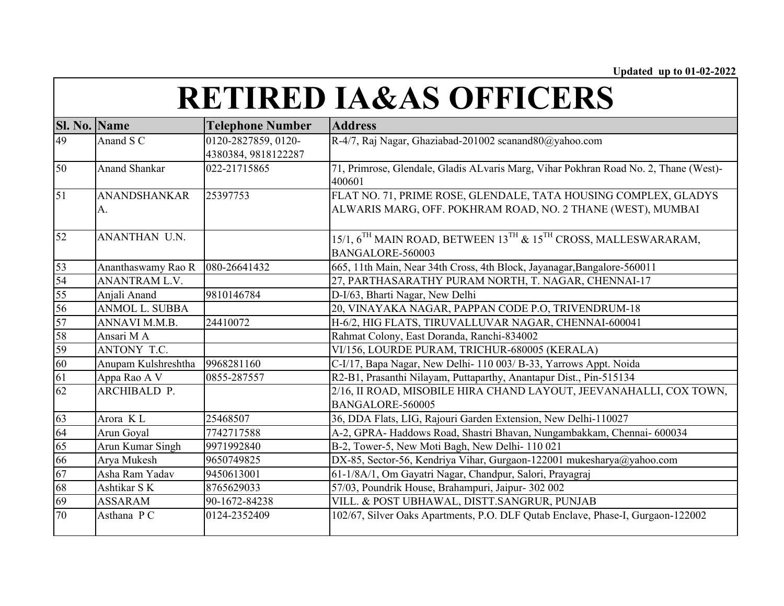| <b>Sl. No. Name</b> |                           | <b>Telephone Number</b>                    | <b>Address</b>                                                                                                                 |
|---------------------|---------------------------|--------------------------------------------|--------------------------------------------------------------------------------------------------------------------------------|
| 49                  | Anand S C                 | 0120-2827859, 0120-<br>4380384, 9818122287 | R-4/7, Raj Nagar, Ghaziabad-201002 scanand80@yahoo.com                                                                         |
| 50                  | <b>Anand Shankar</b>      | 022-21715865                               | 71, Primrose, Glendale, Gladis ALvaris Marg, Vihar Pokhran Road No. 2, Thane (West)-<br>400601                                 |
| $\overline{51}$     | <b>ANANDSHANKAR</b><br>A. | 25397753                                   | FLAT NO. 71, PRIME ROSE, GLENDALE, TATA HOUSING COMPLEX, GLADYS<br>ALWARIS MARG, OFF. POKHRAM ROAD, NO. 2 THANE (WEST), MUMBAI |
| $\overline{52}$     | ANANTHAN U.N.             |                                            | 15/1, $6^{TH}$ MAIN ROAD, BETWEEN $13^{TH}$ & $15^{TH}$ CROSS, MALLESWARARAM,<br>BANGALORE-560003                              |
| 53                  | Ananthaswamy Rao R        | 080-26641432                               | 665, 11th Main, Near 34th Cross, 4th Block, Jayanagar, Bangalore-560011                                                        |
| 54                  | ANANTRAM L.V.             |                                            | 27, PARTHASARATHY PURAM NORTH, T. NAGAR, CHENNAI-17                                                                            |
| 55                  | Anjali Anand              | 9810146784                                 | D-I/63, Bharti Nagar, New Delhi                                                                                                |
| 56                  | <b>ANMOL L. SUBBA</b>     |                                            | 20, VINAYAKA NAGAR, PAPPAN CODE P.O, TRIVENDRUM-18                                                                             |
| 57                  | ANNAVI M.M.B.             | 24410072                                   | H-6/2, HIG FLATS, TIRUVALLUVAR NAGAR, CHENNAI-600041                                                                           |
| 58                  | Ansari M A                |                                            | Rahmat Colony, East Doranda, Ranchi-834002                                                                                     |
| 59                  | ANTONY T.C.               |                                            | VI/156, LOURDE PURAM, TRICHUR-680005 (KERALA)                                                                                  |
| 60                  | Anupam Kulshreshtha       | 9968281160                                 | C-I/17, Bapa Nagar, New Delhi- 110 003/ B-33, Yarrows Appt. Noida                                                              |
| 61                  | Appa Rao A V              | 0855-287557                                | R2-B1, Prasanthi Nilayam, Puttaparthy, Anantapur Dist., Pin-515134                                                             |
| 62                  | ARCHIBALD P.              |                                            | 2/16, II ROAD, MISOBILE HIRA CHAND LAYOUT, JEEVANAHALLI, COX TOWN,<br>BANGALORE-560005                                         |
| 63                  | Arora KL                  | 25468507                                   | 36, DDA Flats, LIG, Rajouri Garden Extension, New Delhi-110027                                                                 |
| 64                  | Arun Goyal                | 7742717588                                 | A-2, GPRA- Haddows Road, Shastri Bhavan, Nungambakkam, Chennai- 600034                                                         |
| 65                  | Arun Kumar Singh          | 9971992840                                 | B-2, Tower-5, New Moti Bagh, New Delhi-110 021                                                                                 |
| 66                  | Arya Mukesh               | 9650749825                                 | DX-85, Sector-56, Kendriya Vihar, Gurgaon-122001 mukesharya@yahoo.com                                                          |
| 67                  | Asha Ram Yadav            | 9450613001                                 | 61-1/8A/1, Om Gayatri Nagar, Chandpur, Salori, Prayagraj                                                                       |
| 68                  | Ashtikar SK               | 8765629033                                 | 57/03, Poundrik House, Brahampuri, Jaipur- 302 002                                                                             |
| 69                  | <b>ASSARAM</b>            | 90-1672-84238                              | VILL. & POST UBHAWAL, DISTT.SANGRUR, PUNJAB                                                                                    |
| $\overline{70}$     | Asthana PC                | 0124-2352409                               | 102/67, Silver Oaks Apartments, P.O. DLF Qutab Enclave, Phase-I, Gurgaon-122002                                                |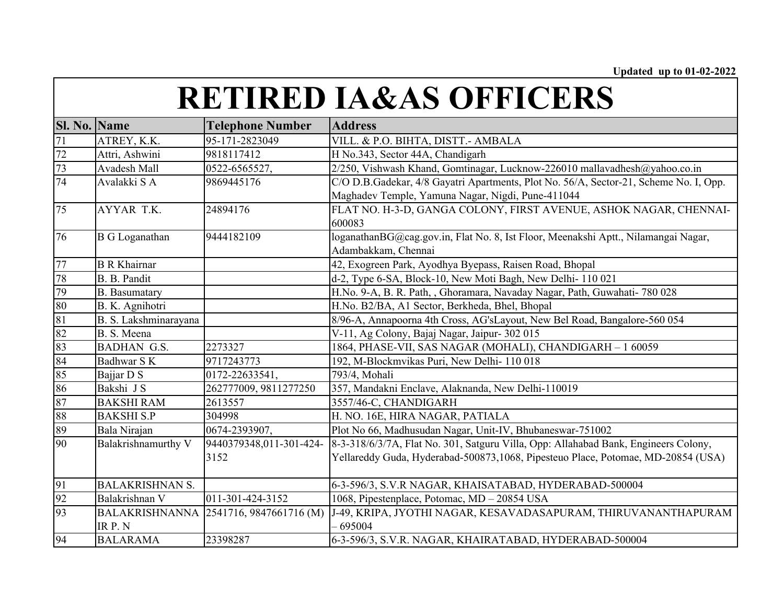| Sl. No. Name    |                        | <b>Telephone Number</b>                | <b>Address</b>                                                                        |
|-----------------|------------------------|----------------------------------------|---------------------------------------------------------------------------------------|
| 71              | ATREY, K.K.            | 95-171-2823049                         | VILL. & P.O. BIHTA, DISTT.- AMBALA                                                    |
| $\frac{72}{73}$ | Attri, Ashwini         | 9818117412                             | H No.343, Sector 44A, Chandigarh                                                      |
|                 | Avadesh Mall           | 0522-6565527,                          | 2/250, Vishwash Khand, Gomtinagar, Lucknow-226010 mallavadhesh@yahoo.co.in            |
| 74              | Avalakki SA            | 9869445176                             | C/O D.B.Gadekar, 4/8 Gayatri Apartments, Plot No. 56/A, Sector-21, Scheme No. I, Opp. |
|                 |                        |                                        | Maghadev Temple, Yamuna Nagar, Nigdi, Pune-411044                                     |
| 75              | AYYAR T.K.             | 24894176                               | FLAT NO. H-3-D, GANGA COLONY, FIRST AVENUE, ASHOK NAGAR, CHENNAI-                     |
|                 |                        |                                        | 600083                                                                                |
| 76              | <b>B</b> G Loganathan  | 9444182109                             | loganathanBG@cag.gov.in, Flat No. 8, Ist Floor, Meenakshi Aptt., Nilamangai Nagar,    |
|                 |                        |                                        | Adambakkam, Chennai                                                                   |
| 77              | <b>B</b> R Khairnar    |                                        | 42, Exogreen Park, Ayodhya Byepass, Raisen Road, Bhopal                               |
| 78              | B. B. Pandit           |                                        | d-2, Type 6-SA, Block-10, New Moti Bagh, New Delhi-110021                             |
| 79              | <b>B.</b> Basumatary   |                                        | H.No. 9-A, B. R. Path, , Ghoramara, Navaday Nagar, Path, Guwahati- 780 028            |
| 80              | B. K. Agnihotri        |                                        | H.No. B2/BA, A1 Sector, Berkheda, Bhel, Bhopal                                        |
| 81              | B. S. Lakshminarayana  |                                        | 8/96-A, Annapoorna 4th Cross, AG'sLayout, New Bel Road, Bangalore-560 054             |
| 82              | B. S. Meena            |                                        | V-11, Ag Colony, Bajaj Nagar, Jaipur- 302 015                                         |
| 83              | <b>BADHAN G.S.</b>     | 2273327                                | 1864, PHASE-VII, SAS NAGAR (MOHALI), CHANDIGARH - 1 60059                             |
| 84              | Badhwar S K            | 9717243773                             | 192, M-Blockmvikas Puri, New Delhi-110018                                             |
| 85              | Bajjar D S             | 0172-22633541,                         | 793/4, Mohali                                                                         |
| 86              | Bakshi J S             | 262777009, 9811277250                  | 357, Mandakni Enclave, Alaknanda, New Delhi-110019                                    |
| 87              | <b>BAKSHI RAM</b>      | 2613557                                | 3557/46-C, CHANDIGARH                                                                 |
| 88              | <b>BAKSHI S.P</b>      | 304998                                 | H. NO. 16E, HIRA NAGAR, PATIALA                                                       |
| 89              | Bala Nirajan           | 0674-2393907,                          | Plot No 66, Madhusudan Nagar, Unit-IV, Bhubaneswar-751002                             |
| 90              | Balakrishnamurthy V    | 9440379348,011-301-424-                | 8-3-318/6/3/7A, Flat No. 301, Satguru Villa, Opp: Allahabad Bank, Engineers Colony,   |
|                 |                        | 3152                                   | Yellareddy Guda, Hyderabad-500873,1068, Pipesteuo Place, Potomae, MD-20854 (USA)      |
|                 |                        |                                        |                                                                                       |
| 91              | <b>BALAKRISHNAN S.</b> |                                        | 6-3-596/3, S.V.R NAGAR, KHAISATABAD, HYDERABAD-500004                                 |
| 92              | Balakrishnan V         | 011-301-424-3152                       | 1068, Pipestenplace, Potomac, MD - 20854 USA                                          |
| 93              |                        | BALAKRISHNANNA 2541716, 9847661716 (M) | J-49, KRIPA, JYOTHI NAGAR, KESAVADASAPURAM, THIRUVANANTHAPURAM                        |
|                 | IRP.N                  |                                        | 695004                                                                                |
| 94              | <b>BALARAMA</b>        | 23398287                               | 6-3-596/3, S.V.R. NAGAR, KHAIRATABAD, HYDERABAD-500004                                |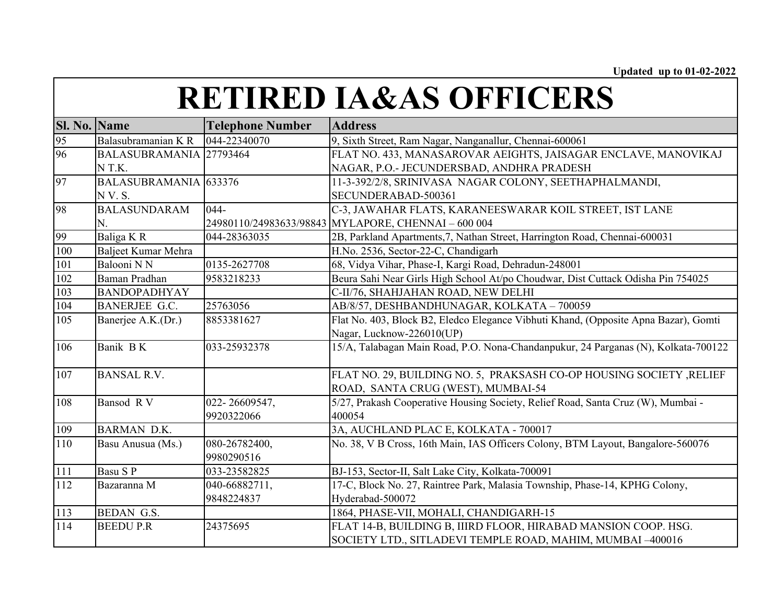| Sl. No. Name |                         | <b>Telephone Number</b> | <b>Address</b>                                                                      |
|--------------|-------------------------|-------------------------|-------------------------------------------------------------------------------------|
| 95           | Balasubramanian KR      | 044-22340070            | 9, Sixth Street, Ram Nagar, Nanganallur, Chennai-600061                             |
| 96           | BALASUBRAMANIA 27793464 |                         | FLAT NO. 433, MANASAROVAR AEIGHTS, JAISAGAR ENCLAVE, MANOVIKAJ                      |
|              | NT.K.                   |                         | NAGAR, P.O.- JECUNDERSBAD, ANDHRA PRADESH                                           |
| 97           | BALASUBRAMANIA 633376   |                         | 11-3-392/2/8, SRINIVASA NAGAR COLONY, SEETHAPHALMANDI,                              |
|              | N V. S.                 |                         | SECUNDERABAD-500361                                                                 |
| 98           | <b>BALASUNDARAM</b>     | $044 -$                 | C-3, JAWAHAR FLATS, KARANEESWARAR KOIL STREET, IST LANE                             |
|              | N.                      |                         | 24980110/24983633/98843 MYLAPORE, CHENNAI - 600 004                                 |
| 99           | Baliga KR               | 044-28363035            | 2B, Parkland Apartments, 7, Nathan Street, Harrington Road, Chennai-600031          |
| 100          | Baljeet Kumar Mehra     |                         | H.No. 2536, Sector-22-C, Chandigarh                                                 |
| 101          | Balooni N N             | 0135-2627708            | 68, Vidya Vihar, Phase-I, Kargi Road, Dehradun-248001                               |
| 102          | Baman Pradhan           | 9583218233              | Beura Sahi Near Girls High School At/po Choudwar, Dist Cuttack Odisha Pin 754025    |
| 103          | <b>BANDOPADHYAY</b>     |                         | C-II/76, SHAHJAHAN ROAD, NEW DELHI                                                  |
| 104          | <b>BANERJEE G.C.</b>    | 25763056                | AB/8/57, DESHBANDHUNAGAR, KOLKATA - 700059                                          |
| 105          | Banerjee A.K.(Dr.)      | 8853381627              | Flat No. 403, Block B2, Eledco Elegance Vibhuti Khand, (Opposite Apna Bazar), Gomti |
|              |                         |                         | Nagar, Lucknow-226010(UP)                                                           |
| 106          | Banik BK                | 033-25932378            | 15/A, Talabagan Main Road, P.O. Nona-Chandanpukur, 24 Parganas (N), Kolkata-700122  |
| 107          | <b>BANSAL R.V.</b>      |                         | FLAT NO. 29, BUILDING NO. 5, PRAKSASH CO-OP HOUSING SOCIETY, RELIEF                 |
|              |                         |                         | ROAD, SANTA CRUG (WEST), MUMBAI-54                                                  |
| 108          | Bansod RV               | 022-26609547,           | 5/27, Prakash Cooperative Housing Society, Relief Road, Santa Cruz (W), Mumbai -    |
|              |                         | 9920322066              | 400054                                                                              |
| 109          | <b>BARMAN D.K.</b>      |                         | 3A, AUCHLAND PLAC E, KOLKATA - 700017                                               |
| 110          | Basu Anusua (Ms.)       | 080-26782400,           | No. 38, V B Cross, 16th Main, IAS Officers Colony, BTM Layout, Bangalore-560076     |
|              |                         | 9980290516              |                                                                                     |
| 111          | Basu S P                | 033-23582825            | BJ-153, Sector-II, Salt Lake City, Kolkata-700091                                   |
| 112          | Bazaranna M             | 040-66882711,           | 17-C, Block No. 27, Raintree Park, Malasia Township, Phase-14, KPHG Colony,         |
|              |                         | 9848224837              | Hyderabad-500072                                                                    |
| 113          | <b>BEDAN G.S.</b>       |                         | 1864, PHASE-VII, MOHALI, CHANDIGARH-15                                              |
| 114          | <b>BEEDUP.R</b>         | 24375695                | FLAT 14-B, BUILDING B, IIIRD FLOOR, HIRABAD MANSION COOP. HSG.                      |
|              |                         |                         | SOCIETY LTD., SITLADEVI TEMPLE ROAD, MAHIM, MUMBAI -400016                          |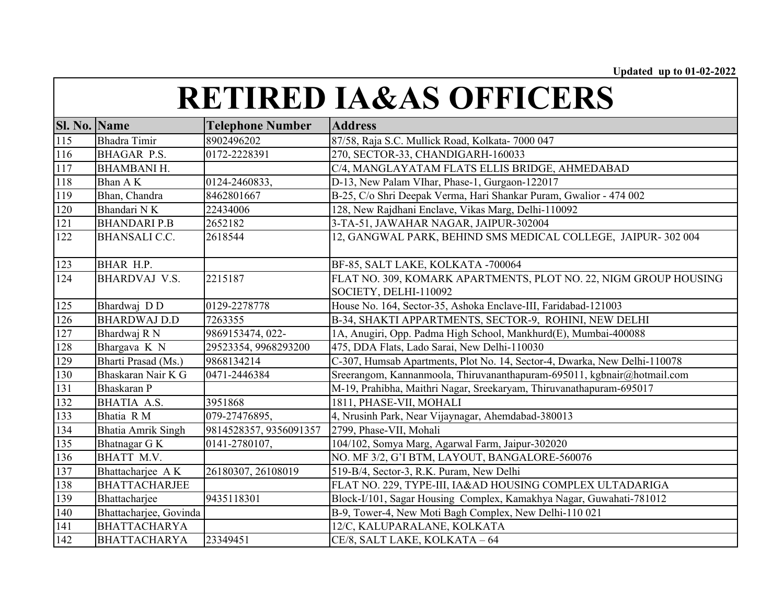| <b>Sl. No. Name</b> |                           | <b>Telephone Number</b> | <b>Address</b>                                                            |
|---------------------|---------------------------|-------------------------|---------------------------------------------------------------------------|
| 115                 | <b>Bhadra</b> Timir       | 8902496202              | 87/58, Raja S.C. Mullick Road, Kolkata- 7000 047                          |
| 116                 | <b>BHAGAR P.S.</b>        | 0172-2228391            | 270, SECTOR-33, CHANDIGARH-160033                                         |
| 117                 | <b>BHAMBANI H.</b>        |                         | C/4, MANGLAYATAM FLATS ELLIS BRIDGE, AHMEDABAD                            |
| 118                 | Bhan A K                  | 0124-2460833,           | D-13, New Palam VIhar, Phase-1, Gurgaon-122017                            |
| 119                 | Bhan, Chandra             | 8462801667              | B-25, C/o Shri Deepak Verma, Hari Shankar Puram, Gwalior - 474 002        |
| 120                 | Bhandari NK               | 22434006                | 128, New Rajdhani Enclave, Vikas Marg, Delhi-110092                       |
| 121                 | <b>BHANDARI P.B</b>       | 2652182                 | 3-TA-51, JAWAHAR NAGAR, JAIPUR-302004                                     |
| 122                 | <b>BHANSALI C.C.</b>      | 2618544                 | 12, GANGWAL PARK, BEHIND SMS MEDICAL COLLEGE, JAIPUR- 302 004             |
|                     |                           |                         |                                                                           |
| 123                 | BHAR H.P.                 |                         | BF-85, SALT LAKE, KOLKATA -700064                                         |
| 124                 | <b>BHARDVAJ V.S.</b>      | 2215187                 | FLAT NO. 309, KOMARK APARTMENTS, PLOT NO. 22, NIGM GROUP HOUSING          |
|                     |                           |                         | SOCIETY, DELHI-110092                                                     |
| 125                 | Bhardwaj DD               | 0129-2278778            | House No. 164, Sector-35, Ashoka Enclave-III, Faridabad-121003            |
| 126                 | <b>BHARDWAJ D.D</b>       | 7263355                 | B-34, SHAKTI APPARTMENTS, SECTOR-9, ROHINI, NEW DELHI                     |
| 127                 | Bhardwaj R N              | 9869153474, 022-        | 1A, Anugiri, Opp. Padma High School, Mankhurd(E), Mumbai-400088           |
| 128                 | Bhargava K N              | 29523354, 9968293200    | 475, DDA Flats, Lado Sarai, New Delhi-110030                              |
| 129                 | Bharti Prasad (Ms.)       | 9868134214              | C-307, Humsab Apartments, Plot No. 14, Sector-4, Dwarka, New Delhi-110078 |
| 130                 | Bhaskaran Nair K G        | 0471-2446384            | Sreerangom, Kannanmoola, Thiruvananthapuram-695011, kgbnair@hotmail.com   |
| 131                 | Bhaskaran P               |                         | M-19, Prahibha, Maithri Nagar, Sreekaryam, Thiruvanathapuram-695017       |
| 132                 | BHATIA A.S.               | 3951868                 | 1811, PHASE-VII, MOHALI                                                   |
| 133                 | Bhatia RM                 | 079-27476895,           | 4, Nrusinh Park, Near Vijaynagar, Ahemdabad-380013                        |
| 134                 | <b>Bhatia Amrik Singh</b> | 9814528357, 9356091357  | 2799, Phase-VII, Mohali                                                   |
| 135                 | Bhatnagar G K             | 0141-2780107,           | 104/102, Somya Marg, Agarwal Farm, Jaipur-302020                          |
| 136                 | BHATT M.V.                |                         | NO. MF 3/2, G'I BTM, LAYOUT, BANGALORE-560076                             |
| 137                 | Bhattacharjee AK          | 26180307, 26108019      | 519-B/4, Sector-3, R.K. Puram, New Delhi                                  |
| 138                 | <b>BHATTACHARJEE</b>      |                         | FLAT NO. 229, TYPE-III, IA&AD HOUSING COMPLEX ULTADARIGA                  |
| 139                 | Bhattacharjee             | 9435118301              | Block-I/101, Sagar Housing Complex, Kamakhya Nagar, Guwahati-781012       |
| 140                 | Bhattacharjee, Govinda    |                         | B-9, Tower-4, New Moti Bagh Complex, New Delhi-110 021                    |
| 141                 | <b>BHATTACHARYA</b>       |                         | 12/C, KALUPARALANE, KOLKATA                                               |
| 142                 | <b>BHATTACHARYA</b>       | 23349451                | CE/8, SALT LAKE, KOLKATA - 64                                             |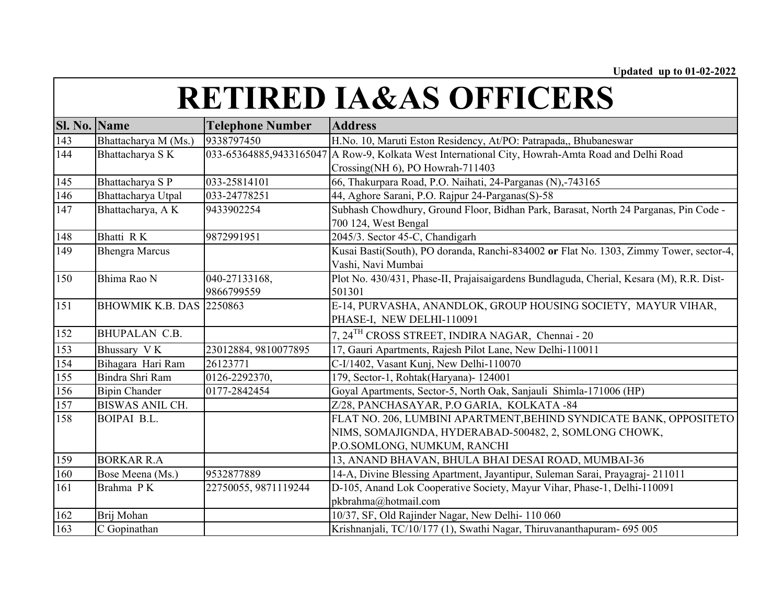| <b>Sl. No. Name</b> |                         | <b>Telephone Number</b> | <b>Address</b>                                                                                               |
|---------------------|-------------------------|-------------------------|--------------------------------------------------------------------------------------------------------------|
| 143                 | Bhattacharya M (Ms.)    | 9338797450              | H.No. 10, Maruti Eston Residency, At/PO: Patrapada,, Bhubaneswar                                             |
| 144                 | Bhattacharya SK         |                         | 033-65364885,9433165047 A Row-9, Kolkata West International City, Howrah-Amta Road and Delhi Road            |
|                     |                         |                         | Crossing(NH 6), PO Howrah-711403                                                                             |
| 145                 | Bhattacharya S P        | 033-25814101            | 66, Thakurpara Road, P.O. Naihati, 24-Parganas (N),-743165                                                   |
| 146                 | Bhattacharya Utpal      | 033-24778251            | 44, Aghore Sarani, P.O. Rajpur 24-Parganas(S)-58                                                             |
| 147                 | Bhattacharya, AK        | 9433902254              | Subhash Chowdhury, Ground Floor, Bidhan Park, Barasat, North 24 Parganas, Pin Code -<br>700 124, West Bengal |
| 148                 | Bhatti RK               | 9872991951              | 2045/3. Sector 45-C, Chandigarh                                                                              |
| 149                 | <b>Bhengra Marcus</b>   |                         | Kusai Basti(South), PO doranda, Ranchi-834002 or Flat No. 1303, Zimmy Tower, sector-4,                       |
|                     |                         |                         | Vashi, Navi Mumbai                                                                                           |
| 150                 | Bhima Rao N             | 040-27133168,           | Plot No. 430/431, Phase-II, Prajaisaigardens Bundlaguda, Cherial, Kesara (M), R.R. Dist-                     |
|                     |                         | 9866799559              | 501301                                                                                                       |
| 151                 | <b>BHOWMIK K.B. DAS</b> | 2250863                 | E-14, PURVASHA, ANANDLOK, GROUP HOUSING SOCIETY, MAYUR VIHAR,                                                |
|                     |                         |                         | PHASE-I, NEW DELHI-110091                                                                                    |
| 152                 | <b>BHUPALAN C.B.</b>    |                         | 7, 24 <sup>TH</sup> CROSS STREET, INDIRA NAGAR, Chennai - 20                                                 |
| 153                 | Bhussary VK             | 23012884, 9810077895    | 17, Gauri Apartments, Rajesh Pilot Lane, New Delhi-110011                                                    |
| 154                 | Bihagara Hari Ram       | 26123771                | C-I/1402, Vasant Kunj, New Delhi-110070                                                                      |
| 155                 | Bindra Shri Ram         | 0126-2292370,           | 179, Sector-1, Rohtak(Haryana)- 124001                                                                       |
| 156                 | <b>Bipin Chander</b>    | 0177-2842454            | Goyal Apartments, Sector-5, North Oak, Sanjauli Shimla-171006 (HP)                                           |
| 157                 | <b>BISWAS ANIL CH.</b>  |                         | Z/28, PANCHASAYAR, P.O GARIA, KOLKATA -84                                                                    |
| 158                 | BOIPAI B.L.             |                         | FLAT NO. 206, LUMBINI APARTMENT, BEHIND SYNDICATE BANK, OPPOSITETO                                           |
|                     |                         |                         | NIMS, SOMAJIGNDA, HYDERABAD-500482, 2, SOMLONG CHOWK,                                                        |
|                     |                         |                         | P.O.SOMLONG, NUMKUM, RANCHI                                                                                  |
| 159                 | <b>BORKAR R.A</b>       |                         | 13, ANAND BHAVAN, BHULA BHAI DESAI ROAD, MUMBAI-36                                                           |
| 160                 | Bose Meena (Ms.)        | 9532877889              | 14-A, Divine Blessing Apartment, Jayantipur, Suleman Sarai, Prayagraj-211011                                 |
| 161                 | Brahma PK               | 22750055, 9871119244    | D-105, Anand Lok Cooperative Society, Mayur Vihar, Phase-1, Delhi-110091                                     |
|                     |                         |                         | pkbrahma@hotmail.com                                                                                         |
| 162                 | Brij Mohan              |                         | 10/37, SF, Old Rajinder Nagar, New Delhi-110 060                                                             |
| 163                 | C Gopinathan            |                         | Krishnanjali, TC/10/177 (1), Swathi Nagar, Thiruvananthapuram- 695 005                                       |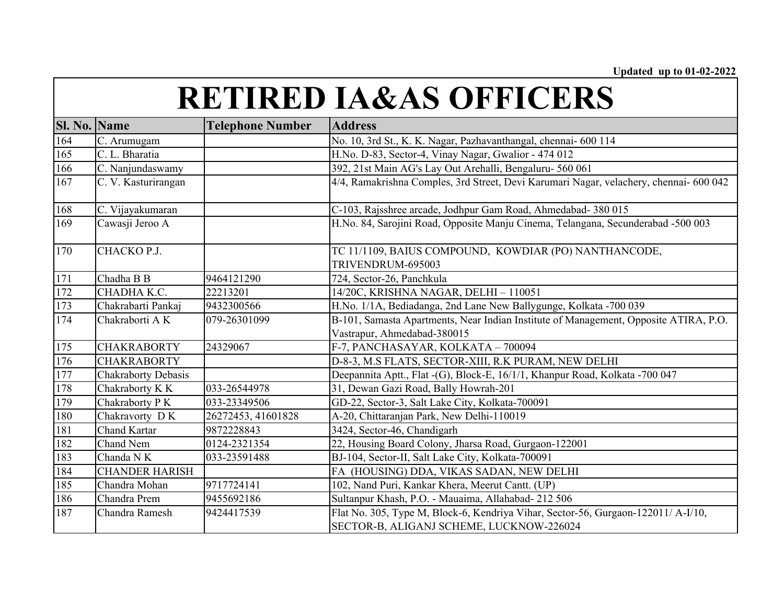| <b>Sl. No. Name</b> |                                | <b>Telephone Number</b> | <b>Address</b>                                                                         |
|---------------------|--------------------------------|-------------------------|----------------------------------------------------------------------------------------|
| $\overline{164}$    | C. Arumugam                    |                         | No. 10, 3rd St., K. K. Nagar, Pazhavanthangal, chennai- 600 114                        |
| $\overline{165}$    | C. L. Bharatia                 |                         | H.No. D-83, Sector-4, Vinay Nagar, Gwalior - 474 012                                   |
| 166                 | C. Nanjundaswamy               |                         | 392, 21st Main AG's Lay Out Arehalli, Bengaluru- 560 061                               |
| 167                 | C. V. Kasturirangan            |                         | 4/4, Ramakrishna Comples, 3rd Street, Devi Karumari Nagar, velachery, chennai- 600 042 |
| 168                 | $\overline{C}$ . Vijayakumaran |                         | C-103, Rajsshree arcade, Jodhpur Gam Road, Ahmedabad- 380 015                          |
| 169                 | Cawasji Jeroo A                |                         | H.No. 84, Sarojini Road, Opposite Manju Cinema, Telangana, Secunderabad -500 003       |
| 170                 | CHACKO P.J.                    |                         | TC 11/1109, BAIUS COMPOUND, KOWDIAR (PO) NANTHANCODE,                                  |
|                     |                                |                         | TRIVENDRUM-695003                                                                      |
| 171                 | Chadha B B                     | 9464121290              | 724, Sector-26, Panchkula                                                              |
| 172                 | CHADHA K.C.                    | 22213201                | 14/20C, KRISHNA NAGAR, DELHI - 110051                                                  |
| 173                 | Chakrabarti Pankaj             | 9432300566              | H.No. 1/1A, Bediadanga, 2nd Lane New Ballygunge, Kolkata -700 039                      |
| 174                 | Chakraborti A K                | 079-26301099            | B-101, Samasta Apartments, Near Indian Institute of Management, Opposite ATIRA, P.O.   |
|                     |                                |                         | Vastrapur, Ahmedabad-380015                                                            |
| 175                 | <b>CHAKRABORTY</b>             | 24329067                | F-7, PANCHASAYAR, KOLKATA - 700094                                                     |
| 176                 | <b>CHAKRABORTY</b>             |                         | D-8-3, M.S FLATS, SECTOR-XIII, R.K PURAM, NEW DELHI                                    |
| 177                 | Chakraborty Debasis            |                         | Deepannita Aptt., Flat -(G), Block-E, 16/1/1, Khanpur Road, Kolkata -700 047           |
| 178                 | Chakraborty K K                | 033-26544978            | 31, Dewan Gazi Road, Bally Howrah-201                                                  |
| 179                 | Chakraborty P K                | 033-23349506            | GD-22, Sector-3, Salt Lake City, Kolkata-700091                                        |
| 180                 | Chakravorty DK                 | 26272453, 41601828      | A-20, Chittaranjan Park, New Delhi-110019                                              |
| 181                 | Chand Kartar                   | 9872228843              | 3424, Sector-46, Chandigarh                                                            |
| 182                 | Chand Nem                      | 0124-2321354            | 22, Housing Board Colony, Jharsa Road, Gurgaon-122001                                  |
| 183                 | Chanda NK                      | 033-23591488            | BJ-104, Sector-II, Salt Lake City, Kolkata-700091                                      |
| 184                 | <b>CHANDER HARISH</b>          |                         | FA (HOUSING) DDA, VIKAS SADAN, NEW DELHI                                               |
| 185                 | Chandra Mohan                  | 9717724141              | 102, Nand Puri, Kankar Khera, Meerut Cantt. (UP)                                       |
| 186                 | Chandra Prem                   | 9455692186              | Sultanpur Khash, P.O. - Mauaima, Allahabad- 212 506                                    |
| 187                 | Chandra Ramesh                 | 9424417539              | Flat No. 305, Type M, Block-6, Kendriya Vihar, Sector-56, Gurgaon-122011/ A-I/10,      |
|                     |                                |                         | SECTOR-B, ALIGANJ SCHEME, LUCKNOW-226024                                               |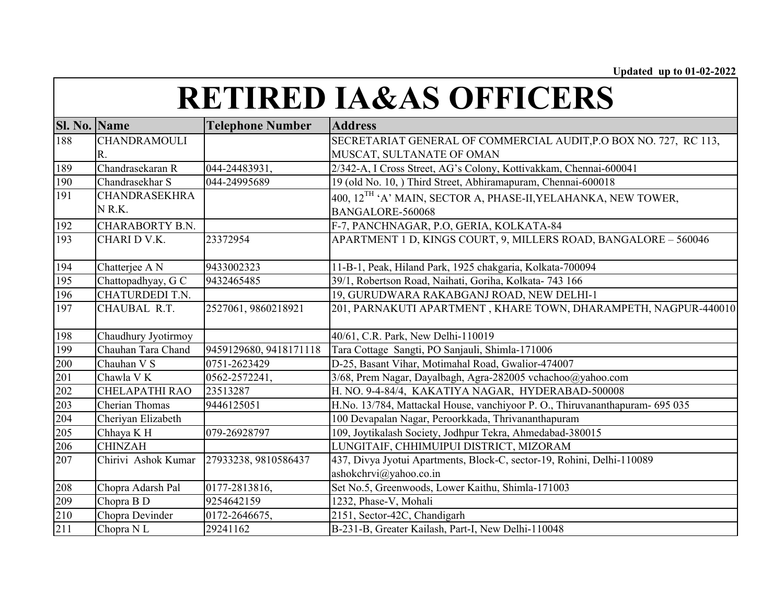| <b>Sl. No. Name</b> |                       | <b>Telephone Number</b> | <b>Address</b>                                                              |
|---------------------|-----------------------|-------------------------|-----------------------------------------------------------------------------|
| 188                 | <b>CHANDRAMOULI</b>   |                         | SECRETARIAT GENERAL OF COMMERCIAL AUDIT, P.O BOX NO. 727, RC 113,           |
|                     | R.                    |                         | MUSCAT, SULTANATE OF OMAN                                                   |
| 189                 | Chandrasekaran R      | 044-24483931,           | 2/342-A, I Cross Street, AG's Colony, Kottivakkam, Chennai-600041           |
| 190                 | Chandrasekhar S       | 044-24995689            | 19 (old No. 10, ) Third Street, Abhiramapuram, Chennai-600018               |
| 191                 | <b>CHANDRASEKHRA</b>  |                         | 400, $12^{TH}$ 'A' MAIN, SECTOR A, PHASE-II, YELAHANKA, NEW TOWER,          |
|                     | NR.K.                 |                         | BANGALORE-560068                                                            |
| 192                 | CHARABORTY B.N.       |                         | F-7, PANCHNAGAR, P.O, GERIA, KOLKATA-84                                     |
| 193                 | CHARI D V.K.          | 23372954                | APARTMENT 1 D, KINGS COURT, 9, MILLERS ROAD, BANGALORE - 560046             |
| 194                 | Chatterjee A N        | 9433002323              | 11-B-1, Peak, Hiland Park, 1925 chakgaria, Kolkata-700094                   |
| 195                 | Chattopadhyay, G C    | 9432465485              | 39/1, Robertson Road, Naihati, Goriha, Kolkata- 743 166                     |
| 196                 | CHATURDEDI T.N.       |                         | 19, GURUDWARA RAKABGANJ ROAD, NEW DELHI-1                                   |
| 197                 | CHAUBAL R.T.          | 2527061, 9860218921     | 201, PARNAKUTI APARTMENT, KHARE TOWN, DHARAMPETH, NAGPUR-440010             |
|                     |                       |                         |                                                                             |
| 198                 | Chaudhury Jyotirmoy   |                         | 40/61, C.R. Park, New Delhi-110019                                          |
| 199                 | Chauhan Tara Chand    | 9459129680, 9418171118  | Tara Cottage Sangti, PO Sanjauli, Shimla-171006                             |
| 200                 | Chauhan V S           | 0751-2623429            | D-25, Basant Vihar, Motimahal Road, Gwalior-474007                          |
| 201                 | Chawla VK             | 0562-2572241,           | 3/68, Prem Nagar, Dayalbagh, Agra-282005 vchachoo@yahoo.com                 |
| 202                 | <b>CHELAPATHI RAO</b> | 23513287                | H. NO. 9-4-84/4, KAKATIYA NAGAR, HYDERABAD-500008                           |
| 203                 | Cherian Thomas        | 9446125051              | H.No. 13/784, Mattackal House, vanchiyoor P.O., Thiruvananthapuram- 695 035 |
| 204                 | Cheriyan Elizabeth    |                         | 100 Devapalan Nagar, Peroorkkada, Thrivananthapuram                         |
| 205                 | Chhaya K H            | 079-26928797            | 109, Joytikalash Society, Jodhpur Tekra, Ahmedabad-380015                   |
| 206                 | <b>CHINZAH</b>        |                         | LUNGITAIF, CHHIMUIPUI DISTRICT, MIZORAM                                     |
| 207                 | Chirivi Ashok Kumar   | 27933238, 9810586437    | 437, Divya Jyotui Apartments, Block-C, sector-19, Rohini, Delhi-110089      |
|                     |                       |                         | ashokchrvi@yahoo.co.in                                                      |
| 208                 | Chopra Adarsh Pal     | 0177-2813816,           | Set No.5, Greenwoods, Lower Kaithu, Shimla-171003                           |
| 209                 | Chopra B D            | 9254642159              | 1232, Phase-V, Mohali                                                       |
| 210                 | Chopra Devinder       | 0172-2646675,           | 2151, Sector-42C, Chandigarh                                                |
| 211                 | Chopra NL             | 29241162                | B-231-B, Greater Kailash, Part-I, New Delhi-110048                          |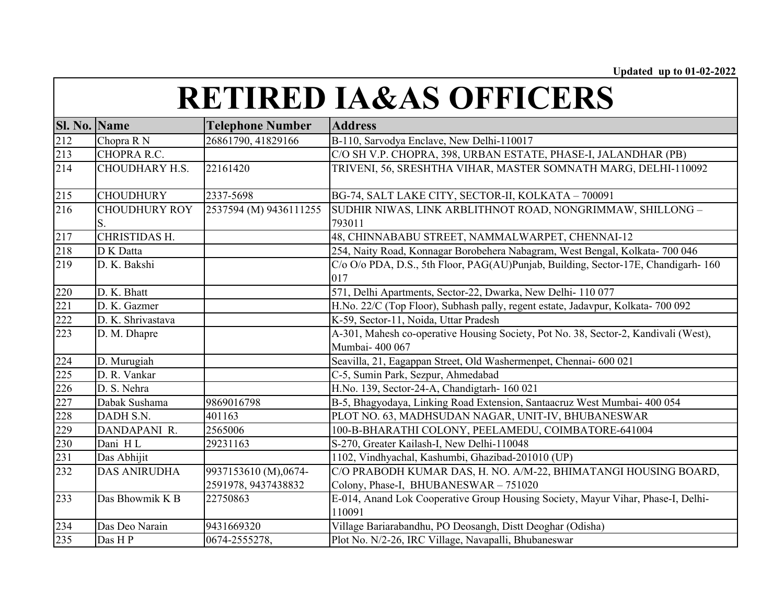| <b>Sl. No. Name</b> |                            | <b>Telephone Number</b>                     | <b>Address</b>                                                                                           |
|---------------------|----------------------------|---------------------------------------------|----------------------------------------------------------------------------------------------------------|
| 212                 | Chopra R N                 | 26861790, 41829166                          | B-110, Sarvodya Enclave, New Delhi-110017                                                                |
| 213                 | CHOPRA R.C.                |                                             | C/O SH V.P. CHOPRA, 398, URBAN ESTATE, PHASE-I, JALANDHAR (PB)                                           |
| 214                 | <b>CHOUDHARY H.S.</b>      | 22161420                                    | TRIVENI, 56, SRESHTHA VIHAR, MASTER SOMNATH MARG, DELHI-110092                                           |
| 215                 | <b>CHOUDHURY</b>           | 2337-5698                                   | BG-74, SALT LAKE CITY, SECTOR-II, KOLKATA - 700091                                                       |
| 216                 | <b>CHOUDHURY ROY</b><br>S. | 2537594 (M) 9436111255                      | SUDHIR NIWAS, LINK ARBLITHNOT ROAD, NONGRIMMAW, SHILLONG -<br>793011                                     |
| 217                 | CHRISTIDAS H.              |                                             | 48, CHINNABABU STREET, NAMMALWARPET, CHENNAI-12                                                          |
| 218                 | D K Datta                  |                                             | 254, Naity Road, Konnagar Borobehera Nabagram, West Bengal, Kolkata- 700 046                             |
| 219                 | D. K. Bakshi               |                                             | C/o O/o PDA, D.S., 5th Floor, PAG(AU)Punjab, Building, Sector-17E, Chandigarh-160<br>017                 |
| 220                 | D. K. Bhatt                |                                             | 571, Delhi Apartments, Sector-22, Dwarka, New Delhi- 110 077                                             |
| 221                 | D. K. Gazmer               |                                             | H.No. 22/C (Top Floor), Subhash pally, regent estate, Jadavpur, Kolkata- 700 092                         |
| 222                 | D. K. Shrivastava          |                                             | K-59, Sector-11, Noida, Uttar Pradesh                                                                    |
| 223                 | D. M. Dhapre               |                                             | A-301, Mahesh co-operative Housing Society, Pot No. 38, Sector-2, Kandivali (West),<br>Mumbai- 400 067   |
| 224                 | D. Murugiah                |                                             | Seavilla, 21, Eagappan Street, Old Washermenpet, Chennai- 600 021                                        |
| 225                 | D. R. Vankar               |                                             | C-5, Sumin Park, Sezpur, Ahmedabad                                                                       |
| 226                 | D. S. Nehra                |                                             | H.No. 139, Sector-24-A, Chandigtarh-160 021                                                              |
| 227                 | Dabak Sushama              | 9869016798                                  | B-5, Bhagyodaya, Linking Road Extension, Santaacruz West Mumbai- 400 054                                 |
| 228                 | DADH S.N.                  | 401163                                      | PLOT NO. 63, MADHSUDAN NAGAR, UNIT-IV, BHUBANESWAR                                                       |
| 229                 | DANDAPANI R.               | 2565006                                     | 100-B-BHARATHI COLONY, PEELAMEDU, COIMBATORE-641004                                                      |
| 230                 | Dani HL                    | 29231163                                    | S-270, Greater Kailash-I, New Delhi-110048                                                               |
| 231                 | Das Abhijit                |                                             | 1102, Vindhyachal, Kashumbi, Ghazibad-201010 (UP)                                                        |
| 232                 | <b>DAS ANIRUDHA</b>        | 9937153610 (M),0674-<br>2591978, 9437438832 | C/O PRABODH KUMAR DAS, H. NO. A/M-22, BHIMATANGI HOUSING BOARD,<br>Colony, Phase-I, BHUBANESWAR - 751020 |
| 233                 | Das Bhowmik K B            | 22750863                                    | E-014, Anand Lok Cooperative Group Housing Society, Mayur Vihar, Phase-I, Delhi-<br>110091               |
| 234                 | Das Deo Narain             | 9431669320                                  | Village Bariarabandhu, PO Deosangh, Distt Deoghar (Odisha)                                               |
| 235                 | Das HP                     | 0674-2555278,                               | Plot No. N/2-26, IRC Village, Navapalli, Bhubaneswar                                                     |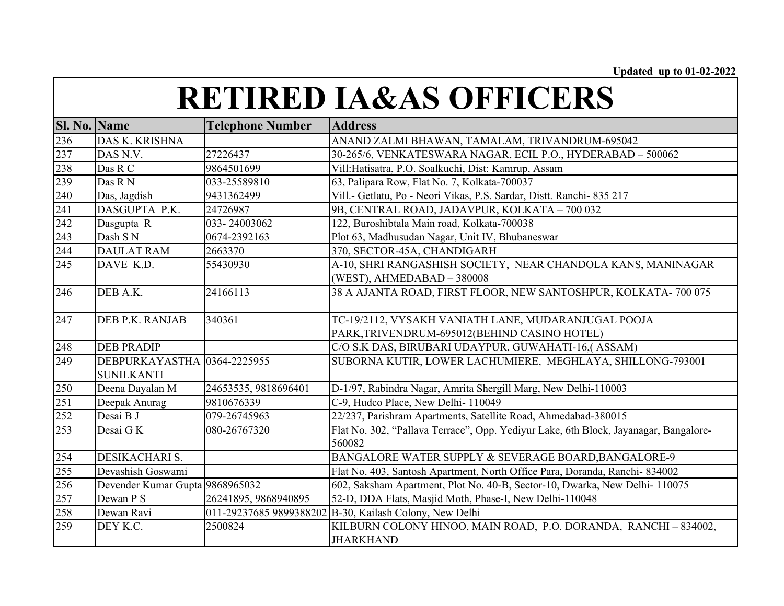| <b>Sl. No. Name</b> |                                 | <b>Telephone Number</b> | <b>Address</b>                                                                                 |
|---------------------|---------------------------------|-------------------------|------------------------------------------------------------------------------------------------|
| 236                 | DAS K. KRISHNA                  |                         | ANAND ZALMI BHAWAN, TAMALAM, TRIVANDRUM-695042                                                 |
| 237                 | DAS N.V.                        | 27226437                | 30-265/6, VENKATESWARA NAGAR, ECIL P.O., HYDERABAD - 500062                                    |
| 238                 | Das R C                         | 9864501699              | Vill:Hatisatra, P.O. Soalkuchi, Dist: Kamrup, Assam                                            |
| 239                 | Das R N                         | 033-25589810            | 63, Palipara Row, Flat No. 7, Kolkata-700037                                                   |
| 240                 | Das, Jagdish                    | 9431362499              | Vill.- Getlatu, Po - Neori Vikas, P.S. Sardar, Distt. Ranchi- 835 217                          |
| 241                 | DASGUPTA P.K.                   | 24726987                | 9B, CENTRAL ROAD, JADAVPUR, KOLKATA - 700 032                                                  |
| 242                 | Dasgupta R                      | 033-24003062            | 122, Buroshibtala Main road, Kolkata-700038                                                    |
| 243                 | Dash S N                        | 0674-2392163            | Plot 63, Madhusudan Nagar, Unit IV, Bhubaneswar                                                |
| 244                 | <b>DAULAT RAM</b>               | 2663370                 | 370, SECTOR-45A, CHANDIGARH                                                                    |
| 245                 | DAVE K.D.                       | 55430930                | A-10, SHRI RANGASHISH SOCIETY, NEAR CHANDOLA KANS, MANINAGAR                                   |
|                     |                                 |                         | (WEST), AHMEDABAD - $380008$                                                                   |
| 246                 | DEB A.K.                        | 24166113                | 38 A AJANTA ROAD, FIRST FLOOR, NEW SANTOSHPUR, KOLKATA-700 075                                 |
| 247                 | DEB P.K. RANJAB                 | 340361                  | TC-19/2112, VYSAKH VANIATH LANE, MUDARANJUGAL POOJA                                            |
|                     |                                 |                         | PARK, TRIVENDRUM-695012 (BEHIND CASINO HOTEL)                                                  |
| 248                 | <b>DEB PRADIP</b>               |                         | C/O S.K DAS, BIRUBARI UDAYPUR, GUWAHATI-16,(ASSAM)                                             |
| 249                 | DEBPURKAYASTHA 0364-2225955     |                         | SUBORNA KUTIR, LOWER LACHUMIERE, MEGHLAYA, SHILLONG-793001                                     |
|                     | <b>SUNILKANTI</b>               |                         |                                                                                                |
| 250                 | Deena Dayalan M                 | 24653535, 9818696401    | D-1/97, Rabindra Nagar, Amrita Shergill Marg, New Delhi-110003                                 |
| 251                 | Deepak Anurag                   | 9810676339              | C-9, Hudco Place, New Delhi- 110049                                                            |
| 252                 | Desai B J                       | 079-26745963            | 22/237, Parishram Apartments, Satellite Road, Ahmedabad-380015                                 |
| 253                 | Desai G K                       | 080-26767320            | Flat No. 302, "Pallava Terrace", Opp. Yediyur Lake, 6th Block, Jayanagar, Bangalore-<br>560082 |
| 254                 | DESIKACHARI S.                  |                         | BANGALORE WATER SUPPLY & SEVERAGE BOARD, BANGALORE-9                                           |
| 255                 | Devashish Goswami               |                         | Flat No. 403, Santosh Apartment, North Office Para, Doranda, Ranchi- 834002                    |
| 256                 | Devender Kumar Gupta 9868965032 |                         | 602, Saksham Apartment, Plot No. 40-B, Sector-10, Dwarka, New Delhi- 110075                    |
| 257                 | Dewan P S                       | 26241895, 9868940895    | 52-D, DDA Flats, Masjid Moth, Phase-I, New Delhi-110048                                        |
| 258                 | Dewan Ravi                      | 011-29237685 9899388202 | B-30, Kailash Colony, New Delhi                                                                |
| 259                 | DEY K.C.                        | 2500824                 | KILBURN COLONY HINOO, MAIN ROAD, P.O. DORANDA, RANCHI-834002,                                  |
|                     |                                 |                         | <b>JHARKHAND</b>                                                                               |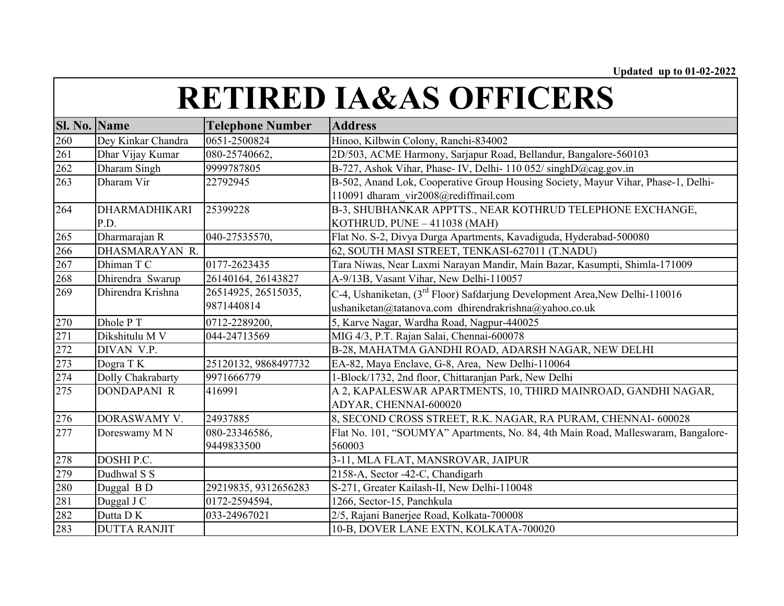| Sl. No. Name |                      | <b>Telephone Number</b> | <b>Address</b>                                                                          |
|--------------|----------------------|-------------------------|-----------------------------------------------------------------------------------------|
| 260          | Dey Kinkar Chandra   | 0651-2500824            | Hinoo, Kilbwin Colony, Ranchi-834002                                                    |
| 261          | Dhar Vijay Kumar     | 080-25740662,           | 2D/503, ACME Harmony, Sarjapur Road, Bellandur, Bangalore-560103                        |
| 262          | Dharam Singh         | 9999787805              | B-727, Ashok Vihar, Phase- IV, Delhi- 110 052/ singhD@cag.gov.in                        |
| 263          | Dharam Vir           | 22792945                | B-502, Anand Lok, Cooperative Group Housing Society, Mayur Vihar, Phase-1, Delhi-       |
|              |                      |                         | 110091 dharam vir2008@rediffmail.com                                                    |
| 264          | <b>DHARMADHIKARI</b> | 25399228                | B-3, SHUBHANKAR APPTTS., NEAR KOTHRUD TELEPHONE EXCHANGE,                               |
|              | P.D.                 |                         | KOTHRUD, $PUNE - 411038$ (MAH)                                                          |
| 265          | Dharmarajan R        | 040-27535570,           | Flat No. S-2, Divya Durga Apartments, Kavadiguda, Hyderabad-500080                      |
| 266          | DHASMARAYAN R.       |                         | 62, SOUTH MASI STREET, TENKASI-627011 (T.NADU)                                          |
| 267          | Dhiman T C           | 0177-2623435            | Tara Niwas, Near Laxmi Narayan Mandir, Main Bazar, Kasumpti, Shimla-171009              |
| 268          | Dhirendra Swarup     | 26140164, 26143827      | A-9/13B, Vasant Vihar, New Delhi-110057                                                 |
| 269          | Dhirendra Krishna    | 26514925, 26515035,     | C-4, Ushaniketan, (3 <sup>rd</sup> Floor) Safdarjung Development Area, New Delhi-110016 |
|              |                      | 9871440814              | ushaniketan@tatanova.com dhirendrakrishna@yahoo.co.uk                                   |
| 270          | Dhole P T            | 0712-2289200,           | 5, Karve Nagar, Wardha Road, Nagpur-440025                                              |
| 271          | Dikshitulu M V       | 044-24713569            | MIG 4/3, P.T. Rajan Salai, Chennai-600078                                               |
| 272          | DIVAN V.P.           |                         | B-28, MAHATMA GANDHI ROAD, ADARSH NAGAR, NEW DELHI                                      |
| 273          | Dogra TK             | 25120132, 9868497732    | EA-82, Maya Enclave, G-8, Area, New Delhi-110064                                        |
| 274          | Dolly Chakrabarty    | 9971666779              | 1-Block/1732, 2nd floor, Chittaranjan Park, New Delhi                                   |
| 275          | <b>DONDAPANI R</b>   | 416991                  | A 2, KAPALESWAR APARTMENTS, 10, THIRD MAINROAD, GANDHI NAGAR,                           |
|              |                      |                         | ADYAR, CHENNAI-600020                                                                   |
| 276          | DORASWAMY V.         | 24937885                | 8, SECOND CROSS STREET, R.K. NAGAR, RA PURAM, CHENNAI-600028                            |
| 277          | Doreswamy MN         | 080-23346586,           | Flat No. 101, "SOUMYA" Apartments, No. 84, 4th Main Road, Malleswaram, Bangalore-       |
|              |                      | 9449833500              | 560003                                                                                  |
| 278          | DOSHI P.C.           |                         | 3-11, MLA FLAT, MANSROVAR, JAIPUR                                                       |
| 279          | Dudhwal S S          |                         | 2158-A, Sector -42-C, Chandigarh                                                        |
| 280          | Duggal B D           | 29219835, 9312656283    | S-271, Greater Kailash-II, New Delhi-110048                                             |
| 281          | Duggal J C           | 0172-2594594,           | 1266, Sector-15, Panchkula                                                              |
| 282          | Dutta DK             | 033-24967021            | 2/5, Rajani Banerjee Road, Kolkata-700008                                               |
| 283          | <b>DUTTA RANJIT</b>  |                         | 10-B, DOVER LANE EXTN, KOLKATA-700020                                                   |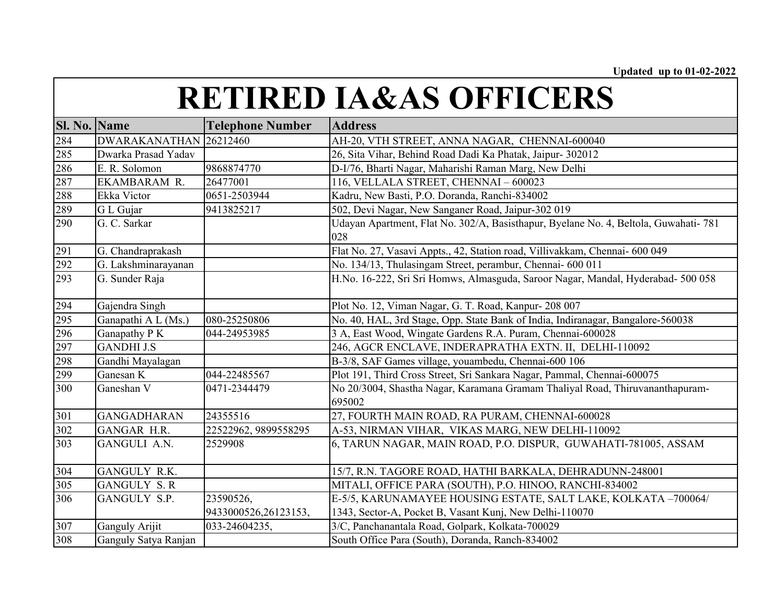| <b>Sl. No. Name</b> |                        | <b>Telephone Number</b> | <b>Address</b>                                                                             |
|---------------------|------------------------|-------------------------|--------------------------------------------------------------------------------------------|
| 284                 | DWARAKANATHAN 26212460 |                         | AH-20, VTH STREET, ANNA NAGAR, CHENNAI-600040                                              |
| 285                 | Dwarka Prasad Yadav    |                         | 26, Sita Vihar, Behind Road Dadi Ka Phatak, Jaipur- 302012                                 |
| 286                 | E. R. Solomon          | 9868874770              | D-I/76, Bharti Nagar, Maharishi Raman Marg, New Delhi                                      |
| 287                 | EKAMBARAM R.           | 26477001                | 116, VELLALA STREET, CHENNAI - 600023                                                      |
| 288                 | Ekka Victor            | 0651-2503944            | Kadru, New Basti, P.O. Doranda, Ranchi-834002                                              |
| 289                 | G L Gujar              | 9413825217              | 502, Devi Nagar, New Sanganer Road, Jaipur-302 019                                         |
| 290                 | G. C. Sarkar           |                         | Udayan Apartment, Flat No. 302/A, Basisthapur, Byelane No. 4, Beltola, Guwahati-781<br>028 |
| 291                 | G. Chandraprakash      |                         | Flat No. 27, Vasavi Appts., 42, Station road, Villivakkam, Chennai- 600 049                |
| 292                 | G. Lakshminarayanan    |                         | No. 134/13, Thulasingam Street, perambur, Chennai- 600 011                                 |
| 293                 | G. Sunder Raja         |                         | H.No. 16-222, Sri Sri Homws, Almasguda, Saroor Nagar, Mandal, Hyderabad- 500 058           |
| 294                 | Gajendra Singh         |                         | Plot No. 12, Viman Nagar, G. T. Road, Kanpur- 208 007                                      |
| 295                 | Ganapathi A L (Ms.)    | 080-25250806            | No. 40, HAL, 3rd Stage, Opp. State Bank of India, Indiranagar, Bangalore-560038            |
| 296                 | Ganapathy P K          | 044-24953985            | 3 A, East Wood, Wingate Gardens R.A. Puram, Chennai-600028                                 |
| 297                 | <b>GANDHI J.S</b>      |                         | 246, AGCR ENCLAVE, INDERAPRATHA EXTN. II, DELHI-110092                                     |
| 298                 | Gandhi Mayalagan       |                         | B-3/8, SAF Games village, youambedu, Chennai-600 106                                       |
| 299                 | Ganesan K              | 044-22485567            | Plot 191, Third Cross Street, Sri Sankara Nagar, Pammal, Chennai-600075                    |
| 300                 | Ganeshan V             | 0471-2344479            | No 20/3004, Shastha Nagar, Karamana Gramam Thaliyal Road, Thiruvananthapuram-<br>695002    |
| 301                 | <b>GANGADHARAN</b>     | 24355516                | 27, FOURTH MAIN ROAD, RA PURAM, CHENNAI-600028                                             |
| 302                 | GANGAR H.R.            | 22522962, 9899558295    | A-53, NIRMAN VIHAR, VIKAS MARG, NEW DELHI-110092                                           |
| 303                 | GANGULI A.N.           | 2529908                 | 6, TARUN NAGAR, MAIN ROAD, P.O. DISPUR, GUWAHATI-781005, ASSAM                             |
| 304                 | GANGULY R.K.           |                         | 15/7, R.N. TAGORE ROAD, HATHI BARKALA, DEHRADUNN-248001                                    |
| 305                 | <b>GANGULY S.R</b>     |                         | MITALI, OFFICE PARA (SOUTH), P.O. HINOO, RANCHI-834002                                     |
| 306                 | GANGULY S.P.           | 23590526,               | E-5/5, KARUNAMAYEE HOUSING ESTATE, SALT LAKE, KOLKATA -700064/                             |
|                     |                        | 9433000526,26123153,    | 1343, Sector-A, Pocket B, Vasant Kunj, New Delhi-110070                                    |
| 307                 | Ganguly Arijit         | 033-24604235,           | 3/C, Panchanantala Road, Golpark, Kolkata-700029                                           |
| 308                 | Ganguly Satya Ranjan   |                         | South Office Para (South), Doranda, Ranch-834002                                           |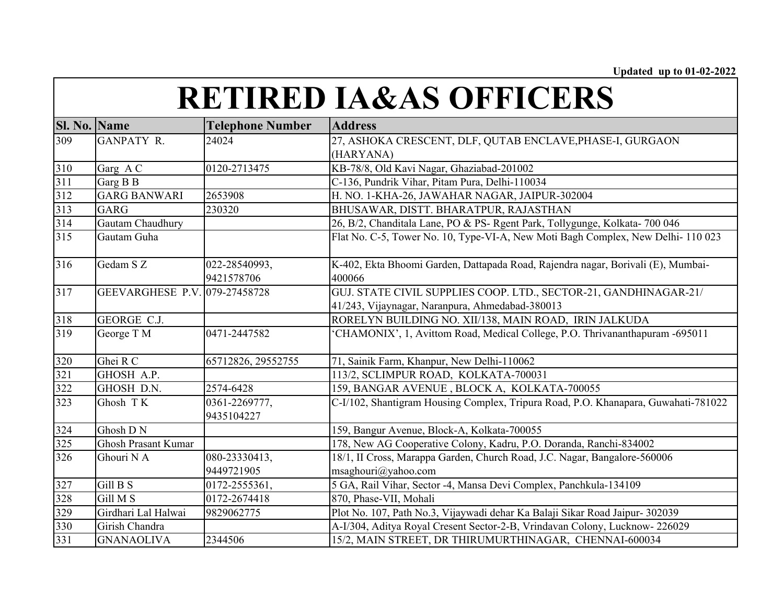| Sl. No. Name |                               | <b>Telephone Number</b> | <b>Address</b>                                                                     |
|--------------|-------------------------------|-------------------------|------------------------------------------------------------------------------------|
| 309          | <b>GANPATY R.</b>             | 24024                   | 27, ASHOKA CRESCENT, DLF, QUTAB ENCLAVE, PHASE-I, GURGAON                          |
|              |                               |                         | (HARYANA)                                                                          |
| 310          | Garg A C                      | 0120-2713475            | KB-78/8, Old Kavi Nagar, Ghaziabad-201002                                          |
| 311          | Garg B B                      |                         | C-136, Pundrik Vihar, Pitam Pura, Delhi-110034                                     |
| 312          | <b>GARG BANWARI</b>           | 2653908                 | H. NO. 1-KHA-26, JAWAHAR NAGAR, JAIPUR-302004                                      |
| 313          | <b>GARG</b>                   | 230320                  | BHUSAWAR, DISTT. BHARATPUR, RAJASTHAN                                              |
| 314          | Gautam Chaudhury              |                         | 26, B/2, Chanditala Lane, PO & PS- Rgent Park, Tollygunge, Kolkata- 700 046        |
| 315          | Gautam Guha                   |                         | Flat No. C-5, Tower No. 10, Type-VI-A, New Moti Bagh Complex, New Delhi-110 023    |
| 316          | Gedam S Z                     | 022-28540993,           | K-402, Ekta Bhoomi Garden, Dattapada Road, Rajendra nagar, Borivali (E), Mumbai-   |
|              |                               | 9421578706              | 400066                                                                             |
| 317          | GEEVARGHESE P.V. 079-27458728 |                         | GUJ. STATE CIVIL SUPPLIES COOP. LTD., SECTOR-21, GANDHINAGAR-21/                   |
|              |                               |                         | 41/243, Vijaynagar, Naranpura, Ahmedabad-380013                                    |
| 318          | GEORGE C.J.                   |                         | RORELYN BUILDING NO. XII/138, MAIN ROAD, IRIN JALKUDA                              |
| 319          | George T M                    | 0471-2447582            | CHAMONIX', 1, Avittom Road, Medical College, P.O. Thrivananthapuram -695011        |
| 320          | Ghei R C                      | 65712826, 29552755      | 71, Sainik Farm, Khanpur, New Delhi-110062                                         |
| 321          | GHOSH A.P.                    |                         | 113/2, SCLIMPUR ROAD, KOLKATA-700031                                               |
| 322          | GHOSH D.N.                    | 2574-6428               | 159, BANGAR AVENUE, BLOCK A, KOLKATA-700055                                        |
| 323          | Ghosh TK                      | 0361-2269777,           | C-I/102, Shantigram Housing Complex, Tripura Road, P.O. Khanapara, Guwahati-781022 |
|              |                               | 9435104227              |                                                                                    |
| 324          | Ghosh DN                      |                         | 159, Bangur Avenue, Block-A, Kolkata-700055                                        |
| 325          | <b>Ghosh Prasant Kumar</b>    |                         | 178, New AG Cooperative Colony, Kadru, P.O. Doranda, Ranchi-834002                 |
| 326          | Ghouri N A                    | 080-23330413,           | 18/1, II Cross, Marappa Garden, Church Road, J.C. Nagar, Bangalore-560006          |
|              |                               | 9449721905              | msaghouri@yahoo.com                                                                |
| 327          | Gill B S                      | 0172-2555361,           | 5 GA, Rail Vihar, Sector -4, Mansa Devi Complex, Panchkula-134109                  |
| 328          | Gill M S                      | 0172-2674418            | 870, Phase-VII, Mohali                                                             |
| 329          | Girdhari Lal Halwai           | 9829062775              | Plot No. 107, Path No.3, Vijaywadi dehar Ka Balaji Sikar Road Jaipur-302039        |
| 330          | Girish Chandra                |                         | A-I/304, Aditya Royal Cresent Sector-2-B, Vrindavan Colony, Lucknow-226029         |
| 331          | <b>GNANAOLIVA</b>             | 2344506                 | 15/2, MAIN STREET, DR THIRUMURTHINAGAR, CHENNAI-600034                             |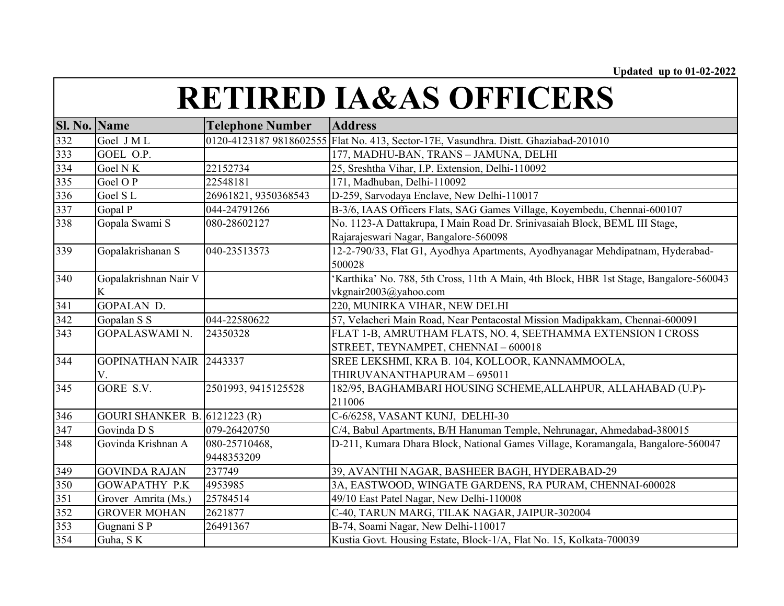| <b>RETIRED IA&amp;AS OFFICERS</b> |  |
|-----------------------------------|--|
|-----------------------------------|--|

| Sl. No. Name |                                     | <b>Telephone Number</b> | <b>Address</b>                                                                        |
|--------------|-------------------------------------|-------------------------|---------------------------------------------------------------------------------------|
| 332          | Goel JML                            | 0120-4123187 9818602555 | Flat No. 413, Sector-17E, Vasundhra. Distt. Ghaziabad-201010                          |
| 333          | GOEL O.P.                           |                         | 177, MADHU-BAN, TRANS - JAMUNA, DELHI                                                 |
| 334          | Goel NK                             | 22152734                | 25, Sreshtha Vihar, I.P. Extension, Delhi-110092                                      |
| 335          | Goel O P                            | 22548181                | 171, Madhuban, Delhi-110092                                                           |
| 336          | Goel SL                             | 26961821, 9350368543    | D-259, Sarvodaya Enclave, New Delhi-110017                                            |
| 337          | Gopal P                             | 044-24791266            | B-3/6, IAAS Officers Flats, SAG Games Village, Koyembedu, Chennai-600107              |
| 338          | Gopala Swami S                      | 080-28602127            | No. 1123-A Dattakrupa, I Main Road Dr. Srinivasaiah Block, BEML III Stage,            |
|              |                                     |                         | Rajarajeswari Nagar, Bangalore-560098                                                 |
| 339          | Gopalakrishanan S                   | 040-23513573            | 12-2-790/33, Flat G1, Ayodhya Apartments, Ayodhyanagar Mehdipatnam, Hyderabad-        |
|              |                                     |                         | 500028                                                                                |
| 340          | Gopalakrishnan Nair V               |                         | Karthika' No. 788, 5th Cross, 11th A Main, 4th Block, HBR 1st Stage, Bangalore-560043 |
|              | K                                   |                         | vkgnair2003@yahoo.com                                                                 |
| 341          | <b>GOPALAN D.</b>                   |                         | 220, MUNIRKA VIHAR, NEW DELHI                                                         |
| 342          | Gopalan S S                         | 044-22580622            | 57, Velacheri Main Road, Near Pentacostal Mission Madipakkam, Chennai-600091          |
| 343          | <b>GOPALASWAMI N.</b>               | 24350328                | FLAT 1-B, AMRUTHAM FLATS, NO. 4, SEETHAMMA EXTENSION I CROSS                          |
|              |                                     |                         | STREET, TEYNAMPET, CHENNAI - 600018                                                   |
| 344          | GOPINATHAN NAIR 2443337             |                         | SREE LEKSHMI, KRA B. 104, KOLLOOR, KANNAMMOOLA,                                       |
|              | V.                                  |                         | THIRUVANANTHAPURAM - 695011                                                           |
| 345          | GORE S.V.                           | 2501993, 9415125528     | 182/95, BAGHAMBARI HOUSING SCHEME, ALLAHPUR, ALLAHABAD (U.P)-                         |
|              |                                     |                         | 211006                                                                                |
| 346          | <b>GOURI SHANKER B. 6121223 (R)</b> |                         | C-6/6258, VASANT KUNJ, DELHI-30                                                       |
| 347          | Govinda D S                         | 079-26420750            | C/4, Babul Apartments, B/H Hanuman Temple, Nehrunagar, Ahmedabad-380015               |
| 348          | Govinda Krishnan A                  | 080-25710468,           | D-211, Kumara Dhara Block, National Games Village, Koramangala, Bangalore-560047      |
|              |                                     | 9448353209              |                                                                                       |
| 349          | <b>GOVINDA RAJAN</b>                | 237749                  | 39, AVANTHI NAGAR, BASHEER BAGH, HYDERABAD-29                                         |
| 350          | <b>GOWAPATHY P.K</b>                | 4953985                 | 3A, EASTWOOD, WINGATE GARDENS, RA PURAM, CHENNAI-600028                               |
| 351          | Grover Amrita (Ms.)                 | 25784514                | 49/10 East Patel Nagar, New Delhi-110008                                              |
| 352          | <b>GROVER MOHAN</b>                 | 2621877                 | C-40, TARUN MARG, TILAK NAGAR, JAIPUR-302004                                          |
| 353          | Gugnani SP                          | 26491367                | B-74, Soami Nagar, New Delhi-110017                                                   |
| 354          | Guha, SK                            |                         | Kustia Govt. Housing Estate, Block-1/A, Flat No. 15, Kolkata-700039                   |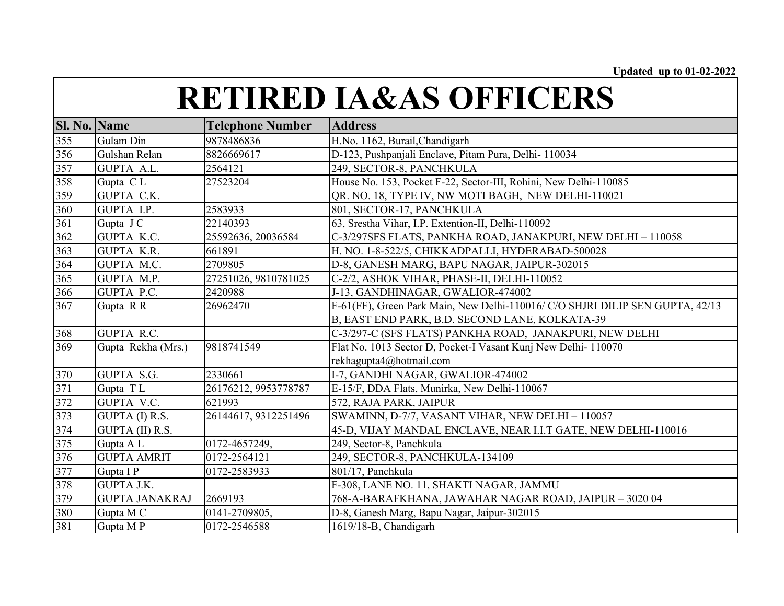| <b>Sl. No. Name</b> |                       | <b>Telephone Number</b> | <b>Address</b>                                                                |
|---------------------|-----------------------|-------------------------|-------------------------------------------------------------------------------|
| 355                 | Gulam Din             | 9878486836              | H.No. 1162, Burail, Chandigarh                                                |
| 356                 | Gulshan Relan         | 8826669617              | D-123, Pushpanjali Enclave, Pitam Pura, Delhi- 110034                         |
| 357                 | <b>GUPTA A.L.</b>     | 2564121                 | 249, SECTOR-8, PANCHKULA                                                      |
| 358                 | Gupta CL              | 27523204                | House No. 153, Pocket F-22, Sector-III, Rohini, New Delhi-110085              |
| 359                 | <b>GUPTA C.K.</b>     |                         | QR. NO. 18, TYPE IV, NW MOTI BAGH, NEW DELHI-110021                           |
| 360                 | GUPTA I.P.            | 2583933                 | 801, SECTOR-17, PANCHKULA                                                     |
| 361                 | Gupta J C             | 22140393                | 63, Srestha Vihar, I.P. Extention-II, Delhi-110092                            |
| 362                 | GUPTA K.C.            | 25592636, 20036584      | C-3/297SFS FLATS, PANKHA ROAD, JANAKPURI, NEW DELHI - 110058                  |
| 363                 | <b>GUPTA K.R.</b>     | 661891                  | H. NO. 1-8-522/5, CHIKKADPALLI, HYDERABAD-500028                              |
| 364                 | GUPTA M.C.            | 2709805                 | D-8, GANESH MARG, BAPU NAGAR, JAIPUR-302015                                   |
| 365                 | GUPTA M.P.            | 27251026, 9810781025    | C-2/2, ASHOK VIHAR, PHASE-II, DELHI-110052                                    |
| 366                 | GUPTA P.C.            | 2420988                 | J-13, GANDHINAGAR, GWALIOR-474002                                             |
| 367                 | Gupta R R             | 26962470                | F-61(FF), Green Park Main, New Delhi-110016/ C/O SHJRI DILIP SEN GUPTA, 42/13 |
|                     |                       |                         | B, EAST END PARK, B.D. SECOND LANE, KOLKATA-39                                |
| 368                 | <b>GUPTA R.C.</b>     |                         | C-3/297-C (SFS FLATS) PANKHA ROAD, JANAKPURI, NEW DELHI                       |
| 369                 | Gupta Rekha (Mrs.)    | 9818741549              | Flat No. 1013 Sector D, Pocket-I Vasant Kunj New Delhi-110070                 |
|                     |                       |                         | rekhagupta4@hotmail.com                                                       |
| 370                 | GUPTA S.G.            | 2330661                 | I-7, GANDHI NAGAR, GWALIOR-474002                                             |
| 371                 | Gupta TL              | 26176212, 9953778787    | E-15/F, DDA Flats, Munirka, New Delhi-110067                                  |
| 372                 | GUPTA V.C.            | 621993                  | 572, RAJA PARK, JAIPUR                                                        |
| 373                 | GUPTA (I) R.S.        | 26144617, 9312251496    | SWAMINN, D-7/7, VASANT VIHAR, NEW DELHI - 110057                              |
| 374                 | GUPTA (II) R.S.       |                         | 45-D, VIJAY MANDAL ENCLAVE, NEAR I.I.T GATE, NEW DELHI-110016                 |
| 375                 | Gupta A L             | 0172-4657249,           | 249, Sector-8, Panchkula                                                      |
| 376                 | <b>GUPTA AMRIT</b>    | 0172-2564121            | 249, SECTOR-8, PANCHKULA-134109                                               |
| 377                 | Gupta I P             | 0172-2583933            | $801/17$ , Panchkula                                                          |
| 378                 | <b>GUPTA J.K.</b>     |                         | F-308, LANE NO. 11, SHAKTI NAGAR, JAMMU                                       |
| 379                 | <b>GUPTA JANAKRAJ</b> | 2669193                 | 768-A-BARAFKHANA, JAWAHAR NAGAR ROAD, JAIPUR - 3020 04                        |
| 380                 | Gupta M C             | 0141-2709805,           | D-8, Ganesh Marg, Bapu Nagar, Jaipur-302015                                   |
| 381                 | Gupta MP              | 0172-2546588            | 1619/18-B, Chandigarh                                                         |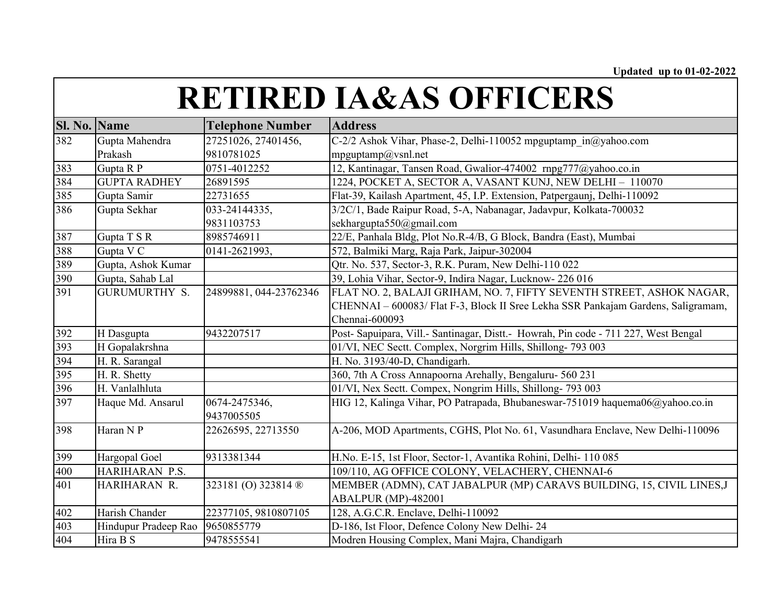| <b>Sl. No. Name</b> |                      | <b>Telephone Number</b> | <b>Address</b>                                                                      |
|---------------------|----------------------|-------------------------|-------------------------------------------------------------------------------------|
| 382                 | Gupta Mahendra       | 27251026, 27401456,     | C-2/2 Ashok Vihar, Phase-2, Delhi-110052 mpguptamp in@yahoo.com                     |
|                     | Prakash              | 9810781025              | $mp$ guptamp $@$ vsnl.net                                                           |
| 383                 | Gupta R P            | 0751-4012252            | 12, Kantinagar, Tansen Road, Gwalior-474002 rnpg777@yahoo.co.in                     |
| 384                 | <b>GUPTA RADHEY</b>  | 26891595                | 1224, POCKET A, SECTOR A, VASANT KUNJ, NEW DELHI - 110070                           |
| 385                 | Gupta Samir          | 22731655                | Flat-39, Kailash Apartment, 45, I.P. Extension, Patpergaunj, Delhi-110092           |
| 386                 | Gupta Sekhar         | 033-24144335,           | 3/2C/1, Bade Raipur Road, 5-A, Nabanagar, Jadavpur, Kolkata-700032                  |
|                     |                      | 9831103753              | sekhargupta550@gmail.com                                                            |
| 387                 | Gupta T S R          | 8985746911              | 22/E, Panhala Bldg, Plot No.R-4/B, G Block, Bandra (East), Mumbai                   |
| 388                 | Gupta V C            | 0141-2621993,           | 572, Balmiki Marg, Raja Park, Jaipur-302004                                         |
| 389                 | Gupta, Ashok Kumar   |                         | Qtr. No. 537, Sector-3, R.K. Puram, New Delhi-110 022                               |
| 390                 | Gupta, Sahab Lal     |                         | 39, Lohia Vihar, Sector-9, Indira Nagar, Lucknow- 226 016                           |
| 391                 | GURUMURTHY S.        | 24899881, 044-23762346  | FLAT NO. 2, BALAJI GRIHAM, NO. 7, FIFTY SEVENTH STREET, ASHOK NAGAR,                |
|                     |                      |                         | CHENNAI - 600083/ Flat F-3, Block II Sree Lekha SSR Pankajam Gardens, Saligramam,   |
|                     |                      |                         | Chennai-600093                                                                      |
| 392                 | H Dasgupta           | 9432207517              | Post- Sapuipara, Vill.- Santinagar, Distt.- Howrah, Pin code - 711 227, West Bengal |
| 393                 | H Gopalakrshna       |                         | 01/VI, NEC Sectt. Complex, Norgrim Hills, Shillong-793 003                          |
| 394                 | H. R. Sarangal       |                         | H. No. 3193/40-D, Chandigarh.                                                       |
| 395                 | H. R. Shetty         |                         | 360, 7th A Cross Annapoorna Arehally, Bengaluru- 560 231                            |
| 396                 | H. Vanlalhluta       |                         | 01/VI, Nex Sectt. Compex, Nongrim Hills, Shillong-793 003                           |
| 397                 | Haque Md. Ansarul    | 0674-2475346,           | HIG 12, Kalinga Vihar, PO Patrapada, Bhubaneswar-751019 haquema06@yahoo.co.in       |
|                     |                      | 9437005505              |                                                                                     |
| 398                 | Haran NP             | 22626595, 22713550      | A-206, MOD Apartments, CGHS, Plot No. 61, Vasundhara Enclave, New Delhi-110096      |
|                     |                      |                         |                                                                                     |
| 399                 | Hargopal Goel        | 9313381344              | H.No. E-15, 1st Floor, Sector-1, Avantika Rohini, Delhi- 110 085                    |
| 400                 | HARIHARAN P.S.       |                         | 109/110, AG OFFICE COLONY, VELACHERY, CHENNAI-6                                     |
| 401                 | HARIHARAN R.         | 323181 (O) 323814 ®     | MEMBER (ADMN), CAT JABALPUR (MP) CARAVS BUILDING, 15, CIVIL LINES, J                |
|                     |                      |                         | ABALPUR (MP)-482001                                                                 |
| 402                 | Harish Chander       | 22377105, 9810807105    | 128, A.G.C.R. Enclave, Delhi-110092                                                 |
| 403                 | Hindupur Pradeep Rao | 9650855779              | D-186, Ist Floor, Defence Colony New Delhi-24                                       |
| 404                 | Hira B S             | 9478555541              | Modren Housing Complex, Mani Majra, Chandigarh                                      |
|                     |                      |                         |                                                                                     |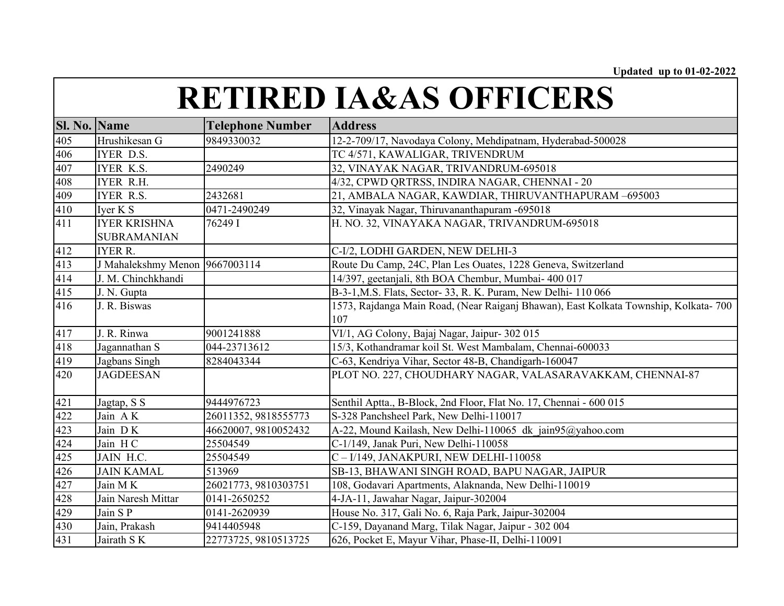| <b>Sl. No. Name</b> |                                           | <b>Telephone Number</b> | <b>Address</b>                                                                             |
|---------------------|-------------------------------------------|-------------------------|--------------------------------------------------------------------------------------------|
| 405                 | Hrushikesan G                             | 9849330032              | 12-2-709/17, Navodaya Colony, Mehdipatnam, Hyderabad-500028                                |
| 406                 | IYER D.S.                                 |                         | TC 4/571, KAWALIGAR, TRIVENDRUM                                                            |
| 407                 | <b>IYER K.S.</b>                          | 2490249                 | 32, VINAYAK NAGAR, TRIVANDRUM-695018                                                       |
| 408                 | <b>IYER R.H.</b>                          |                         | 4/32, CPWD QRTRSS, INDIRA NAGAR, CHENNAI - 20                                              |
| 409                 | <b>IYER R.S.</b>                          | 2432681                 | 21, AMBALA NAGAR, KAWDIAR, THIRUVANTHAPURAM -695003                                        |
| 410                 | Iver K S                                  | 0471-2490249            | 32, Vinayak Nagar, Thiruvananthapuram -695018                                              |
| 411                 | <b>IYER KRISHNA</b><br><b>SUBRAMANIAN</b> | 76249 I                 | H. NO. 32, VINAYAKA NAGAR, TRIVANDRUM-695018                                               |
| 412                 | <b>IYER R.</b>                            |                         | C-I/2, LODHI GARDEN, NEW DELHI-3                                                           |
| 413                 | J Mahalekshmy Menon 9667003114            |                         | Route Du Camp, 24C, Plan Les Ouates, 1228 Geneva, Switzerland                              |
| 414                 | J. M. Chinchkhandi                        |                         | 14/397, geetanjali, 8th BOA Chembur, Mumbai- 400 017                                       |
| 415                 | J. N. Gupta                               |                         | B-3-1, M.S. Flats, Sector-33, R. K. Puram, New Delhi-110 066                               |
| 416                 | J. R. Biswas                              |                         | 1573, Rajdanga Main Road, (Near Raiganj Bhawan), East Kolkata Township, Kolkata-700<br>107 |
| 417                 | J. R. Rinwa                               | 9001241888              | VI/1, AG Colony, Bajaj Nagar, Jaipur- 302 015                                              |
| 418                 | Jagannathan S                             | 044-23713612            | 15/3, Kothandramar koil St. West Mambalam, Chennai-600033                                  |
| 419                 | Jagbans Singh                             | 8284043344              | C-63, Kendriya Vihar, Sector 48-B, Chandigarh-160047                                       |
| 420                 | <b>JAGDEESAN</b>                          |                         | PLOT NO. 227, CHOUDHARY NAGAR, VALASARAVAKKAM, CHENNAI-87                                  |
| 421                 | Jagtap, S S                               | 9444976723              | Senthil Aptta., B-Block, 2nd Floor, Flat No. 17, Chennai - 600 015                         |
| 422                 | Jain AK                                   | 26011352, 9818555773    | S-328 Panchsheel Park, New Delhi-110017                                                    |
| 423                 | Jain DK                                   | 46620007, 9810052432    | A-22, Mound Kailash, New Delhi-110065 dk jain95@yahoo.com                                  |
| 424                 | Jain HC                                   | 25504549                | C-1/149, Janak Puri, New Delhi-110058                                                      |
| 425                 | JAIN H.C.                                 | 25504549                | C-I/149, JANAKPURI, NEW DELHI-110058                                                       |
| 426                 | <b>JAIN KAMAL</b>                         | 513969                  | SB-13, BHAWANI SINGH ROAD, BAPU NAGAR, JAIPUR                                              |
| 427                 | Jain MK                                   | 26021773, 9810303751    | 108, Godavari Apartments, Alaknanda, New Delhi-110019                                      |
| 428                 | Jain Naresh Mittar                        | 0141-2650252            | 4-JA-11, Jawahar Nagar, Jaipur-302004                                                      |
| 429                 | Jain SP                                   | 0141-2620939            | House No. 317, Gali No. 6, Raja Park, Jaipur-302004                                        |
| 430                 | Jain, Prakash                             | 9414405948              | C-159, Dayanand Marg, Tilak Nagar, Jaipur - 302 004                                        |
| 431                 | Jairath S K                               | 22773725, 9810513725    | 626, Pocket E, Mayur Vihar, Phase-II, Delhi-110091                                         |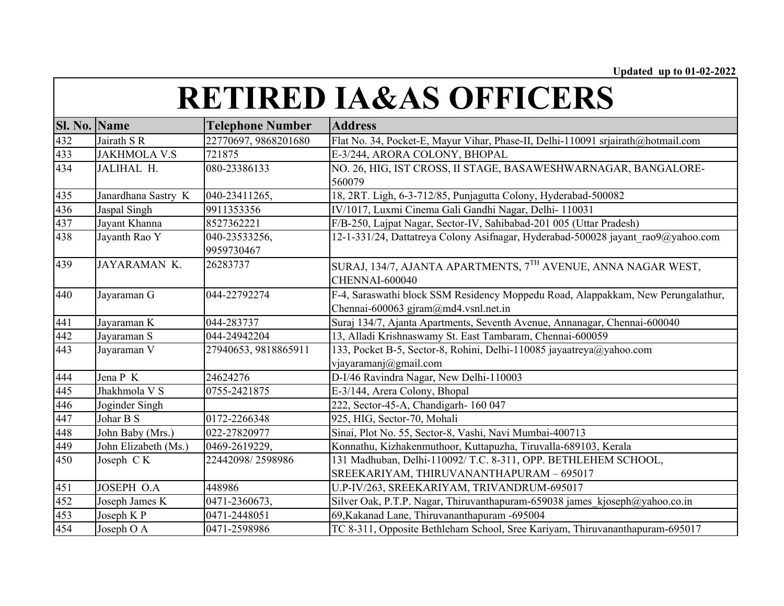| <b>Sl. No. Name</b> |                      | <b>Telephone Number</b>     | <b>Address</b>                                                                                                               |
|---------------------|----------------------|-----------------------------|------------------------------------------------------------------------------------------------------------------------------|
| 432                 | Jairath S R          | 22770697, 9868201680        | Flat No. 34, Pocket-E, Mayur Vihar, Phase-II, Delhi-110091 srjairath@hotmail.com                                             |
| 433                 | <b>JAKHMOLA V.S</b>  | 721875                      | E-3/244, ARORA COLONY, BHOPAL                                                                                                |
| 434                 | JALIHAL H.           | 080-23386133                | NO. 26, HIG, IST CROSS, II STAGE, BASAWESHWARNAGAR, BANGALORE-<br>560079                                                     |
| 435                 | Janardhana Sastry K  | 040-23411265,               | 18, 2RT. Ligh, 6-3-712/85, Punjagutta Colony, Hyderabad-500082                                                               |
| 436                 | Jaspal Singh         | 9911353356                  | IV/1017, Luxmi Cinema Gali Gandhi Nagar, Delhi-110031                                                                        |
| 437                 | Jayant Khanna        | 8527362221                  | F/B-250, Lajpat Nagar, Sector-IV, Sahibabad-201 005 (Uttar Pradesh)                                                          |
| 438                 | Jayanth Rao Y        | 040-23533256,<br>9959730467 | 12-1-331/24, Dattatreya Colony Asifnagar, Hyderabad-500028 jayant rao9@yahoo.com                                             |
| 439                 | JAYARAMAN K.         | 26283737                    | SURAJ, 134/7, AJANTA APARTMENTS, 7 <sup>TH</sup> AVENUE, ANNA NAGAR WEST,<br>CHENNAI-600040                                  |
| 440                 | Jayaraman G          | 044-22792274                | F-4, Saraswathi block SSM Residency Moppedu Road, Alappakkam, New Perungalathur,<br>Chennai-600063 gjram $@$ md4.vsnl.net.in |
| 441                 | Jayaraman K          | 044-283737                  | Suraj 134/7, Ajanta Apartments, Seventh Avenue, Annanagar, Chennai-600040                                                    |
| 442                 | Jayaraman S          | 044-24942204                | 13, Alladi Krishnaswamy St. East Tambaram, Chennai-600059                                                                    |
| 443                 | Jayaraman V          | 27940653, 9818865911        | 133, Pocket B-5, Sector-8, Rohini, Delhi-110085 jayaatreya@yahoo.com<br>vjayaramanj@gmail.com                                |
| 444                 | Jena P K             | 24624276                    | D-I/46 Ravindra Nagar, New Delhi-110003                                                                                      |
| 445                 | Jhakhmola V S        | 0755-2421875                | E-3/144, Arera Colony, Bhopal                                                                                                |
| 446                 | Joginder Singh       |                             | 222, Sector-45-A, Chandigarh- 160 047                                                                                        |
| 447                 | Johar B S            | 0172-2266348                | 925, HIG, Sector-70, Mohali                                                                                                  |
| 448                 | John Baby (Mrs.)     | 022-27820977                | Sinai, Plot No. 55, Sector-8, Vashi, Navi Mumbai-400713                                                                      |
| 449                 | John Elizabeth (Ms.) | 0469-2619229,               | Konnathu, Kizhakenmuthoor, Kuttapuzha, Tiruvalla-689103, Kerala                                                              |
| 450                 | Joseph CK            | 22442098/2598986            | 131 Madhuban, Delhi-110092/T.C. 8-311, OPP. BETHLEHEM SCHOOL,<br>SREEKARIYAM, THIRUVANANTHAPURAM - 695017                    |
| 451                 | JOSEPH O.A           | 448986                      | U.P-IV/263, SREEKARIYAM, TRIVANDRUM-695017                                                                                   |
| 452                 | Joseph James K       | 0471-2360673,               | Silver Oak, P.T.P. Nagar, Thiruvanthapuram-659038 james kjoseph@yahoo.co.in                                                  |
| 453                 | Joseph K P           | 0471-2448051                | 69, Kakanad Lane, Thiruvananthapuram -695004                                                                                 |
| 454                 | Joseph O A           | 0471-2598986                | TC 8-311, Opposite Bethleham School, Sree Kariyam, Thiruvananthapuram-695017                                                 |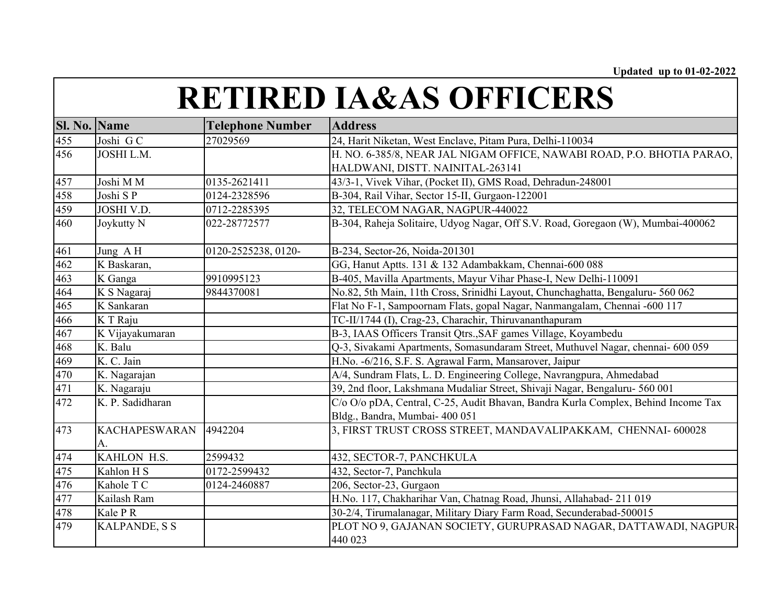| <b>Sl. No. Name</b> |                            | <b>Telephone Number</b> | <b>Address</b>                                                                    |
|---------------------|----------------------------|-------------------------|-----------------------------------------------------------------------------------|
| 455                 | Joshi GC                   | 27029569                | 24, Harit Niketan, West Enclave, Pitam Pura, Delhi-110034                         |
| 456                 | JOSHI L.M.                 |                         | H. NO. 6-385/8, NEAR JAL NIGAM OFFICE, NAWABI ROAD, P.O. BHOTIA PARAO,            |
|                     |                            |                         | HALDWANI, DISTT. NAINITAL-263141                                                  |
| 457                 | Joshi M M                  | 0135-2621411            | 43/3-1, Vivek Vihar, (Pocket II), GMS Road, Dehradun-248001                       |
| 458                 | Joshi SP                   | 0124-2328596            | B-304, Rail Vihar, Sector 15-II, Gurgaon-122001                                   |
| 459                 | JOSHI V.D.                 | 0712-2285395            | 32, TELECOM NAGAR, NAGPUR-440022                                                  |
| 460                 | Joykutty N                 | 022-28772577            | B-304, Raheja Solitaire, Udyog Nagar, Off S.V. Road, Goregaon (W), Mumbai-400062  |
| 461                 | Jung AH                    | 0120-2525238, 0120-     | B-234, Sector-26, Noida-201301                                                    |
| 462                 | K Baskaran,                |                         | GG, Hanut Aptts. 131 & 132 Adambakkam, Chennai-600 088                            |
| 463                 | K Ganga                    | 9910995123              | B-405, Mavilla Apartments, Mayur Vihar Phase-I, New Delhi-110091                  |
| 464                 | K S Nagaraj                | 9844370081              | No.82, 5th Main, 11th Cross, Srinidhi Layout, Chunchaghatta, Bengaluru- 560 062   |
| 465                 | K Sankaran                 |                         | Flat No F-1, Sampoornam Flats, gopal Nagar, Nanmangalam, Chennai -600 117         |
| 466                 | K T Raju                   |                         | TC-II/1744 (I), Crag-23, Charachir, Thiruvananthapuram                            |
| 467                 | K Vijayakumaran            |                         | B-3, IAAS Officers Transit Qtrs., SAF games Village, Koyambedu                    |
| 468                 | K. Balu                    |                         | Q-3, Sivakami Apartments, Somasundaram Street, Muthuvel Nagar, chennai- 600 059   |
| 469                 | K. C. Jain                 |                         | H.No. -6/216, S.F. S. Agrawal Farm, Mansarover, Jaipur                            |
| 470                 | K. Nagarajan               |                         | A/4, Sundram Flats, L. D. Engineering College, Navrangpura, Ahmedabad             |
| 471                 | K. Nagaraju                |                         | 39, 2nd floor, Lakshmana Mudaliar Street, Shivaji Nagar, Bengaluru- 560 001       |
| 472                 | K. P. Sadidharan           |                         | C/o O/o pDA, Central, C-25, Audit Bhavan, Bandra Kurla Complex, Behind Income Tax |
|                     |                            |                         | Bldg., Bandra, Mumbai- 400 051                                                    |
| 473                 | <b>KACHAPESWARAN</b><br>A. | 4942204                 | 3, FIRST TRUST CROSS STREET, MANDAVALIPAKKAM, CHENNAI- 600028                     |
| 474                 | KAHLON H.S.                | 2599432                 | 432, SECTOR-7, PANCHKULA                                                          |
| 475                 | Kahlon H S                 | 0172-2599432            | 432, Sector-7, Panchkula                                                          |
| 476                 | Kahole T C                 | 0124-2460887            | 206, Sector-23, Gurgaon                                                           |
| 477                 | Kailash Ram                |                         | H.No. 117, Chakharihar Van, Chatnag Road, Jhunsi, Allahabad- 211 019              |
| 478                 | Kale PR                    |                         | 30-2/4, Tirumalanagar, Military Diary Farm Road, Secunderabad-500015              |
| 479                 | <b>KALPANDE, S S</b>       |                         | PLOT NO 9, GAJANAN SOCIETY, GURUPRASAD NAGAR, DATTAWADI, NAGPUR-                  |
|                     |                            |                         | 440 023                                                                           |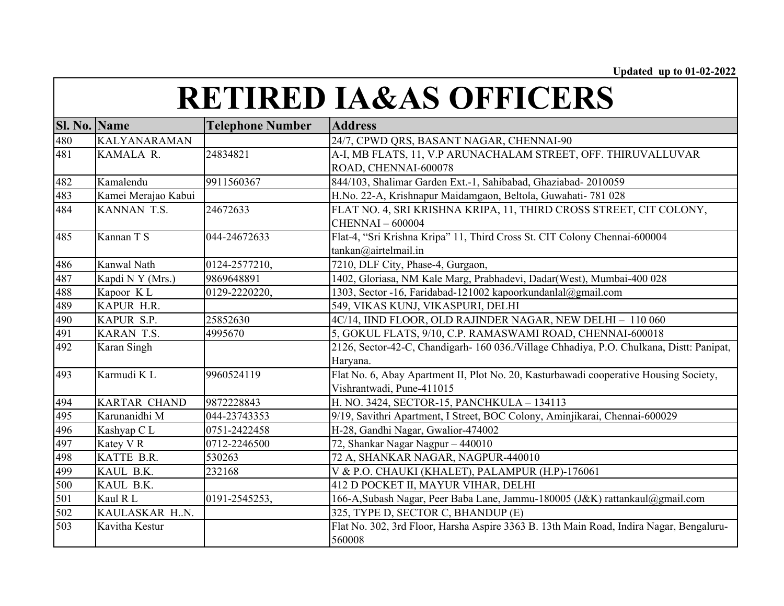| <b>Sl. No. Name</b> |                     | <b>Telephone Number</b> | <b>Address</b>                                                                           |
|---------------------|---------------------|-------------------------|------------------------------------------------------------------------------------------|
| 480                 | <b>KALYANARAMAN</b> |                         | 24/7, CPWD QRS, BASANT NAGAR, CHENNAI-90                                                 |
| 481                 | KAMALA R.           | 24834821                | A-I, MB FLATS, 11, V.P ARUNACHALAM STREET, OFF. THIRUVALLUVAR                            |
|                     |                     |                         | ROAD, CHENNAI-600078                                                                     |
| 482                 | Kamalendu           | 9911560367              | 844/103, Shalimar Garden Ext.-1, Sahibabad, Ghaziabad- 2010059                           |
| 483                 | Kamei Merajao Kabui |                         | H.No. 22-A, Krishnapur Maidamgaon, Beltola, Guwahati- 781 028                            |
| 484                 | KANNAN T.S.         | 24672633                | FLAT NO. 4, SRI KRISHNA KRIPA, 11, THIRD CROSS STREET, CIT COLONY,                       |
|                     |                     |                         | <b>CHENNAI-600004</b>                                                                    |
| 485                 | Kannan T S          | 044-24672633            | Flat-4, "Sri Krishna Kripa" 11, Third Cross St. CIT Colony Chennai-600004                |
|                     |                     |                         | tankan@airtelmail.in                                                                     |
| 486                 | Kanwal Nath         | 0124-2577210,           | 7210, DLF City, Phase-4, Gurgaon,                                                        |
| 487                 | Kapdi N Y (Mrs.)    | 9869648891              | 1402, Gloriasa, NM Kale Marg, Prabhadevi, Dadar(West), Mumbai-400 028                    |
| 488                 | Kapoor KL           | 0129-2220220,           | 1303, Sector -16, Faridabad-121002 kapoorkundanlal@gmail.com                             |
| 489                 | KAPUR H.R.          |                         | 549, VIKAS KUNJ, VIKASPURI, DELHI                                                        |
| 490                 | KAPUR S.P.          | 25852630                | 4C/14, IIND FLOOR, OLD RAJINDER NAGAR, NEW DELHI - 110 060                               |
| 491                 | KARAN T.S.          | 4995670                 | 5, GOKUL FLATS, 9/10, C.P. RAMASWAMI ROAD, CHENNAI-600018                                |
| 492                 | Karan Singh         |                         | 2126, Sector-42-C, Chandigarh- 160 036./Village Chhadiya, P.O. Chulkana, Distt: Panipat, |
|                     |                     |                         | Haryana.                                                                                 |
| 493                 | Karmudi KL          | 9960524119              | Flat No. 6, Abay Apartment II, Plot No. 20, Kasturbawadi cooperative Housing Society,    |
|                     |                     |                         | Vishrantwadi, Pune-411015                                                                |
| 494                 | <b>KARTAR CHAND</b> | 9872228843              | H. NO. 3424, SECTOR-15, PANCHKULA - 134113                                               |
| 495                 | Karunanidhi M       | 044-23743353            | 9/19, Savithri Apartment, I Street, BOC Colony, Aminjikarai, Chennai-600029              |
| 496                 | Kashyap CL          | 0751-2422458            | H-28, Gandhi Nagar, Gwalior-474002                                                       |
| 497                 | Katey VR            | 0712-2246500            | 72, Shankar Nagar Nagpur - 440010                                                        |
| 498                 | KATTE B.R.          | 530263                  | 72 A, SHANKAR NAGAR, NAGPUR-440010                                                       |
| 499                 | KAUL B.K.           | 232168                  | V & P.O. CHAUKI (KHALET), PALAMPUR (H.P)-176061                                          |
| 500                 | KAUL B.K.           |                         | 412 D POCKET II, MAYUR VIHAR, DELHI                                                      |
| 501                 | Kaul R L            | 0191-2545253,           | 166-A, Subash Nagar, Peer Baba Lane, Jammu-180005 (J&K) rattankaul@gmail.com             |
| 502                 | KAULASKAR H.N.      |                         | 325, TYPE D, SECTOR C, BHANDUP (E)                                                       |
| 503                 | Kavitha Kestur      |                         | Flat No. 302, 3rd Floor, Harsha Aspire 3363 B. 13th Main Road, Indira Nagar, Bengaluru-  |
|                     |                     |                         | 560008                                                                                   |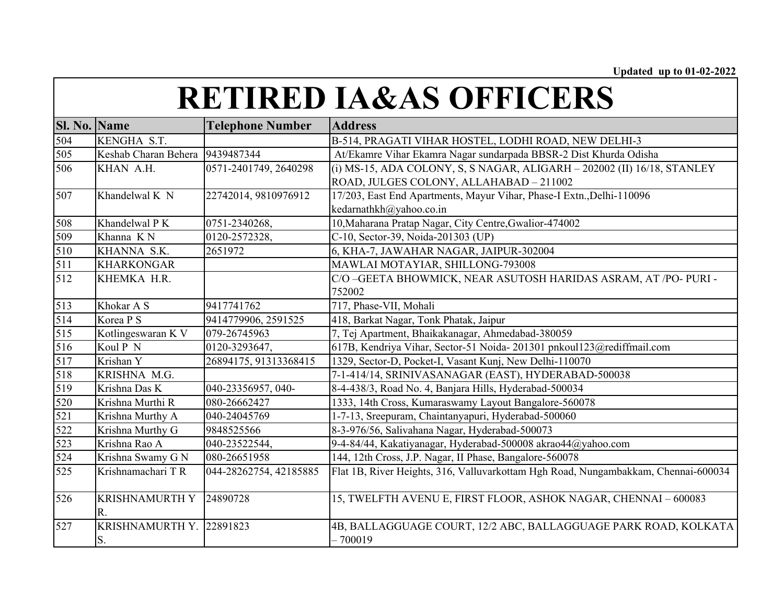| <b>Sl. No. Name</b> |                                 | <b>Telephone Number</b> | <b>Address</b>                                                                     |
|---------------------|---------------------------------|-------------------------|------------------------------------------------------------------------------------|
| 504                 | KENGHA S.T.                     |                         | B-514, PRAGATI VIHAR HOSTEL, LODHI ROAD, NEW DELHI-3                               |
| 505                 | Keshab Charan Behera 9439487344 |                         | At/Ekamre Vihar Ekamra Nagar sundarpada BBSR-2 Dist Khurda Odisha                  |
| 506                 | KHAN A.H.                       | 0571-2401749, 2640298   | (i) MS-15, ADA COLONY, S, S NAGAR, ALIGARH - 202002 (II) 16/18, STANLEY            |
|                     |                                 |                         | ROAD, JULGES COLONY, ALLAHABAD - 211002                                            |
| 507                 | Khandelwal K N                  | 22742014, 9810976912    | 17/203, East End Apartments, Mayur Vihar, Phase-I Extn., Delhi-110096              |
|                     |                                 |                         | kedarnathkh@yahoo.co.in                                                            |
| 508                 | Khandelwal P K                  | 0751-2340268,           | 10, Maharana Pratap Nagar, City Centre, Gwalior-474002                             |
| 509                 | Khanna KN                       | 0120-2572328,           | C-10, Sector-39, Noida-201303 (UP)                                                 |
| 510                 | KHANNA S.K.                     | 2651972                 | 6, KHA-7, JAWAHAR NAGAR, JAIPUR-302004                                             |
| 511                 | <b>KHARKONGAR</b>               |                         | MAWLAI MOTAYIAR, SHILLONG-793008                                                   |
| 512                 | KHEMKA H.R.                     |                         | C/O -GEETA BHOWMICK, NEAR ASUTOSH HARIDAS ASRAM, AT /PO- PURI -                    |
|                     |                                 |                         | 752002                                                                             |
| 513                 | Khokar A S                      | 9417741762              | 717, Phase-VII, Mohali                                                             |
| 514                 | Korea P S                       | 9414779906, 2591525     | 418, Barkat Nagar, Tonk Phatak, Jaipur                                             |
| 515                 | Kotlingeswaran K V              | 079-26745963            | 7, Tej Apartment, Bhaikakanagar, Ahmedabad-380059                                  |
| 516                 | Koul P N                        | 0120-3293647,           | 617B, Kendriya Vihar, Sector-51 Noida- 201301 pnkoul123@rediffmail.com             |
| 517                 | Krishan Y                       | 26894175, 91313368415   | 1329, Sector-D, Pocket-I, Vasant Kunj, New Delhi-110070                            |
| 518                 | KRISHNA M.G.                    |                         | 7-1-414/14, SRINIVASANAGAR (EAST), HYDERABAD-500038                                |
| 519                 | Krishna Das K                   | 040-23356957, 040-      | 8-4-438/3, Road No. 4, Banjara Hills, Hyderabad-500034                             |
| 520                 | Krishna Murthi R                | 080-26662427            | 1333, 14th Cross, Kumaraswamy Layout Bangalore-560078                              |
| 521                 | Krishna Murthy A                | 040-24045769            | 1-7-13, Sreepuram, Chaintanyapuri, Hyderabad-500060                                |
| 522                 | Krishna Murthy G                | 9848525566              | 8-3-976/56, Salivahana Nagar, Hyderabad-500073                                     |
| 523                 | Krishna Rao A                   | 040-23522544,           | 9-4-84/44, Kakatiyanagar, Hyderabad-500008 akrao44@yahoo.com                       |
| 524                 | Krishna Swamy G N               | 080-26651958            | 144, 12th Cross, J.P. Nagar, II Phase, Bangalore-560078                            |
| 525                 | Krishnamachari TR               | 044-28262754, 42185885  | Flat 1B, River Heights, 316, Valluvarkottam Hgh Road, Nungambakkam, Chennai-600034 |
| 526                 | <b>KRISHNAMURTH Y</b>           | 24890728                | 15, TWELFTH AVENU E, FIRST FLOOR, ASHOK NAGAR, CHENNAI - 600083                    |
|                     | R.                              |                         |                                                                                    |
| 527                 | KRISHNAMURTH Y. 22891823        |                         | 4B, BALLAGGUAGE COURT, 12/2 ABC, BALLAGGUAGE PARK ROAD, KOLKATA                    |
|                     | S.                              |                         | $-700019$                                                                          |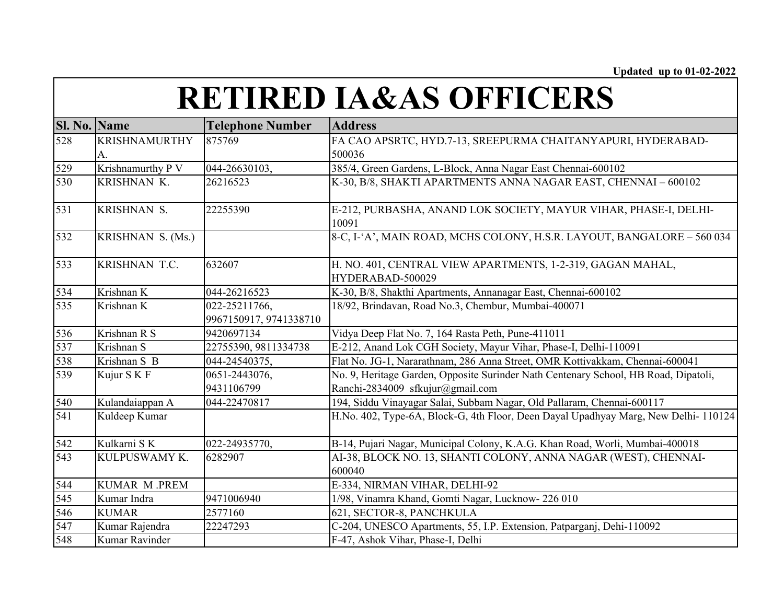| <b>Sl. No. Name</b> |                      | <b>Telephone Number</b> | <b>Address</b>                                                                      |
|---------------------|----------------------|-------------------------|-------------------------------------------------------------------------------------|
| 528                 | <b>KRISHNAMURTHY</b> | 875769                  | FA CAO APSRTC, HYD.7-13, SREEPURMA CHAITANYAPURI, HYDERABAD-                        |
|                     | A.                   |                         | 500036                                                                              |
| 529                 | Krishnamurthy P V    | 044-26630103,           | 385/4, Green Gardens, L-Block, Anna Nagar East Chennai-600102                       |
| 530                 | KRISHNAN K.          | 26216523                | K-30, B/8, SHAKTI APARTMENTS ANNA NAGAR EAST, CHENNAI - 600102                      |
| 531                 | KRISHNAN S.          | 22255390                | E-212, PURBASHA, ANAND LOK SOCIETY, MAYUR VIHAR, PHASE-I, DELHI-<br>10091           |
| 532                 | KRISHNAN S. (Ms.)    |                         | 8-C, I-'A', MAIN ROAD, MCHS COLONY, H.S.R. LAYOUT, BANGALORE - 560 034              |
| 533                 | KRISHNAN T.C.        | 632607                  | H. NO. 401, CENTRAL VIEW APARTMENTS, 1-2-319, GAGAN MAHAL,<br>HYDERABAD-500029      |
| 534                 | Krishnan K           | 044-26216523            | K-30, B/8, Shakthi Apartments, Annanagar East, Chennai-600102                       |
| 535                 | Krishnan K           | 022-25211766,           | 18/92, Brindavan, Road No.3, Chembur, Mumbai-400071                                 |
|                     |                      | 9967150917, 9741338710  |                                                                                     |
| 536                 | Krishnan R S         | 9420697134              | Vidya Deep Flat No. 7, 164 Rasta Peth, Pune-411011                                  |
| 537                 | Krishnan S           | 22755390, 9811334738    | E-212, Anand Lok CGH Society, Mayur Vihar, Phase-I, Delhi-110091                    |
| 538                 | Krishnan S B         | 044-24540375,           | Flat No. JG-1, Nararathnam, 286 Anna Street, OMR Kottivakkam, Chennai-600041        |
| 539                 | Kujur S K F          | 0651-2443076,           | No. 9, Heritage Garden, Opposite Surinder Nath Centenary School, HB Road, Dipatoli, |
|                     |                      | 9431106799              | Ranchi-2834009 sfkujur@gmail.com                                                    |
| 540                 | Kulandaiappan A      | 044-22470817            | 194, Siddu Vinayagar Salai, Subbam Nagar, Old Pallaram, Chennai-600117              |
| 541                 | Kuldeep Kumar        |                         | H.No. 402, Type-6A, Block-G, 4th Floor, Deen Dayal Upadhyay Marg, New Delhi-110124  |
| 542                 | Kulkarni SK          | 022-24935770,           | B-14, Pujari Nagar, Municipal Colony, K.A.G. Khan Road, Worli, Mumbai-400018        |
| 543                 | KULPUSWAMY K.        | 6282907                 | AI-38, BLOCK NO. 13, SHANTI COLONY, ANNA NAGAR (WEST), CHENNAI-                     |
|                     |                      |                         | 600040                                                                              |
| 544                 | <b>KUMAR M.PREM</b>  |                         | E-334, NIRMAN VIHAR, DELHI-92                                                       |
| 545                 | Kumar Indra          | 9471006940              | 1/98, Vinamra Khand, Gomti Nagar, Lucknow-226 010                                   |
| 546                 | <b>KUMAR</b>         | 2577160                 | 621, SECTOR-8, PANCHKULA                                                            |
| 547                 | Kumar Rajendra       | 22247293                | C-204, UNESCO Apartments, 55, I.P. Extension, Patparganj, Dehi-110092               |
| 548                 | Kumar Ravinder       |                         | F-47, Ashok Vihar, Phase-I, Delhi                                                   |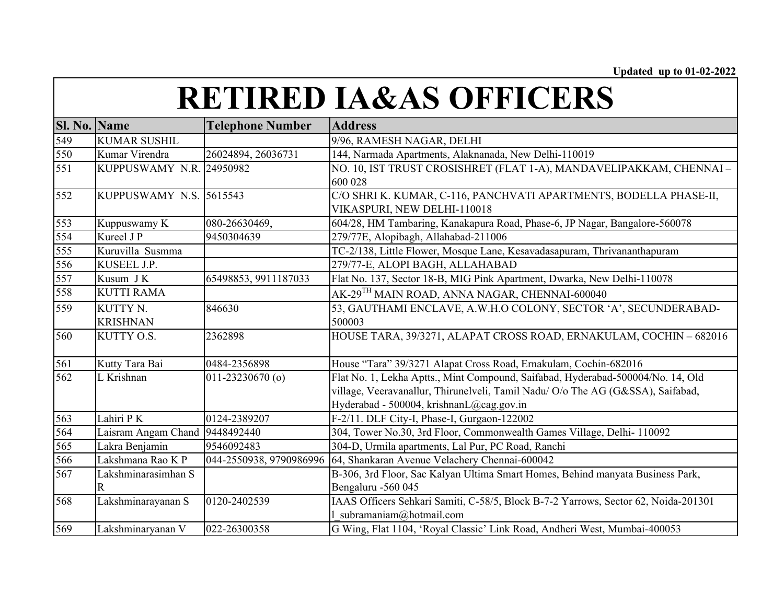| Sl. No. Name |                                | <b>Telephone Number</b> | <b>Address</b>                                                                                                                                                                                                 |
|--------------|--------------------------------|-------------------------|----------------------------------------------------------------------------------------------------------------------------------------------------------------------------------------------------------------|
| 549          | <b>KUMAR SUSHIL</b>            |                         | 9/96, RAMESH NAGAR, DELHI                                                                                                                                                                                      |
| 550          | Kumar Virendra                 | 26024894, 26036731      | 144, Narmada Apartments, Alaknanada, New Delhi-110019                                                                                                                                                          |
| 551          | KUPPUSWAMY N.R. 24950982       |                         | NO. 10, IST TRUST CROSISHRET (FLAT 1-A), MANDAVELIPAKKAM, CHENNAI –<br>600 028                                                                                                                                 |
| 552          | <b>KUPPUSWAMY N.S. 5615543</b> |                         | C/O SHRI K. KUMAR, C-116, PANCHVATI APARTMENTS, BODELLA PHASE-II,<br>VIKASPURI, NEW DELHI-110018                                                                                                               |
| 553          | Kuppuswamy K                   | 080-26630469,           | 604/28, HM Tambaring, Kanakapura Road, Phase-6, JP Nagar, Bangalore-560078                                                                                                                                     |
| 554          | Kureel J P                     | 9450304639              | 279/77E, Alopibagh, Allahabad-211006                                                                                                                                                                           |
| 555          | Kuruvilla Susmma               |                         | TC-2/138, Little Flower, Mosque Lane, Kesavadasapuram, Thrivananthapuram                                                                                                                                       |
| 556          | KUSEEL J.P.                    |                         | 279/77-E, ALOPI BAGH, ALLAHABAD                                                                                                                                                                                |
| 557          | Kusum J K                      | 65498853, 9911187033    | Flat No. 137, Sector 18-B, MIG Pink Apartment, Dwarka, New Delhi-110078                                                                                                                                        |
| 558          | <b>KUTTI RAMA</b>              |                         | AK-29 <sup>TH</sup> MAIN ROAD, ANNA NAGAR, CHENNAI-600040                                                                                                                                                      |
| 559          | KUTTY N.<br><b>KRISHNAN</b>    | 846630                  | 53, GAUTHAMI ENCLAVE, A.W.H.O COLONY, SECTOR 'A', SECUNDERABAD-<br>500003                                                                                                                                      |
| 560          | KUTTY O.S.                     | 2362898                 | HOUSE TARA, 39/3271, ALAPAT CROSS ROAD, ERNAKULAM, COCHIN - 682016                                                                                                                                             |
| 561          | Kutty Tara Bai                 | 0484-2356898            | House "Tara" 39/3271 Alapat Cross Road, Ernakulam, Cochin-682016                                                                                                                                               |
| 562          | L Krishnan                     | $011 - 23230670$ (o)    | Flat No. 1, Lekha Aptts., Mint Compound, Saifabad, Hyderabad-500004/No. 14, Old<br>village, Veeravanallur, Thirunelveli, Tamil Nadu/ O/o The AG (G&SSA), Saifabad,<br>Hyderabad - 500004, krishnanL@cag.gov.in |
| 563          | Lahiri P K                     | 0124-2389207            | F-2/11. DLF City-I, Phase-I, Gurgaon-122002                                                                                                                                                                    |
| 564          | Laisram Angam Chand            | 9448492440              | 304, Tower No.30, 3rd Floor, Commonwealth Games Village, Delhi- 110092                                                                                                                                         |
| 565          | Lakra Benjamin                 | 9546092483              | 304-D, Urmila apartments, Lal Pur, PC Road, Ranchi                                                                                                                                                             |
| 566          | Lakshmana Rao K P              | 044-2550938, 9790986996 | 64, Shankaran Avenue Velachery Chennai-600042                                                                                                                                                                  |
| 567          | Lakshminarasimhan S<br>R       |                         | B-306, 3rd Floor, Sac Kalyan Ultima Smart Homes, Behind manyata Business Park,<br>Bengaluru -560 045                                                                                                           |
| 568          | Lakshminarayanan S             | 0120-2402539            | IAAS Officers Sehkari Samiti, C-58/5, Block B-7-2 Yarrows, Sector 62, Noida-201301<br>subramaniam@hotmail.com                                                                                                  |
| 569          | Lakshminaryanan V              | 022-26300358            | G Wing, Flat 1104, 'Royal Classic' Link Road, Andheri West, Mumbai-400053                                                                                                                                      |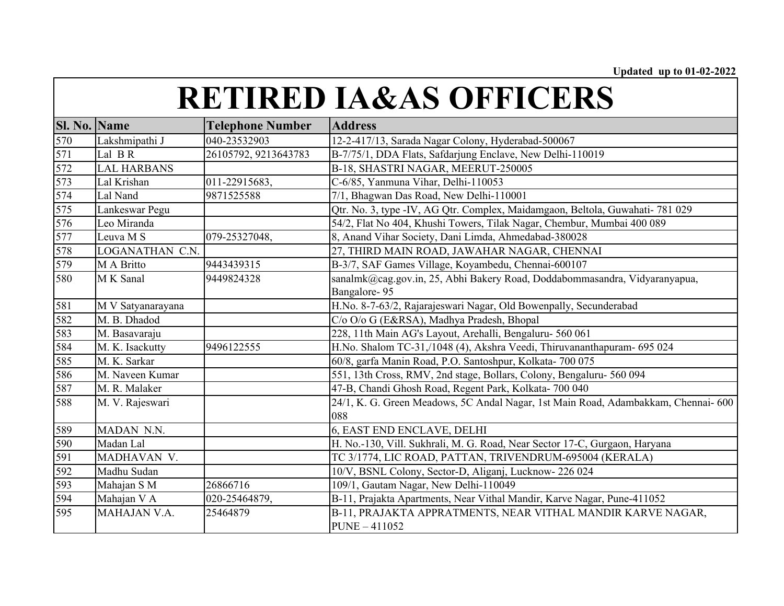| Sl. No. | <b>Name</b>        | <b>Telephone Number</b> | <b>Address</b>                                                                     |
|---------|--------------------|-------------------------|------------------------------------------------------------------------------------|
| 570     | Lakshmipathi J     | 040-23532903            | 12-2-417/13, Sarada Nagar Colony, Hyderabad-500067                                 |
| 571     | Lal BR             | 26105792, 9213643783    | B-7/75/1, DDA Flats, Safdarjung Enclave, New Delhi-110019                          |
| 572     | <b>LAL HARBANS</b> |                         | B-18, SHASTRI NAGAR, MEERUT-250005                                                 |
| 573     | Lal Krishan        | 011-22915683,           | C-6/85, Yanmuna Vihar, Delhi-110053                                                |
| 574     | Lal Nand           | 9871525588              | 7/1, Bhagwan Das Road, New Delhi-110001                                            |
| 575     | Lankeswar Pegu     |                         | Qtr. No. 3, type -IV, AG Qtr. Complex, Maidamgaon, Beltola, Guwahati- 781 029      |
| 576     | Leo Miranda        |                         | 54/2, Flat No 404, Khushi Towers, Tilak Nagar, Chembur, Mumbai 400 089             |
| 577     | Leuva M S          | 079-25327048,           | 8, Anand Vihar Society, Dani Limda, Ahmedabad-380028                               |
| 578     | LOGANATHAN C.N.    |                         | 27, THIRD MAIN ROAD, JAWAHAR NAGAR, CHENNAI                                        |
| 579     | M A Britto         | 9443439315              | B-3/7, SAF Games Village, Koyambedu, Chennai-600107                                |
| 580     | M K Sanal          | 9449824328              | sanalmk@cag.gov.in, 25, Abhi Bakery Road, Doddabommasandra, Vidyaranyapua,         |
|         |                    |                         | Bangalore-95                                                                       |
| 581     | M V Satyanarayana  |                         | H.No. 8-7-63/2, Rajarajeswari Nagar, Old Bowenpally, Secunderabad                  |
| 582     | M. B. Dhadod       |                         | C/o O/o G (E&RSA), Madhya Pradesh, Bhopal                                          |
| 583     | M. Basavaraju      |                         | 228, 11th Main AG's Layout, Arehalli, Bengaluru- 560 061                           |
| 584     | M. K. Isackutty    | 9496122555              | H.No. Shalom TC-31,/1048 (4), Akshra Veedi, Thiruvananthapuram- 695 024            |
| 585     | M. K. Sarkar       |                         | 60/8, garfa Manin Road, P.O. Santoshpur, Kolkata- 700 075                          |
| 586     | M. Naveen Kumar    |                         | 551, 13th Cross, RMV, 2nd stage, Bollars, Colony, Bengaluru- 560 094               |
| 587     | M. R. Malaker      |                         | 47-B, Chandi Ghosh Road, Regent Park, Kolkata- 700 040                             |
| 588     | M. V. Rajeswari    |                         | 24/1, K. G. Green Meadows, 5C Andal Nagar, 1st Main Road, Adambakkam, Chennai- 600 |
|         |                    |                         | 088                                                                                |
| 589     | MADAN N.N.         |                         | 6, EAST END ENCLAVE, DELHI                                                         |
| 590     | Madan Lal          |                         | H. No.-130, Vill. Sukhrali, M. G. Road, Near Sector 17-C, Gurgaon, Haryana         |
| 591     | MADHAVAN V.        |                         | TC 3/1774, LIC ROAD, PATTAN, TRIVENDRUM-695004 (KERALA)                            |
| 592     | Madhu Sudan        |                         | 10/V, BSNL Colony, Sector-D, Aliganj, Lucknow-226 024                              |
| 593     | Mahajan S M        | 26866716                | 109/1, Gautam Nagar, New Delhi-110049                                              |
| 594     | Mahajan V A        | 020-25464879,           | B-11, Prajakta Apartments, Near Vithal Mandir, Karve Nagar, Pune-411052            |
| 595     | MAHAJAN V.A.       | 25464879                | B-11, PRAJAKTA APPRATMENTS, NEAR VITHAL MANDIR KARVE NAGAR,                        |
|         |                    |                         | <b>PUNE - 411052</b>                                                               |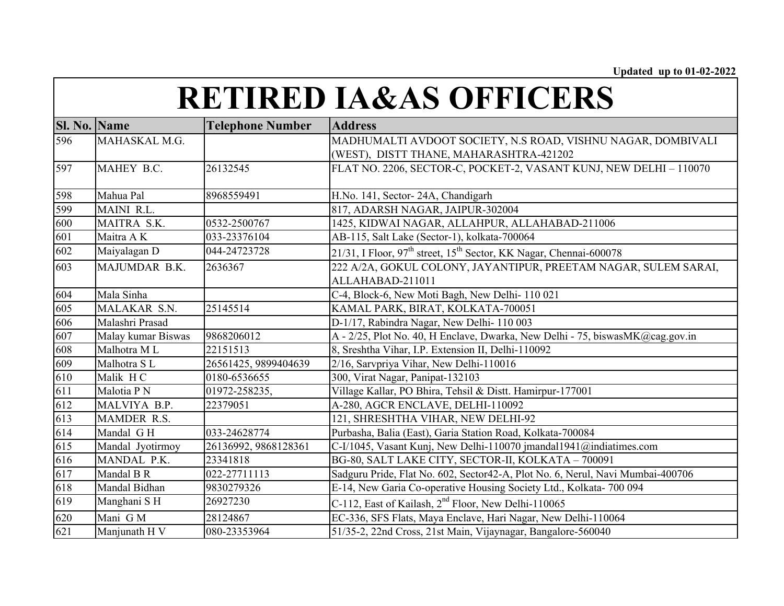| Sl. No. Name |                    | <b>Telephone Number</b> | <b>Address</b>                                                                 |
|--------------|--------------------|-------------------------|--------------------------------------------------------------------------------|
| 596          | MAHASKAL M.G.      |                         | MADHUMALTI AVDOOT SOCIETY, N.S ROAD, VISHNU NAGAR, DOMBIVALI                   |
|              |                    |                         | (WEST), DISTT THANE, MAHARASHTRA-421202                                        |
| 597          | MAHEY B.C.         | 26132545                | FLAT NO. 2206, SECTOR-C, POCKET-2, VASANT KUNJ, NEW DELHI - 110070             |
|              |                    |                         |                                                                                |
| 598          | Mahua Pal          | 8968559491              | H.No. 141, Sector-24A, Chandigarh                                              |
| 599          | MAINI R.L.         |                         | 817, ADARSH NAGAR, JAIPUR-302004                                               |
| 600          | MAITRA S.K.        | 0532-2500767            | 1425, KIDWAI NAGAR, ALLAHPUR, ALLAHABAD-211006                                 |
| 601          | Maitra AK          | 033-23376104            | AB-115, Salt Lake (Sector-1), kolkata-700064                                   |
| 602          | Maiyalagan D       | 044-24723728            | 21/31, I Floor, $97th$ street, $15th$ Sector, KK Nagar, Chennai-600078         |
| 603          | MAJUMDAR B.K.      | 2636367                 | 222 A/2A, GOKUL COLONY, JAYANTIPUR, PREETAM NAGAR, SULEM SARAI,                |
|              |                    |                         | ALLAHABAD-211011                                                               |
| 604          | Mala Sinha         |                         | C-4, Block-6, New Moti Bagh, New Delhi-110 021                                 |
| 605          | MALAKAR S.N.       | 25145514                | KAMAL PARK, BIRAT, KOLKATA-700051                                              |
| 606          | Malashri Prasad    |                         | D-1/17, Rabindra Nagar, New Delhi-110 003                                      |
| 607          | Malay kumar Biswas | 9868206012              | A - 2/25, Plot No. 40, H Enclave, Dwarka, New Delhi - 75, biswasMK@cag.gov.in  |
| 608          | Malhotra ML        | 22151513                | 8, Sreshtha Vihar, I.P. Extension II, Delhi-110092                             |
| 609          | Malhotra SL        | 26561425, 9899404639    | 2/16, Sarvpriya Vihar, New Delhi-110016                                        |
| 610          | Malik HC           | 0180-6536655            | 300, Virat Nagar, Panipat-132103                                               |
| 611          | Malotia P N        | 01972-258235,           | Village Kallar, PO Bhira, Tehsil & Distt. Hamirpur-177001                      |
| 612          | MALVIYA B.P.       | 22379051                | A-280, AGCR ENCLAVE, DELHI-110092                                              |
| 613          | MAMDER R.S.        |                         | 121, SHRESHTHA VIHAR, NEW DELHI-92                                             |
| 614          | Mandal GH          | 033-24628774            | Purbasha, Balia (East), Garia Station Road, Kolkata-700084                     |
| 615          | Mandal Jyotirmoy   | 26136992, 9868128361    | C-I/1045, Vasant Kunj, New Delhi-110070 jmandal1941@indiatimes.com             |
| 616          | MANDAL P.K.        | 23341818                | BG-80, SALT LAKE CITY, SECTOR-II, KOLKATA - 700091                             |
| 617          | Mandal B R         | 022-27711113            | Sadguru Pride, Flat No. 602, Sector42-A, Plot No. 6, Nerul, Navi Mumbai-400706 |
| 618          | Mandal Bidhan      | 9830279326              | E-14, New Garia Co-operative Housing Society Ltd., Kolkata- 700 094            |
| 619          | Manghani SH        | 26927230                | C-112, East of Kailash, 2 <sup>nd</sup> Floor, New Delhi-110065                |
| 620          | Mani GM            | 28124867                | EC-336, SFS Flats, Maya Enclave, Hari Nagar, New Delhi-110064                  |
| 621          | Manjunath H V      | 080-23353964            | 51/35-2, 22nd Cross, 21st Main, Vijaynagar, Bangalore-560040                   |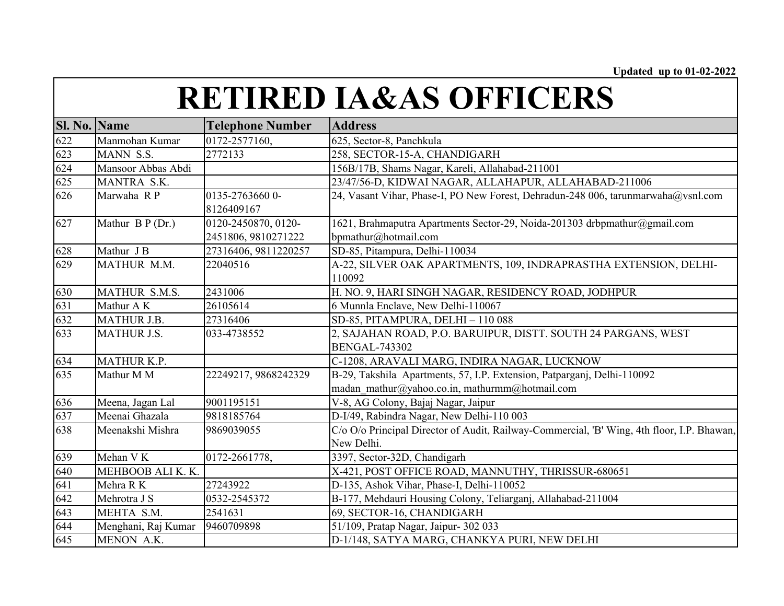| <b>Sl. No. Name</b> |                     | <b>Telephone Number</b>                    | <b>Address</b>                                                                                                            |
|---------------------|---------------------|--------------------------------------------|---------------------------------------------------------------------------------------------------------------------------|
| 622                 | Manmohan Kumar      | 0172-2577160,                              | 625, Sector-8, Panchkula                                                                                                  |
| 623                 | MANN S.S.           | 2772133                                    | 258, SECTOR-15-A, CHANDIGARH                                                                                              |
| 624                 | Mansoor Abbas Abdi  |                                            | 156B/17B, Shams Nagar, Kareli, Allahabad-211001                                                                           |
| 625                 | MANTRA S.K.         |                                            | 23/47/56-D, KIDWAI NAGAR, ALLAHAPUR, ALLAHABAD-211006                                                                     |
| 626                 | Marwaha RP          | 0135-27636600-<br>8126409167               | 24, Vasant Vihar, Phase-I, PO New Forest, Dehradun-248 006, tarunmarwaha@vsnl.com                                         |
| 627                 | Mathur B P (Dr.)    | 0120-2450870, 0120-<br>2451806, 9810271222 | 1621, Brahmaputra Apartments Sector-29, Noida-201303 drbpmathur@gmail.com<br>bpmathur@hotmail.com                         |
| 628                 | Mathur J B          | 27316406, 9811220257                       | SD-85, Pitampura, Delhi-110034                                                                                            |
| 629                 | MATHUR M.M.         | 22040516                                   | A-22, SILVER OAK APARTMENTS, 109, INDRAPRASTHA EXTENSION, DELHI-<br>110092                                                |
| 630                 | MATHUR S.M.S.       | 2431006                                    | H. NO. 9, HARI SINGH NAGAR, RESIDENCY ROAD, JODHPUR                                                                       |
| 631                 | Mathur A K          | 26105614                                   | 6 Munnla Enclave, New Delhi-110067                                                                                        |
| 632                 | <b>MATHUR J.B.</b>  | 27316406                                   | SD-85, PITAMPURA, DELHI - 110 088                                                                                         |
| 633                 | <b>MATHUR J.S.</b>  | 033-4738552                                | 2, SAJAHAN ROAD, P.O. BARUIPUR, DISTT. SOUTH 24 PARGANS, WEST<br><b>BENGAL-743302</b>                                     |
| 634                 | MATHUR K.P.         |                                            | C-1208, ARAVALI MARG, INDIRA NAGAR, LUCKNOW                                                                               |
| 635                 | Mathur M M          | 22249217, 9868242329                       | B-29, Takshila Apartments, 57, I.P. Extension, Patparganj, Delhi-110092<br>madan mathur@yahoo.co.in, mathurmm@hotmail.com |
| 636                 | Meena, Jagan Lal    | 9001195151                                 | V-8, AG Colony, Bajaj Nagar, Jaipur                                                                                       |
| 637                 | Meenai Ghazala      | 9818185764                                 | D-I/49, Rabindra Nagar, New Delhi-110 003                                                                                 |
| 638                 | Meenakshi Mishra    | 9869039055                                 | C/o O/o Principal Director of Audit, Railway-Commercial, 'B' Wing, 4th floor, I.P. Bhawan,<br>New Delhi.                  |
| 639                 | Mehan V K           | 0172-2661778,                              | 3397, Sector-32D, Chandigarh                                                                                              |
| 640                 | MEHBOOB ALI K. K.   |                                            | X-421, POST OFFICE ROAD, MANNUTHY, THRISSUR-680651                                                                        |
| 641                 | Mehra R K           | 27243922                                   | D-135, Ashok Vihar, Phase-I, Delhi-110052                                                                                 |
| 642                 | Mehrotra J S        | 0532-2545372                               | B-177, Mehdauri Housing Colony, Teliarganj, Allahabad-211004                                                              |
| 643                 | MEHTA S.M.          | 2541631                                    | 69, SECTOR-16, CHANDIGARH                                                                                                 |
| 644                 | Menghani, Raj Kumar | 9460709898                                 | 51/109, Pratap Nagar, Jaipur- 302 033                                                                                     |
| 645                 | MENON A.K.          |                                            | D-1/148, SATYA MARG, CHANKYA PURI, NEW DELHI                                                                              |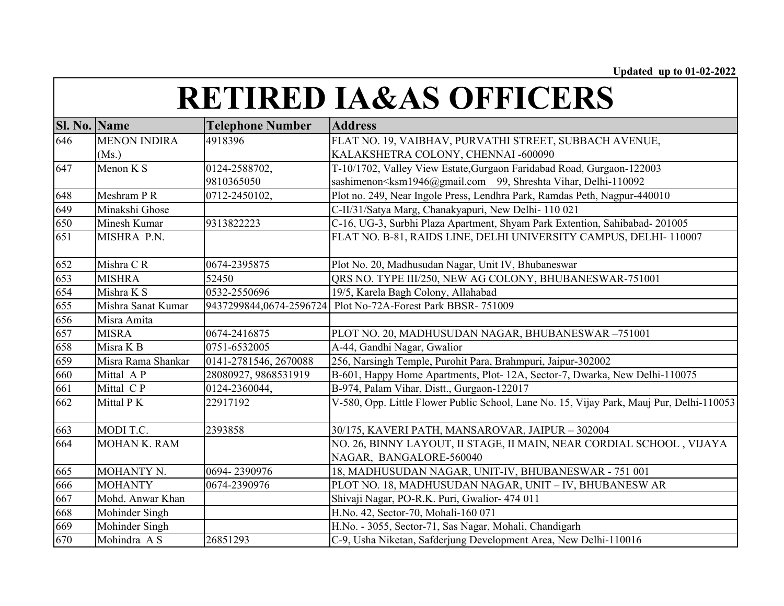| Sl. No. Name |                       | <b>Telephone Number</b> | <b>Address</b>                                                                                         |
|--------------|-----------------------|-------------------------|--------------------------------------------------------------------------------------------------------|
| 646          | <b>MENON INDIRA</b>   | 4918396                 | FLAT NO. 19, VAIBHAV, PURVATHI STREET, SUBBACH AVENUE,                                                 |
|              | (Ms.)                 |                         | KALAKSHETRA COLONY, CHENNAI -600090                                                                    |
| 647          | Menon $\overline{K}S$ | 0124-2588702,           | T-10/1702, Valley View Estate, Gurgaon Faridabad Road, Gurgaon-122003                                  |
|              |                       | 9810365050              | sashimenon <ksm1946@gmail.com 99,="" delhi-110092<="" shreshta="" td="" vihar,=""></ksm1946@gmail.com> |
| 648          | Meshram P R           | 0712-2450102,           | Plot no. 249, Near Ingole Press, Lendhra Park, Ramdas Peth, Nagpur-440010                              |
| 649          | Minakshi Ghose        |                         | C-II/31/Satya Marg, Chanakyapuri, New Delhi-110 021                                                    |
| 650          | Minesh Kumar          | 9313822223              | C-16, UG-3, Surbhi Plaza Apartment, Shyam Park Extention, Sahibabad-201005                             |
| 651          | MISHRA P.N.           |                         | FLAT NO. B-81, RAIDS LINE, DELHI UNIVERSITY CAMPUS, DELHI-110007                                       |
| 652          | Mishra CR             | 0674-2395875            | Plot No. 20, Madhusudan Nagar, Unit IV, Bhubaneswar                                                    |
| 653          | <b>MISHRA</b>         | 52450                   | QRS NO. TYPE III/250, NEW AG COLONY, BHUBANESWAR-751001                                                |
| 654          | Mishra K S            | 0532-2550696            | 19/5, Karela Bagh Colony, Allahabad                                                                    |
| 655          | Mishra Sanat Kumar    |                         | 9437299844,0674-2596724 Plot No-72A-Forest Park BBSR-751009                                            |
| 656          | Misra Amita           |                         |                                                                                                        |
| 657          | <b>MISRA</b>          | 0674-2416875            | PLOT NO. 20, MADHUSUDAN NAGAR, BHUBANESWAR-751001                                                      |
| 658          | Misra K B             | 0751-6532005            | A-44, Gandhi Nagar, Gwalior                                                                            |
| 659          | Misra Rama Shankar    | 0141-2781546, 2670088   | 256, Narsingh Temple, Purohit Para, Brahmpuri, Jaipur-302002                                           |
| 660          | Mittal AP             | 28080927, 9868531919    | B-601, Happy Home Apartments, Plot-12A, Sector-7, Dwarka, New Delhi-110075                             |
| 661          | Mittal CP             | 0124-2360044,           | B-974, Palam Vihar, Distt., Gurgaon-122017                                                             |
| 662          | Mittal PK             | 22917192                | V-580, Opp. Little Flower Public School, Lane No. 15, Vijay Park, Mauj Pur, Delhi-110053               |
| 663          | MODI T.C.             | 2393858                 | 30/175, KAVERI PATH, MANSAROVAR, JAIPUR - 302004                                                       |
| 664          | <b>MOHAN K. RAM</b>   |                         | NO. 26, BINNY LAYOUT, II STAGE, II MAIN, NEAR CORDIAL SCHOOL, VIJAYA                                   |
|              |                       |                         | NAGAR, BANGALORE-560040                                                                                |
| 665          | MOHANTY N.            | 0694-2390976            | 18, MADHUSUDAN NAGAR, UNIT-IV, BHUBANESWAR - 751 001                                                   |
| 666          | <b>MOHANTY</b>        | 0674-2390976            | PLOT NO. 18, MADHUSUDAN NAGAR, UNIT - IV, BHUBANESW AR                                                 |
| 667          | Mohd. Anwar Khan      |                         | Shivaji Nagar, PO-R.K. Puri, Gwalior- 474 011                                                          |
| 668          | Mohinder Singh        |                         | H.No. 42, Sector-70, Mohali-160 071                                                                    |
| 669          | Mohinder Singh        |                         | H.No. - 3055, Sector-71, Sas Nagar, Mohali, Chandigarh                                                 |
| 670          | Mohindra A S          | 26851293                | C-9, Usha Niketan, Safderjung Development Area, New Delhi-110016                                       |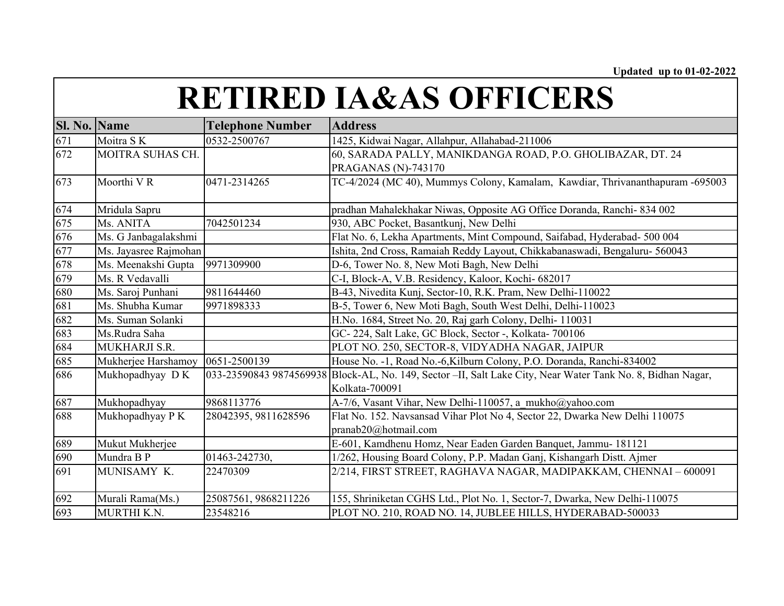| Sl. No. Name      |                       | <b>Telephone Number</b> | <b>Address</b>                                                                                               |
|-------------------|-----------------------|-------------------------|--------------------------------------------------------------------------------------------------------------|
| $\frac{671}{672}$ | Moitra SK             | 0532-2500767            | 1425, Kidwai Nagar, Allahpur, Allahabad-211006                                                               |
|                   | MOITRA SUHAS CH.      |                         | 60, SARADA PALLY, MANIKDANGA ROAD, P.O. GHOLIBAZAR, DT. 24                                                   |
|                   |                       |                         | PRAGANAS (N)-743170                                                                                          |
| 673               | Moorthi VR            | 0471-2314265            | TC-4/2024 (MC 40), Mummys Colony, Kamalam, Kawdiar, Thrivananthapuram -695003                                |
| 674               | Mridula Sapru         |                         | pradhan Mahalekhakar Niwas, Opposite AG Office Doranda, Ranchi- 834 002                                      |
| 675               | Ms. ANITA             | 7042501234              | 930, ABC Pocket, Basantkunj, New Delhi                                                                       |
| 676               | Ms. G Janbagalakshmi  |                         | Flat No. 6, Lekha Apartments, Mint Compound, Saifabad, Hyderabad- 500 004                                    |
| 677               | Ms. Jayasree Rajmohan |                         | Ishita, 2nd Cross, Ramaiah Reddy Layout, Chikkabanaswadi, Bengaluru- 560043                                  |
| 678               | Ms. Meenakshi Gupta   | 9971309900              | D-6, Tower No. 8, New Moti Bagh, New Delhi                                                                   |
| 679               | Ms. R Vedavalli       |                         | C-I, Block-A, V.B. Residency, Kaloor, Kochi- 682017                                                          |
| $\frac{680}{681}$ | Ms. Saroj Punhani     | 9811644460              | B-43, Nivedita Kunj, Sector-10, R.K. Pram, New Delhi-110022                                                  |
|                   | Ms. Shubha Kumar      | 9971898333              | B-5, Tower 6, New Moti Bagh, South West Delhi, Delhi-110023                                                  |
| 682               | Ms. Suman Solanki     |                         | H.No. 1684, Street No. 20, Raj garh Colony, Delhi- 110031                                                    |
| 683               | Ms.Rudra Saha         |                         | GC-224, Salt Lake, GC Block, Sector -, Kolkata-700106                                                        |
| 684               | MUKHARJI S.R.         |                         | PLOT NO. 250, SECTOR-8, VIDYADHA NAGAR, JAIPUR                                                               |
| 685               | Mukherjee Harshamoy   | 0651-2500139            | House No. -1, Road No.-6, Kilburn Colony, P.O. Doranda, Ranchi-834002                                        |
| 686               | Mukhopadhyay DK       |                         | 033-23590843 9874569938 Block-AL, No. 149, Sector --II, Salt Lake City, Near Water Tank No. 8, Bidhan Nagar, |
|                   |                       |                         | Kolkata-700091                                                                                               |
| 687               | Mukhopadhyay          | 9868113776              | A-7/6, Vasant Vihar, New Delhi-110057, a mukho@yahoo.com                                                     |
| 688               | Mukhopadhyay P K      | 28042395, 9811628596    | Flat No. 152. Navsansad Vihar Plot No 4, Sector 22, Dwarka New Delhi 110075                                  |
|                   |                       |                         | pranab20@hotmail.com                                                                                         |
| $\frac{689}{690}$ | Mukut Mukherjee       |                         | E-601, Kamdhenu Homz, Near Eaden Garden Banquet, Jammu- 181121                                               |
|                   | Mundra B P            | 01463-242730,           | 1/262, Housing Board Colony, P.P. Madan Ganj, Kishangarh Distt. Ajmer                                        |
| 691               | MUNISAMY K.           | 22470309                | 2/214, FIRST STREET, RAGHAVA NAGAR, MADIPAKKAM, CHENNAI - 600091                                             |
| 692               | Murali Rama(Ms.)      | 25087561, 9868211226    | 155, Shriniketan CGHS Ltd., Plot No. 1, Sector-7, Dwarka, New Delhi-110075                                   |
| 693               | MURTHI K.N.           | 23548216                | PLOT NO. 210, ROAD NO. 14, JUBLEE HILLS, HYDERABAD-500033                                                    |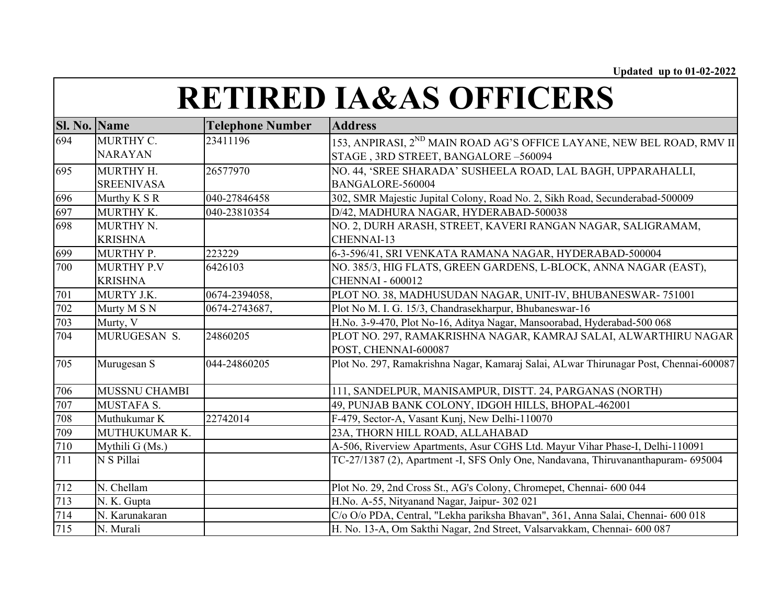| Sl. No. Name |                      | <b>Telephone Number</b> | <b>Address</b>                                                                        |
|--------------|----------------------|-------------------------|---------------------------------------------------------------------------------------|
| 694          | MURTHY C.            | 23411196                | 153, ANPIRASI, 2 <sup>ND</sup> MAIN ROAD AG'S OFFICE LAYANE, NEW BEL ROAD, RMV II     |
|              | <b>NARAYAN</b>       |                         | STAGE, 3RD STREET, BANGALORE-560094                                                   |
| 695          | MURTHY H.            | 26577970                | NO. 44, 'SREE SHARADA' SUSHEELA ROAD, LAL BAGH, UPPARAHALLI,                          |
|              | <b>SREENIVASA</b>    |                         | BANGALORE-560004                                                                      |
| 696          | Murthy K S R         | 040-27846458            | 302, SMR Majestic Jupital Colony, Road No. 2, Sikh Road, Secunderabad-500009          |
| 697          | MURTHY K.            | 040-23810354            | D/42, MADHURA NAGAR, HYDERABAD-500038                                                 |
| 698          | MURTHY N.            |                         | NO. 2, DURH ARASH, STREET, KAVERI RANGAN NAGAR, SALIGRAMAM,                           |
|              | <b>KRISHNA</b>       |                         | CHENNAI-13                                                                            |
| 699          | MURTHY P.            | 223229                  | 6-3-596/41, SRI VENKATA RAMANA NAGAR, HYDERABAD-500004                                |
| 700          | <b>MURTHY P.V</b>    | 6426103                 | NO. 385/3, HIG FLATS, GREEN GARDENS, L-BLOCK, ANNA NAGAR (EAST),                      |
|              | <b>KRISHNA</b>       |                         | <b>CHENNAI - 600012</b>                                                               |
| 701          | MURTY J.K.           | 0674-2394058,           | PLOT NO. 38, MADHUSUDAN NAGAR, UNIT-IV, BHUBANESWAR-751001                            |
| 702          | Murty M S N          | 0674-2743687,           | Plot No M. I. G. 15/3, Chandrasekharpur, Bhubaneswar-16                               |
| 703          | Murty, V             |                         | H.No. 3-9-470, Plot No-16, Aditya Nagar, Mansoorabad, Hyderabad-500 068               |
| 704          | MURUGESAN S.         | 24860205                | PLOT NO. 297, RAMAKRISHNA NAGAR, KAMRAJ SALAI, ALWARTHIRU NAGAR                       |
|              |                      |                         | POST, CHENNAI-600087                                                                  |
| 705          | Murugesan S          | 044-24860205            | Plot No. 297, Ramakrishna Nagar, Kamaraj Salai, ALwar Thirunagar Post, Chennai-600087 |
| 706          | <b>MUSSNU CHAMBI</b> |                         | 111, SANDELPUR, MANISAMPUR, DISTT. 24, PARGANAS (NORTH)                               |
| 707          | <b>MUSTAFA S.</b>    |                         | 49, PUNJAB BANK COLONY, IDGOH HILLS, BHOPAL-462001                                    |
| 708          | Muthukumar K         | 22742014                | F-479, Sector-A, Vasant Kunj, New Delhi-110070                                        |
| 709          | MUTHUKUMAR K.        |                         | 23A, THORN HILL ROAD, ALLAHABAD                                                       |
| 710          | Mythili G (Ms.)      |                         | A-506, Riverview Apartments, Asur CGHS Ltd. Mayur Vihar Phase-I, Delhi-110091         |
| 711          | N S Pillai           |                         | TC-27/1387 (2), Apartment -I, SFS Only One, Nandavana, Thiruvananthapuram- 695004     |
| 712          | N. Chellam           |                         | Plot No. 29, 2nd Cross St., AG's Colony, Chromepet, Chennai- 600 044                  |
| 713          | N. K. Gupta          |                         | H.No. A-55, Nityanand Nagar, Jaipur- 302 021                                          |
| 714          | N. Karunakaran       |                         | C/o O/o PDA, Central, "Lekha pariksha Bhavan", 361, Anna Salai, Chennai- 600 018      |
| 715          | N. Murali            |                         | H. No. 13-A, Om Sakthi Nagar, 2nd Street, Valsarvakkam, Chennai- 600 087              |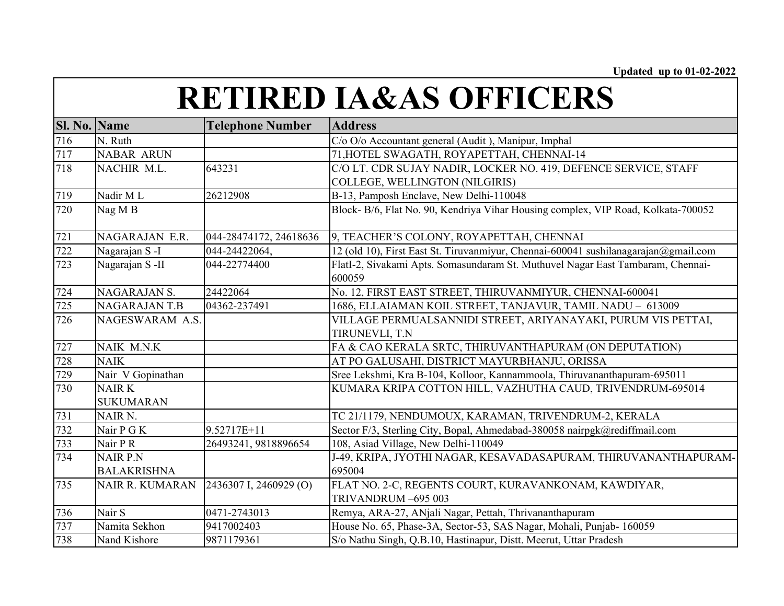| Sl. No. Name |                        | <b>Telephone Number</b> | <b>Address</b>                                                                      |
|--------------|------------------------|-------------------------|-------------------------------------------------------------------------------------|
| 716          | N. Ruth                |                         | C/o O/o Accountant general (Audit), Manipur, Imphal                                 |
| 717          | <b>NABAR ARUN</b>      |                         | 71, HOTEL SWAGATH, ROYAPETTAH, CHENNAI-14                                           |
| 718          | NACHIR M.L.            | 643231                  | C/O LT. CDR SUJAY NADIR, LOCKER NO. 419, DEFENCE SERVICE, STAFF                     |
|              |                        |                         | COLLEGE, WELLINGTON (NILGIRIS)                                                      |
| 719          | Nadir ML               | 26212908                | B-13, Pamposh Enclave, New Delhi-110048                                             |
| 720          | Nag M B                |                         | Block- B/6, Flat No. 90, Kendriya Vihar Housing complex, VIP Road, Kolkata-700052   |
| 721          | NAGARAJAN E.R.         | 044-28474172, 24618636  | 9, TEACHER'S COLONY, ROYAPETTAH, CHENNAI                                            |
| 722          | Nagarajan S-I          | 044-24422064,           | 12 (old 10), First East St. Tiruvanmiyur, Chennai-600041 sushilanagarajan@gmail.com |
| 723          | Nagarajan S-II         | 044-22774400            | FlatI-2, Sivakami Apts. Somasundaram St. Muthuvel Nagar East Tambaram, Chennai-     |
|              |                        |                         | 600059                                                                              |
| 724          | NAGARAJAN S.           | 24422064                | No. 12, FIRST EAST STREET, THIRUVANMIYUR, CHENNAI-600041                            |
| 725          | <b>NAGARAJAN T.B</b>   | 04362-237491            | 1686, ELLAIAMAN KOIL STREET, TANJAVUR, TAMIL NADU - 613009                          |
| 726          | NAGESWARAM A.S.        |                         | VILLAGE PERMUALSANNIDI STREET, ARIYANAYAKI, PURUM VIS PETTAI,                       |
|              |                        |                         | TIRUNEVLI, T.N                                                                      |
| 727          | NAIK M.N.K             |                         | FA & CAO KERALA SRTC, THIRUVANTHAPURAM (ON DEPUTATION)                              |
| 728          | <b>NAIK</b>            |                         | AT PO GALUSAHI, DISTRICT MAYURBHANJU, ORISSA                                        |
| 729          | Nair V Gopinathan      |                         | Sree Lekshmi, Kra B-104, Kolloor, Kannammoola, Thiruvananthapuram-695011            |
| 730          | <b>NAIRK</b>           |                         | KUMARA KRIPA COTTON HILL, VAZHUTHA CAUD, TRIVENDRUM-695014                          |
|              | <b>SUKUMARAN</b>       |                         |                                                                                     |
| 731          | NAIR <sub>N</sub> .    |                         | TC 21/1179, NENDUMOUX, KARAMAN, TRIVENDRUM-2, KERALA                                |
| 732          | Nair P G K             | 9.52717E+11             | Sector F/3, Sterling City, Bopal, Ahmedabad-380058 nairpgk@rediffmail.com           |
| 733          | Nair P R               | 26493241, 9818896654    | 108, Asiad Village, New Delhi-110049                                                |
| 734          | <b>NAIR P.N</b>        |                         | J-49, KRIPA, JYOTHI NAGAR, KESAVADASAPURAM, THIRUVANANTHAPURAM-                     |
|              | <b>BALAKRISHNA</b>     |                         | 695004                                                                              |
| 735          | <b>NAIR R. KUMARAN</b> | 2436307 I, 2460929 (O)  | FLAT NO. 2-C, REGENTS COURT, KURAVANKONAM, KAWDIYAR,                                |
|              |                        |                         | TRIVANDRUM-695 003                                                                  |
| 736          | Nair S                 | 0471-2743013            | Remya, ARA-27, ANjali Nagar, Pettah, Thrivananthapuram                              |
| 737          | Namita Sekhon          | 9417002403              | House No. 65, Phase-3A, Sector-53, SAS Nagar, Mohali, Punjab- 160059                |
| 738          | Nand Kishore           | 9871179361              | S/o Nathu Singh, Q.B.10, Hastinapur, Distt. Meerut, Uttar Pradesh                   |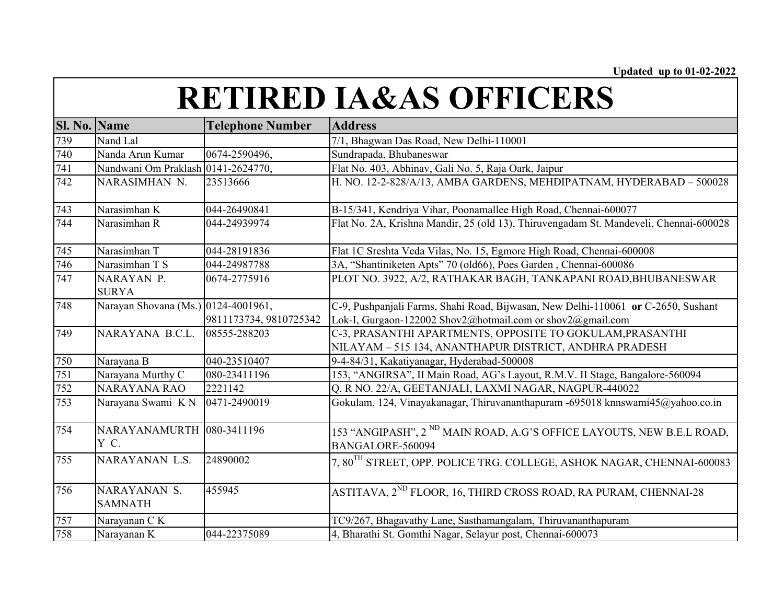| Sl. No. Name |                                     | <b>Telephone Number</b> | <b>Address</b>                                                                                                                                  |
|--------------|-------------------------------------|-------------------------|-------------------------------------------------------------------------------------------------------------------------------------------------|
| 739          | Nand Lal                            |                         | 7/1, Bhagwan Das Road, New Delhi-110001                                                                                                         |
| 740          | Nanda Arun Kumar                    | 0674-2590496,           | Sundrapada, Bhubaneswar                                                                                                                         |
| 741          | Nandwani Om Praklash 0141-2624770,  |                         | Flat No. 403, Abhinav, Gali No. 5, Raja Oark, Jaipur                                                                                            |
| 742          | NARASIMHAN N.                       | 23513666                | H. NO. 12-2-828/A/13, AMBA GARDENS, MEHDIPATNAM, HYDERABAD - 500028                                                                             |
| 743          | Narasimhan K                        | 044-26490841            | B-15/341, Kendriya Vihar, Poonamallee High Road, Chennai-600077                                                                                 |
| 744          | Narasimhan R                        | 044-24939974            | Flat No. 2A, Krishna Mandir, 25 (old 13), Thiruvengadam St. Mandeveli, Chennai-600028                                                           |
| 745          | Narasimhan T                        | 044-28191836            | Flat 1C Sreshta Veda Vilas, No. 15, Egmore High Road, Chennai-600008                                                                            |
| 746          | Narasimhan T S                      | 044-24987788            | 3A, "Shantiniketen Apts" 70 (old66), Poes Garden, Chennai-600086                                                                                |
| 747          | NARAYAN P.<br><b>SURYA</b>          | 0674-2775916            | PLOT NO. 3922, A/2, RATHAKAR BAGH, TANKAPANI ROAD,BHUBANESWAR                                                                                   |
| 748          | Narayan Shovana (Ms.) 0124-4001961, | 9811173734, 9810725342  | C-9, Pushpanjali Farms, Shahi Road, Bijwasan, New Delhi-110061 or C-2650, Sushant<br>Lok-I, Gurgaon-122002 Shov2@hotmail.com or shov2@gmail.com |
| 749          | NARAYANA B.C.L.                     | 08555-288203            | C-3, PRASANTHI APARTMENTS, OPPOSITE TO GOKULAM, PRASANTHI<br>NILAYAM - 515 134, ANANTHAPUR DISTRICT, ANDHRA PRADESH                             |
| 750          | Narayana B                          | 040-23510407            | 9-4-84/31, Kakatiyanagar, Hyderabad-500008                                                                                                      |
| 751          | Narayana Murthy C                   | 080-23411196            | 153, "ANGIRSA", II Main Road, AG's Layout, R.M.V. II Stage, Bangalore-560094                                                                    |
| 752          | <b>NARAYANA RAO</b>                 | 2221142                 | Q. R NO. 22/A, GEETANJALI, LAXMI NAGAR, NAGPUR-440022                                                                                           |
| 753          | Narayana Swami KN                   | 0471-2490019            | Gokulam, 124, Vinayakanagar, Thiruvananthapuram -695018 knnswami45@yahoo.co.in                                                                  |
| 754          | NARAYANAMURTH 080-3411196<br>Y C.   |                         | 153 "ANGIPASH", 2 <sup>ND</sup> MAIN ROAD, A.G'S OFFICE LAYOUTS, NEW B.E.L ROAD,<br>BANGALORE-560094                                            |
| 755          | NARAYANAN L.S.                      | 24890002                | 7, 80 <sup>TH</sup> STREET, OPP. POLICE TRG. COLLEGE, ASHOK NAGAR, CHENNAI-600083                                                               |
| 756          | NARAYANAN S.<br><b>SAMNATH</b>      | 455945                  | ASTITAVA, 2 <sup>ND</sup> FLOOR, 16, THIRD CROSS ROAD, RA PURAM, CHENNAI-28                                                                     |
| 757          | Narayanan CK                        |                         | TC9/267, Bhagavathy Lane, Sasthamangalam, Thiruvananthapuram                                                                                    |
| 758          | Narayanan K                         | 044-22375089            | 4, Bharathi St. Gomthi Nagar, Selayur post, Chennai-600073                                                                                      |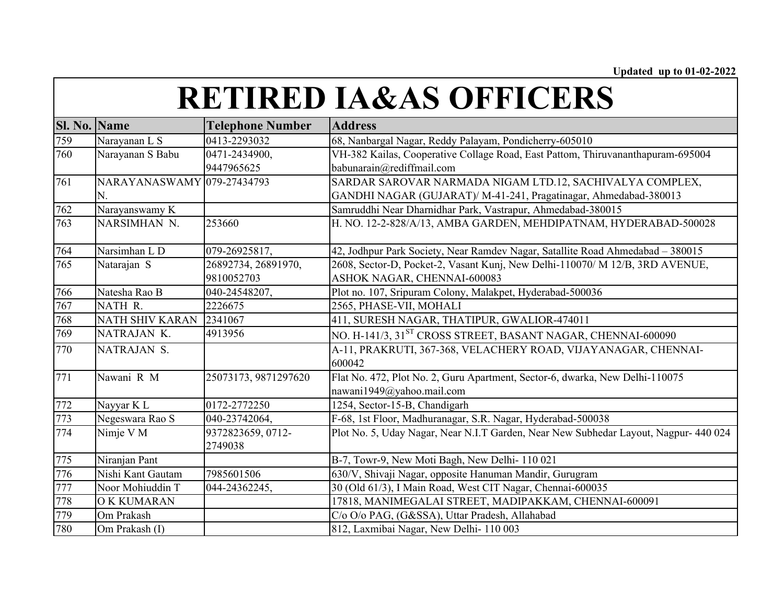| <b>Sl. No.</b> | <b>Name</b>                | <b>Telephone Number</b>      | <b>Address</b>                                                                       |
|----------------|----------------------------|------------------------------|--------------------------------------------------------------------------------------|
| 759            | Narayanan L S              | 0413-2293032                 | 68, Nanbargal Nagar, Reddy Palayam, Pondicherry-605010                               |
| 760            | Narayanan S Babu           | 0471-2434900,                | VH-382 Kailas, Cooperative Collage Road, East Pattom, Thiruvananthapuram-695004      |
|                |                            | 9447965625                   | babunarain@rediffmail.com                                                            |
| 761            | NARAYANASWAMY 079-27434793 |                              | SARDAR SAROVAR NARMADA NIGAM LTD.12, SACHIVALYA COMPLEX,                             |
|                | N.                         |                              | GANDHI NAGAR (GUJARAT)/ M-41-241, Pragatinagar, Ahmedabad-380013                     |
| 762            | Narayanswamy K             |                              | Samruddhi Near Dharnidhar Park, Vastrapur, Ahmedabad-380015                          |
| 763            | NARSIMHAN N.               | 253660                       | H. NO. 12-2-828/A/13, AMBA GARDEN, MEHDIPATNAM, HYDERABAD-500028                     |
| 764            | Narsimhan L D              | 079-26925817,                | 42, Jodhpur Park Society, Near Ramdev Nagar, Satallite Road Ahmedabad - 380015       |
| 765            | Natarajan S                | 26892734, 26891970,          | 2608, Sector-D, Pocket-2, Vasant Kunj, New Delhi-110070/ M 12/B, 3RD AVENUE,         |
|                |                            | 9810052703                   | ASHOK NAGAR, CHENNAI-600083                                                          |
| 766            | Natesha Rao B              | 040-24548207,                | Plot no. 107, Sripuram Colony, Malakpet, Hyderabad-500036                            |
| 767            | NATH R.                    | 2226675                      | 2565, PHASE-VII, MOHALI                                                              |
| 768            | NATH SHIV KARAN            | 2341067                      | 411, SURESH NAGAR, THATIPUR, GWALIOR-474011                                          |
| 769            | NATRAJAN K.                | 4913956                      | NO. H-141/3, 31 <sup>ST</sup> CROSS STREET, BASANT NAGAR, CHENNAI-600090             |
| 770            | NATRAJAN S.                |                              | A-11, PRAKRUTI, 367-368, VELACHERY ROAD, VIJAYANAGAR, CHENNAI-<br>600042             |
| 771            | Nawani R M                 | 25073173, 9871297620         | Flat No. 472, Plot No. 2, Guru Apartment, Sector-6, dwarka, New Delhi-110075         |
|                |                            |                              | nawani1949@yahoo.mail.com                                                            |
| 772            | Nayyar K L                 | 0172-2772250                 | 1254, Sector-15-B, Chandigarh                                                        |
| 773            | Negeswara Rao S            | 040-23742064,                | F-68, 1st Floor, Madhuranagar, S.R. Nagar, Hyderabad-500038                          |
| 774            | Nimje V M                  | 9372823659, 0712-<br>2749038 | Plot No. 5, Uday Nagar, Near N.I.T Garden, Near New Subhedar Layout, Nagpur- 440 024 |
| 775            | Niranjan Pant              |                              | B-7, Towr-9, New Moti Bagh, New Delhi-110 021                                        |
| 776            | Nishi Kant Gautam          | 7985601506                   | 630/V, Shivaji Nagar, opposite Hanuman Mandir, Gurugram                              |
| 777            | Noor Mohiuddin T           | 044-24362245,                | 30 (Old 61/3), I Main Road, West CIT Nagar, Chennai-600035                           |
| 778            | O K KUMARAN                |                              | 17818, MANIMEGALAI STREET, MADIPAKKAM, CHENNAI-600091                                |
| 779            | Om Prakash                 |                              | C/o O/o PAG, (G&SSA), Uttar Pradesh, Allahabad                                       |
| 780            | Om Prakash (I)             |                              | 812, Laxmibai Nagar, New Delhi-110 003                                               |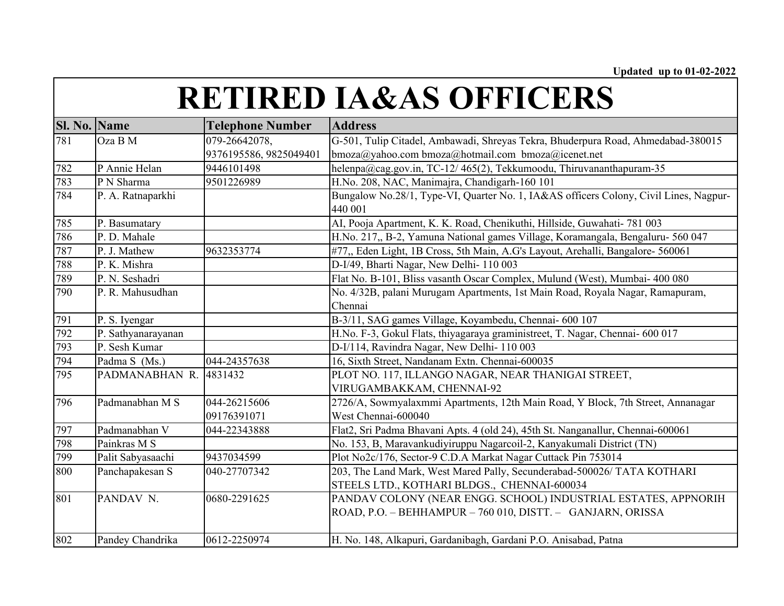| <b>Sl. No. Name</b> |                            | <b>Telephone Number</b> | <b>Address</b>                                                                                   |
|---------------------|----------------------------|-------------------------|--------------------------------------------------------------------------------------------------|
| 781                 | Oza B M                    | 079-26642078,           | G-501, Tulip Citadel, Ambawadi, Shreyas Tekra, Bhuderpura Road, Ahmedabad-380015                 |
|                     |                            | 9376195586, 9825049401  | bmoza@yahoo.com bmoza@hotmail.com bmoza@icenet.net                                               |
| 782                 | $\overline{P}$ Annie Helan | 9446101498              | helenpa@cag.gov.in, TC-12/465(2), Tekkumoodu, Thiruvananthapuram-35                              |
| 783                 | P N Sharma                 | 9501226989              | H.No. 208, NAC, Manimajra, Chandigarh-160 101                                                    |
| 784                 | P. A. Ratnaparkhi          |                         | Bungalow No.28/1, Type-VI, Quarter No. 1, IA&AS officers Colony, Civil Lines, Nagpur-<br>440 001 |
| 785                 | P. Basumatary              |                         | AI, Pooja Apartment, K. K. Road, Chenikuthi, Hillside, Guwahati- 781 003                         |
| 786                 | P. D. Mahale               |                         | H.No. 217,, B-2, Yamuna National games Village, Koramangala, Bengaluru- 560 047                  |
| 787                 | P. J. Mathew               | 9632353774              | #77,, Eden Light, 1B Cross, 5th Main, A.G's Layout, Arehalli, Bangalore- 560061                  |
| 788                 | P. K. Mishra               |                         | D-I/49, Bharti Nagar, New Delhi- 110 003                                                         |
| 789                 | P. N. Seshadri             |                         | Flat No. B-101, Bliss vasanth Oscar Complex, Mulund (West), Mumbai- 400 080                      |
| 790                 | P. R. Mahusudhan           |                         | No. 4/32B, palani Murugam Apartments, 1st Main Road, Royala Nagar, Ramapuram,                    |
|                     |                            |                         | Chennai                                                                                          |
| 791                 | P. S. Iyengar              |                         | B-3/11, SAG games Village, Koyambedu, Chennai- 600 107                                           |
| 792                 | P. Sathyanarayanan         |                         | H.No. F-3, Gokul Flats, thiyagaraya graministreet, T. Nagar, Chennai- 600 017                    |
| 793                 | P. Sesh Kumar              |                         | D-I/114, Ravindra Nagar, New Delhi-110 003                                                       |
| 794                 | Padma S (Ms.)              | 044-24357638            | 16, Sixth Street, Nandanam Extn. Chennai-600035                                                  |
| 795                 | PADMANABHAN R.             | 4831432                 | PLOT NO. 117, ILLANGO NAGAR, NEAR THANIGAI STREET,                                               |
|                     |                            |                         | VIRUGAMBAKKAM, CHENNAI-92                                                                        |
| 796                 | Padmanabhan M S            | 044-26215606            | 2726/A, Sowmyalaxmmi Apartments, 12th Main Road, Y Block, 7th Street, Annanagar                  |
|                     |                            | 09176391071             | West Chennai-600040                                                                              |
| 797                 | Padmanabhan V              | 044-22343888            | Flat2, Sri Padma Bhavani Apts. 4 (old 24), 45th St. Nanganallur, Chennai-600061                  |
| 798                 | Painkras M S               |                         | No. 153, B, Maravankudiyiruppu Nagarcoil-2, Kanyakumali District (TN)                            |
| 799                 | Palit Sabyasaachi          | 9437034599              | Plot No2c/176, Sector-9 C.D.A Markat Nagar Cuttack Pin 753014                                    |
| 800                 | Panchapakesan S            | 040-27707342            | 203, The Land Mark, West Mared Pally, Secunderabad-500026/ TATA KOTHARI                          |
|                     |                            |                         | STEELS LTD., KOTHARI BLDGS., CHENNAI-600034                                                      |
| 801                 | PANDAV <sub>N.</sub>       | 0680-2291625            | PANDAV COLONY (NEAR ENGG. SCHOOL) INDUSTRIAL ESTATES, APPNORIH                                   |
|                     |                            |                         | ROAD, P.O. - BEHHAMPUR - 760 010, DISTT. - GANJARN, ORISSA                                       |
|                     |                            |                         |                                                                                                  |
| 802                 | Pandey Chandrika           | 0612-2250974            | H. No. 148, Alkapuri, Gardanibagh, Gardani P.O. Anisabad, Patna                                  |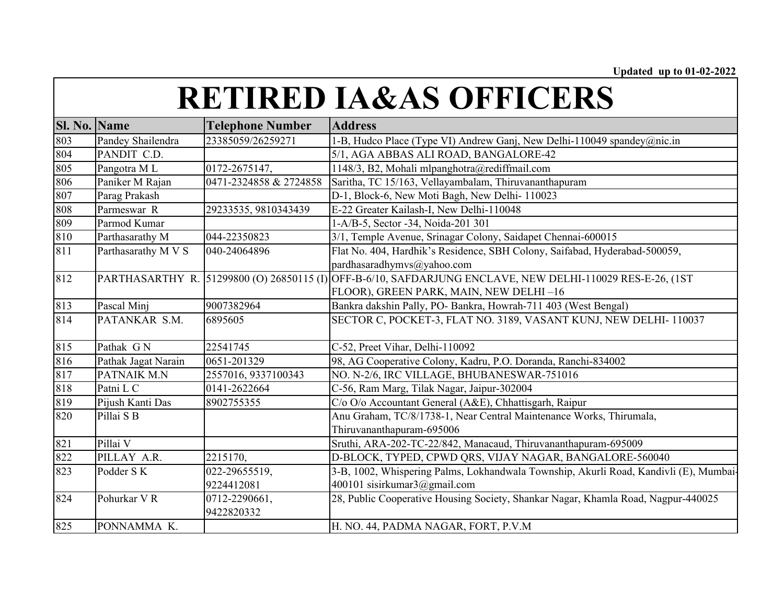| Sl. No. | <b>Name</b>         | <b>Telephone Number</b> | <b>Address</b>                                                                                            |
|---------|---------------------|-------------------------|-----------------------------------------------------------------------------------------------------------|
| 803     | Pandey Shailendra   | 23385059/26259271       | 1-B, Hudco Place (Type VI) Andrew Ganj, New Delhi-110049 spandey@nic.in                                   |
| 804     | PANDIT C.D.         |                         | 5/1, AGA ABBAS ALI ROAD, BANGALORE-42                                                                     |
| 805     | Pangotra ML         | 0172-2675147,           | 1148/3, B2, Mohali mlpanghotra@rediffmail.com                                                             |
| 806     | Paniker M Rajan     | 0471-2324858 & 2724858  | Saritha, TC 15/163, Vellayambalam, Thiruvananthapuram                                                     |
| 807     | Parag Prakash       |                         | D-1, Block-6, New Moti Bagh, New Delhi-110023                                                             |
| 808     | Parmeswar R         | 29233535, 9810343439    | E-22 Greater Kailash-I, New Delhi-110048                                                                  |
| 809     | Parmod Kumar        |                         | 1-A/B-5, Sector -34, Noida-201 301                                                                        |
| 810     | Parthasarathy M     | 044-22350823            | 3/1, Temple Avenue, Srinagar Colony, Saidapet Chennai-600015                                              |
| 811     | Parthasarathy M V S | 040-24064896            | Flat No. 404, Hardhik's Residence, SBH Colony, Saifabad, Hyderabad-500059,                                |
|         |                     |                         | pardhasaradhymvs@yahoo.com                                                                                |
| 812     |                     |                         | PARTHASARTHY R. 51299800 (O) 26850115 (I) OFF-B-6/10, SAFDARJUNG ENCLAVE, NEW DELHI-110029 RES-E-26, (1ST |
|         |                     |                         | FLOOR), GREEN PARK, MAIN, NEW DELHI-16                                                                    |
| 813     | Pascal Minj         | 9007382964              | Bankra dakshin Pally, PO- Bankra, Howrah-711 403 (West Bengal)                                            |
| 814     | PATANKAR S.M.       | 6895605                 | SECTOR C, POCKET-3, FLAT NO. 3189, VASANT KUNJ, NEW DELHI-110037                                          |
|         |                     |                         |                                                                                                           |
| 815     | Pathak GN           | 22541745                | C-52, Preet Vihar, Delhi-110092                                                                           |
| 816     | Pathak Jagat Narain | 0651-201329             | 98, AG Cooperative Colony, Kadru, P.O. Doranda, Ranchi-834002                                             |
| 817     | PATNAIK M.N         | 2557016, 9337100343     | NO. N-2/6, IRC VILLAGE, BHUBANESWAR-751016                                                                |
| 818     | Patni L C           | 0141-2622664            | C-56, Ram Marg, Tilak Nagar, Jaipur-302004                                                                |
| 819     | Pijush Kanti Das    | 8902755355              | C/o O/o Accountant General (A&E), Chhattisgarh, Raipur                                                    |
| 820     | Pillai S B          |                         | Anu Graham, TC/8/1738-1, Near Central Maintenance Works, Thirumala,                                       |
|         |                     |                         | Thiruvananthapuram-695006                                                                                 |
| 821     | Pillai V            |                         | Sruthi, ARA-202-TC-22/842, Manacaud, Thiruvananthapuram-695009                                            |
| 822     | PILLAY A.R.         | 2215170,                | D-BLOCK, TYPED, CPWD QRS, VIJAY NAGAR, BANGALORE-560040                                                   |
| 823     | Podder SK           | 022-29655519,           | 3-B, 1002, Whispering Palms, Lokhandwala Township, Akurli Road, Kandivli (E), Mumbai-                     |
|         |                     | 9224412081              | 400101 sisirkumar3@gmail.com                                                                              |
| 824     | Pohurkar VR         | 0712-2290661,           | 28, Public Cooperative Housing Society, Shankar Nagar, Khamla Road, Nagpur-440025                         |
|         |                     | 9422820332              |                                                                                                           |
| 825     | PONNAMMA K.         |                         | H. NO. 44, PADMA NAGAR, FORT, P.V.M                                                                       |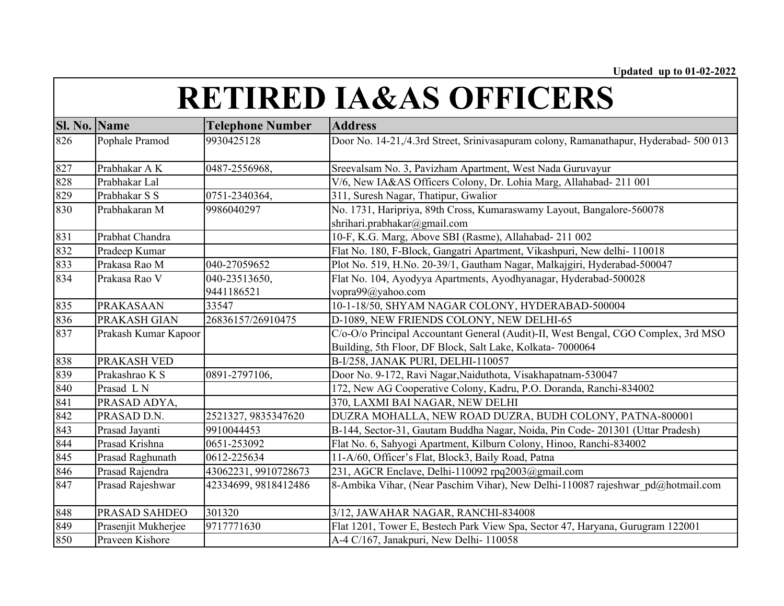| Sl. No. | Name                 | <b>Telephone Number</b> | <b>Address</b>                                                                                                                                   |
|---------|----------------------|-------------------------|--------------------------------------------------------------------------------------------------------------------------------------------------|
| 826     | Pophale Pramod       | 9930425128              | Door No. 14-21,/4.3rd Street, Srinivasapuram colony, Ramanathapur, Hyderabad- 500 013                                                            |
| 827     | Prabhakar A K        | 0487-2556968,           | Sreevalsam No. 3, Pavizham Apartment, West Nada Guruvayur                                                                                        |
| 828     | Prabhakar Lal        |                         | V/6, New IA&AS Officers Colony, Dr. Lohia Marg, Allahabad- 211 001                                                                               |
| 829     | Prabhakar S S        | 0751-2340364,           | 311, Suresh Nagar, Thatipur, Gwalior                                                                                                             |
| 830     | Prabhakaran M        | 9986040297              | No. 1731, Haripriya, 89th Cross, Kumaraswamy Layout, Bangalore-560078<br>shrihari.prabhakar@gmail.com                                            |
| 831     | Prabhat Chandra      |                         | 10-F, K.G. Marg, Above SBI (Rasme), Allahabad- 211 002                                                                                           |
| 832     | Pradeep Kumar        |                         | Flat No. 180, F-Block, Gangatri Apartment, Vikashpuri, New delhi-110018                                                                          |
| 833     | Prakasa Rao M        | 040-27059652            | Plot No. 519, H.No. 20-39/1, Gautham Nagar, Malkajgiri, Hyderabad-500047                                                                         |
| 834     | Prakasa Rao V        | 040-23513650,           | Flat No. 104, Ayodyya Apartments, Ayodhyanagar, Hyderabad-500028                                                                                 |
|         |                      | 9441186521              | vopra99@yahoo.com                                                                                                                                |
| 835     | PRAKASAAN            | 33547                   | 10-1-18/50, SHYAM NAGAR COLONY, HYDERABAD-500004                                                                                                 |
| 836     | PRAKASH GIAN         | 26836157/26910475       | D-1089, NEW FRIENDS COLONY, NEW DELHI-65                                                                                                         |
| 837     | Prakash Kumar Kapoor |                         | C/o-O/o Principal Accountant General (Audit)-II, West Bengal, CGO Complex, 3rd MSO<br>Building, 5th Floor, DF Block, Salt Lake, Kolkata- 7000064 |
| 838     | PRAKASH VED          |                         | B-I/258, JANAK PURI, DELHI-110057                                                                                                                |
| 839     | Prakashrao K S       | 0891-2797106,           | Door No. 9-172, Ravi Nagar, Naiduthota, Visakhapatnam-530047                                                                                     |
| 840     | Prasad LN            |                         | 172, New AG Cooperative Colony, Kadru, P.O. Doranda, Ranchi-834002                                                                               |
| 841     | PRASAD ADYA,         |                         | 370, LAXMI BAI NAGAR, NEW DELHI                                                                                                                  |
| 842     | PRASAD D.N.          | 2521327, 9835347620     | DUZRA MOHALLA, NEW ROAD DUZRA, BUDH COLONY, PATNA-800001                                                                                         |
| 843     | Prasad Jayanti       | 9910044453              | B-144, Sector-31, Gautam Buddha Nagar, Noida, Pin Code-201301 (Uttar Pradesh)                                                                    |
| 844     | Prasad Krishna       | 0651-253092             | Flat No. 6, Sahyogi Apartment, Kilburn Colony, Hinoo, Ranchi-834002                                                                              |
| 845     | Prasad Raghunath     | 0612-225634             | 11-A/60, Officer's Flat, Block3, Baily Road, Patna                                                                                               |
| 846     | Prasad Rajendra      | 43062231, 9910728673    | 231, AGCR Enclave, Delhi-110092 rpq2003@gmail.com                                                                                                |
| 847     | Prasad Rajeshwar     | 42334699, 9818412486    | 8-Ambika Vihar, (Near Paschim Vihar), New Delhi-110087 rajeshwar pd@hotmail.com                                                                  |
| 848     | PRASAD SAHDEO        | 301320                  | 3/12, JAWAHAR NAGAR, RANCHI-834008                                                                                                               |
| 849     | Prasenjit Mukherjee  | 9717771630              | Flat 1201, Tower E, Bestech Park View Spa, Sector 47, Haryana, Gurugram 122001                                                                   |
| 850     | Praveen Kishore      |                         | A-4 C/167, Janakpuri, New Delhi- 110058                                                                                                          |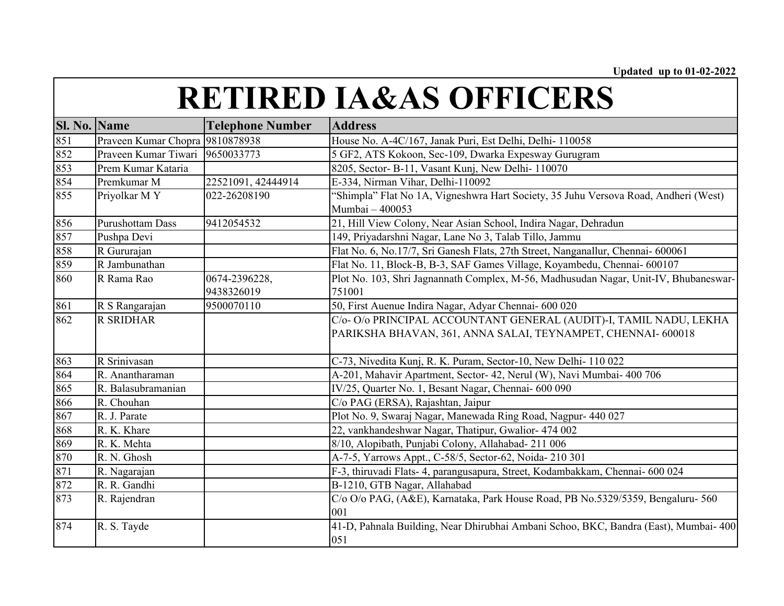| <b>RETIRED IA&amp;AS OFFICERS</b> |
|-----------------------------------|
|-----------------------------------|

| Sl. No. | <b>Name</b>                     | <b>Telephone Number</b> | <b>Address</b>                                                                       |
|---------|---------------------------------|-------------------------|--------------------------------------------------------------------------------------|
| 851     | Praveen Kumar Chopra 9810878938 |                         | House No. A-4C/167, Janak Puri, Est Delhi, Delhi- 110058                             |
| 852     | Praveen Kumar Tiwari 9650033773 |                         | 5 GF2, ATS Kokoon, Sec-109, Dwarka Expesway Gurugram                                 |
| 853     | Prem Kumar Kataria              |                         | 8205, Sector- B-11, Vasant Kunj, New Delhi-110070                                    |
| 854     | Premkumar M                     | 22521091, 42444914      | E-334, Nirman Vihar, Delhi-110092                                                    |
| 855     | Priyolkar MY                    | 022-26208190            | 'Shimpla" Flat No 1A, Vigneshwra Hart Society, 35 Juhu Versova Road, Andheri (West)  |
|         |                                 |                         | Mumbai - 400053                                                                      |
| 856     | <b>Purushottam Dass</b>         | 9412054532              | 21, Hill View Colony, Near Asian School, Indira Nagar, Dehradun                      |
| 857     | Pushpa Devi                     |                         | 149, Priyadarshni Nagar, Lane No 3, Talab Tillo, Jammu                               |
| 858     | R Gururajan                     |                         | Flat No. 6, No.17/7, Sri Ganesh Flats, 27th Street, Nanganallur, Chennai- 600061     |
| 859     | R Jambunathan                   |                         | Flat No. 11, Block-B, B-3, SAF Games Village, Koyambedu, Chennai- 600107             |
| 860     | R Rama Rao                      | 0674-2396228,           | Plot No. 103, Shri Jagnannath Complex, M-56, Madhusudan Nagar, Unit-IV, Bhubaneswar- |
|         |                                 | 9438326019              | 751001                                                                               |
| 861     | R S Rangarajan                  | 9500070110              | 50, First Auenue Indira Nagar, Adyar Chennai- 600 020                                |
| 862     | <b>R SRIDHAR</b>                |                         | C/o- O/o PRINCIPAL ACCOUNTANT GENERAL (AUDIT)-I, TAMIL NADU, LEKHA                   |
|         |                                 |                         | PARIKSHA BHAVAN, 361, ANNA SALAI, TEYNAMPET, CHENNAI- 600018                         |
|         |                                 |                         |                                                                                      |
| 863     | R Srinivasan                    |                         | C-73, Nivedita Kunj, R. K. Puram, Sector-10, New Delhi-110 022                       |
| 864     | R. Anantharaman                 |                         | A-201, Mahavir Apartment, Sector- 42, Nerul (W), Navi Mumbai- 400 706                |
| 865     | R. Balasubramanian              |                         | IV/25, Quarter No. 1, Besant Nagar, Chennai- 600 090                                 |
| 866     | R. Chouhan                      |                         | C/o PAG (ERSA), Rajashtan, Jaipur                                                    |
| 867     | R. J. Parate                    |                         | Plot No. 9, Swaraj Nagar, Manewada Ring Road, Nagpur- 440 027                        |
| 868     | R. K. Khare                     |                         | 22, vankhandeshwar Nagar, Thatipur, Gwalior- 474 002                                 |
| 869     | R. K. Mehta                     |                         | 8/10, Alopibath, Punjabi Colony, Allahabad-211 006                                   |
| 870     | R. N. Ghosh                     |                         | A-7-5, Yarrows Appt., C-58/5, Sector-62, Noida- 210 301                              |
| 871     | R. Nagarajan                    |                         | F-3, thiruvadi Flats- 4, parangusapura, Street, Kodambakkam, Chennai- 600 024        |
| 872     | R. R. Gandhi                    |                         | B-1210, GTB Nagar, Allahabad                                                         |
| 873     | R. Rajendran                    |                         | C/o O/o PAG, (A&E), Karnataka, Park House Road, PB No.5329/5359, Bengaluru-560       |
|         |                                 |                         | 001                                                                                  |
| 874     | R. S. Tayde                     |                         | 41-D, Pahnala Building, Near Dhirubhai Ambani Schoo, BKC, Bandra (East), Mumbai- 400 |
|         |                                 |                         | 051                                                                                  |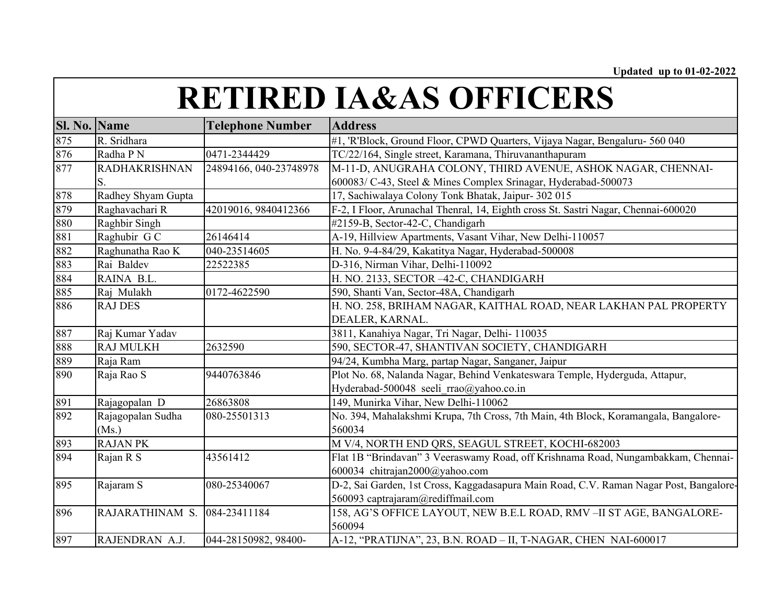| Sl. No. Name |                      | <b>Telephone Number</b> | <b>Address</b>                                                                         |
|--------------|----------------------|-------------------------|----------------------------------------------------------------------------------------|
| 875          | R. Sridhara          |                         | #1, 'R'Block, Ground Floor, CPWD Quarters, Vijaya Nagar, Bengaluru- 560 040            |
| 876          | Radha P N            | 0471-2344429            | TC/22/164, Single street, Karamana, Thiruvananthapuram                                 |
| 877          | <b>RADHAKRISHNAN</b> | 24894166, 040-23748978  | M-11-D, ANUGRAHA COLONY, THIRD AVENUE, ASHOK NAGAR, CHENNAI-                           |
|              | S.                   |                         | 600083/ C-43, Steel & Mines Complex Srinagar, Hyderabad-500073                         |
| 878          | Radhey Shyam Gupta   |                         | 17, Sachiwalaya Colony Tonk Bhatak, Jaipur- 302 015                                    |
| 879          | Raghavachari R       | 42019016, 9840412366    | F-2, I Floor, Arunachal Thenral, 14, Eighth cross St. Sastri Nagar, Chennai-600020     |
| 880          | Raghbir Singh        |                         | #2159-B, Sector-42-C, Chandigarh                                                       |
| 881          | Raghubir G C         | 26146414                | A-19, Hillview Apartments, Vasant Vihar, New Delhi-110057                              |
| 882          | Raghunatha Rao K     | 040-23514605            | H. No. 9-4-84/29, Kakatitya Nagar, Hyderabad-500008                                    |
| 883          | Rai Baldev           | 22522385                | D-316, Nirman Vihar, Delhi-110092                                                      |
| 884          | RAINA B.L.           |                         | H. NO. 2133, SECTOR -42-C, CHANDIGARH                                                  |
| 885          | Raj Mulakh           | 0172-4622590            | 590, Shanti Van, Sector-48A, Chandigarh                                                |
| 886          | <b>RAJ DES</b>       |                         | H. NO. 258, BRIHAM NAGAR, KAITHAL ROAD, NEAR LAKHAN PAL PROPERTY                       |
|              |                      |                         | DEALER, KARNAL.                                                                        |
| 887          | Raj Kumar Yadav      |                         | 3811, Kanahiya Nagar, Tri Nagar, Delhi- 110035                                         |
| 888          | <b>RAJ MULKH</b>     | 2632590                 | 590, SECTOR-47, SHANTIVAN SOCIETY, CHANDIGARH                                          |
| 889          | Raja Ram             |                         | 94/24, Kumbha Marg, partap Nagar, Sanganer, Jaipur                                     |
| 890          | Raja Rao S           | 9440763846              | Plot No. 68, Nalanda Nagar, Behind Venkateswara Temple, Hyderguda, Attapur,            |
|              |                      |                         | Hyderabad-500048 seeli rrao@yahoo.co.in                                                |
| 891          | Rajagopalan D        | 26863808                | 149, Munirka Vihar, New Delhi-110062                                                   |
| 892          | Rajagopalan Sudha    | 080-25501313            | No. 394, Mahalakshmi Krupa, 7th Cross, 7th Main, 4th Block, Koramangala, Bangalore-    |
|              | (Ms.)                |                         | 560034                                                                                 |
| 893          | <b>RAJAN PK</b>      |                         | M V/4, NORTH END QRS, SEAGUL STREET, KOCHI-682003                                      |
| 894          | Rajan R S            | 43561412                | Flat 1B "Brindavan" 3 Veeraswamy Road, off Krishnama Road, Nungambakkam, Chennai-      |
|              |                      |                         | 600034 chitrajan2000@yahoo.com                                                         |
| 895          | Rajaram S            | 080-25340067            | D-2, Sai Garden, 1st Cross, Kaggadasapura Main Road, C.V. Raman Nagar Post, Bangalore- |
|              |                      |                         | 560093 captrajaram@rediffmail.com                                                      |
| 896          | RAJARATHINAM S.      | 084-23411184            | 158, AG'S OFFICE LAYOUT, NEW B.E.L ROAD, RMV -II ST AGE, BANGALORE-                    |
|              |                      |                         | 560094                                                                                 |
| 897          | RAJENDRAN A.J.       | 044-28150982, 98400-    | A-12, "PRATIJNA", 23, B.N. ROAD - II, T-NAGAR, CHEN NAI-600017                         |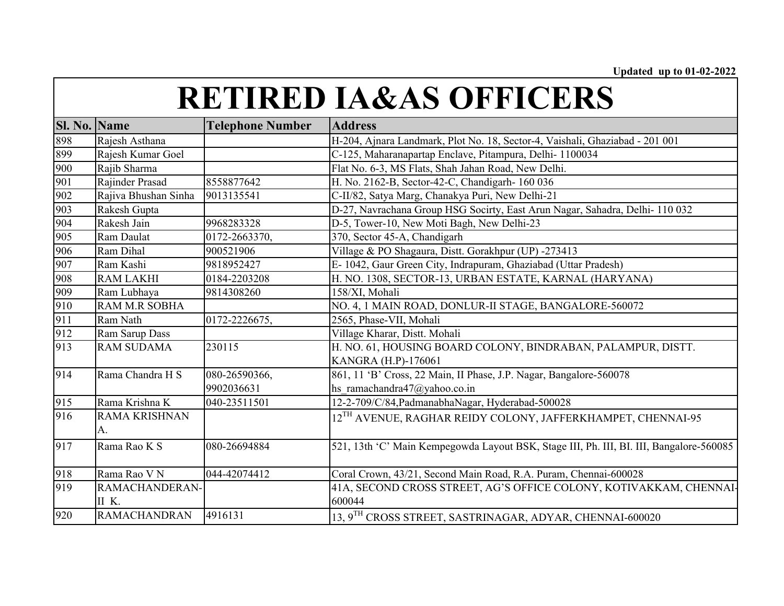| Sl. No. Name |                      | <b>Telephone Number</b> | <b>Address</b>                                                                          |
|--------------|----------------------|-------------------------|-----------------------------------------------------------------------------------------|
| 898          | Rajesh Asthana       |                         | H-204, Ajnara Landmark, Plot No. 18, Sector-4, Vaishali, Ghaziabad - 201 001            |
| 899          | Rajesh Kumar Goel    |                         | C-125, Maharanapartap Enclave, Pitampura, Delhi- 1100034                                |
| 900          | Rajib Sharma         |                         | Flat No. 6-3, MS Flats, Shah Jahan Road, New Delhi.                                     |
| 901          | Rajinder Prasad      | 8558877642              | H. No. 2162-B, Sector-42-C, Chandigarh- 160 036                                         |
| 902          | Rajiva Bhushan Sinha | 9013135541              | C-II/82, Satya Marg, Chanakya Puri, New Delhi-21                                        |
| 903          | Rakesh Gupta         |                         | D-27, Navrachana Group HSG Socirty, East Arun Nagar, Sahadra, Delhi- 110 032            |
| 904          | Rakesh Jain          | 9968283328              | D-5, Tower-10, New Moti Bagh, New Delhi-23                                              |
| 905          | Ram Daulat           | 0172-2663370,           | 370, Sector 45-A, Chandigarh                                                            |
| 906          | Ram Dihal            | 900521906               | Village & PO Shagaura, Distt. Gorakhpur (UP) -273413                                    |
| 907          | Ram Kashi            | 9818952427              | E-1042, Gaur Green City, Indrapuram, Ghaziabad (Uttar Pradesh)                          |
| 908          | <b>RAM LAKHI</b>     | 0184-2203208            | H. NO. 1308, SECTOR-13, URBAN ESTATE, KARNAL (HARYANA)                                  |
| 909          | Ram Lubhaya          | 9814308260              | 158/XI, Mohali                                                                          |
| 910          | <b>RAM M.R SOBHA</b> |                         | NO. 4, 1 MAIN ROAD, DONLUR-II STAGE, BANGALORE-560072                                   |
| 911          | Ram Nath             | 0172-2226675,           | 2565, Phase-VII, Mohali                                                                 |
| 912          | Ram Sarup Dass       |                         | Village Kharar, Distt. Mohali                                                           |
| 913          | <b>RAM SUDAMA</b>    | 230115                  | H. NO. 61, HOUSING BOARD COLONY, BINDRABAN, PALAMPUR, DISTT.                            |
|              |                      |                         | KANGRA (H.P)-176061                                                                     |
| 914          | Rama Chandra H S     | 080-26590366,           | 861, 11 'B' Cross, 22 Main, II Phase, J.P. Nagar, Bangalore-560078                      |
|              |                      | 9902036631              | hs ramachandra47@yahoo.co.in                                                            |
| 915          | Rama Krishna K       | 040-23511501            | 12-2-709/C/84, PadmanabhaNagar, Hyderabad-500028                                        |
| 916          | <b>RAMA KRISHNAN</b> |                         | $12^{\rm TH}$ AVENUE, RAGHAR REIDY COLONY, JAFFERKHAMPET, CHENNAI-95                    |
|              | A.                   |                         |                                                                                         |
| 917          | Rama Rao K S         | 080-26694884            | 521, 13th 'C' Main Kempegowda Layout BSK, Stage III, Ph. III, BI. III, Bangalore-560085 |
|              |                      |                         |                                                                                         |
| 918          | Rama Rao V N         | 044-42074412            | Coral Crown, 43/21, Second Main Road, R.A. Puram, Chennai-600028                        |
| 919          | RAMACHANDERAN-       |                         | 41A, SECOND CROSS STREET, AG'S OFFICE COLONY, KOTIVAKKAM, CHENNAI-                      |
|              | II K.                |                         | 600044                                                                                  |
| 920          | <b>RAMACHANDRAN</b>  | 4916131                 | 13, 9TH CROSS STREET, SASTRINAGAR, ADYAR, CHENNAI-600020                                |
|              |                      |                         |                                                                                         |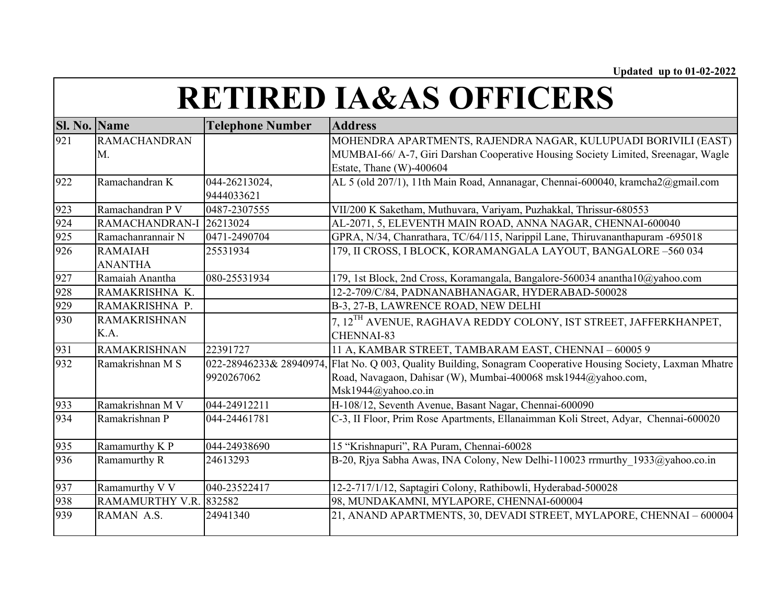| <b>Sl. No. Name</b> |                        | <b>Telephone Number</b> | <b>Address</b>                                                                        |
|---------------------|------------------------|-------------------------|---------------------------------------------------------------------------------------|
| 921                 | <b>RAMACHANDRAN</b>    |                         | MOHENDRA APARTMENTS, RAJENDRA NAGAR, KULUPUADI BORIVILI (EAST)                        |
|                     | M.                     |                         | MUMBAI-66/ A-7, Giri Darshan Cooperative Housing Society Limited, Sreenagar, Wagle    |
|                     |                        |                         | Estate, Thane (W)-400604                                                              |
| 922                 | Ramachandran K         | 044-26213024,           | AL 5 (old 207/1), 11th Main Road, Annanagar, Chennai-600040, kramcha2@gmail.com       |
|                     |                        | 9444033621              |                                                                                       |
| 923                 | Ramachandran P V       | 0487-2307555            | VII/200 K Saketham, Muthuvara, Variyam, Puzhakkal, Thrissur-680553                    |
| 924                 | RAMACHANDRAN-I         | 26213024                | AL-2071, 5, ELEVENTH MAIN ROAD, ANNA NAGAR, CHENNAI-600040                            |
| 925                 | Ramachanrannair N      | 0471-2490704            | GPRA, N/34, Chanrathara, TC/64/115, Narippil Lane, Thiruvananthapuram -695018         |
| 926                 | <b>RAMAIAH</b>         | 25531934                | 179, II CROSS, I BLOCK, KORAMANGALA LAYOUT, BANGALORE -560 034                        |
|                     | <b>ANANTHA</b>         |                         |                                                                                       |
| 927                 | Ramaiah Anantha        | 080-25531934            | 179, 1st Block, 2nd Cross, Koramangala, Bangalore-560034 anantha10@yahoo.com          |
| 928                 | RAMAKRISHNA K.         |                         | 12-2-709/C/84, PADNANABHANAGAR, HYDERABAD-500028                                      |
| 929                 | RAMAKRISHNA P.         |                         | B-3, 27-B, LAWRENCE ROAD, NEW DELHI                                                   |
| 930                 | <b>RAMAKRISHNAN</b>    |                         | 7, 12 <sup>TH</sup> AVENUE, RAGHAVA REDDY COLONY, IST STREET, JAFFERKHANPET,          |
|                     | K.A.                   |                         | CHENNAI-83                                                                            |
| 931                 | <b>RAMAKRISHNAN</b>    | 22391727                | 11 A, KAMBAR STREET, TAMBARAM EAST, CHENNAI - 60005 9                                 |
| 932                 | Ramakrishnan M S       | 022-28946233& 28940974, | Flat No. Q 003, Quality Building, Sonagram Cooperative Housing Society, Laxman Mhatre |
|                     |                        | 9920267062              | Road, Navagaon, Dahisar (W), Mumbai-400068 msk1944@yahoo.com,                         |
|                     |                        |                         | Msk1944@yahoo.co.in                                                                   |
| 933                 | Ramakrishnan M V       | 044-24912211            | H-108/12, Seventh Avenue, Basant Nagar, Chennai-600090                                |
| 934                 | Ramakrishnan P         | 044-24461781            | C-3, II Floor, Prim Rose Apartments, Ellanaimman Koli Street, Adyar, Chennai-600020   |
| 935                 | Ramamurthy K P         | 044-24938690            | 15 "Krishnapuri", RA Puram, Chennai-60028                                             |
| 936                 | Ramamurthy R           | 24613293                | B-20, Riya Sabha Awas, INA Colony, New Delhi-110023 rrmurthy 1933@yahoo.co.in         |
| 937                 | Ramamurthy V V         | 040-23522417            | 12-2-717/1/12, Saptagiri Colony, Rathibowli, Hyderabad-500028                         |
| 938                 | RAMAMURTHY V.R. 832582 |                         | 98, MUNDAKAMNI, MYLAPORE, CHENNAI-600004                                              |
| 939                 | RAMAN A.S.             | 24941340                | 21, ANAND APARTMENTS, 30, DEVADI STREET, MYLAPORE, CHENNAI - 600004                   |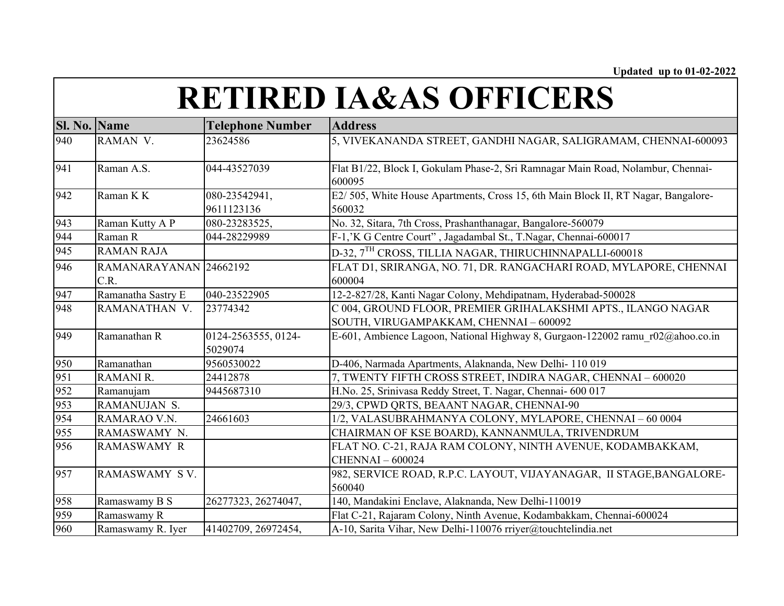| <b>Sl. No. Name</b> |                                | <b>Telephone Number</b>        | <b>Address</b>                                                                                          |
|---------------------|--------------------------------|--------------------------------|---------------------------------------------------------------------------------------------------------|
| 940                 | RAMAN V.                       | 23624586                       | 5, VIVEKANANDA STREET, GANDHI NAGAR, SALIGRAMAM, CHENNAI-600093                                         |
| 941                 | Raman A.S.                     | 044-43527039                   | Flat B1/22, Block I, Gokulam Phase-2, Sri Ramnagar Main Road, Nolambur, Chennai-<br>600095              |
| 942                 | Raman K K                      | 080-23542941,<br>9611123136    | E2/ 505, White House Apartments, Cross 15, 6th Main Block II, RT Nagar, Bangalore-<br>560032            |
| 943                 | Raman Kutty A P                | 080-23283525,                  | No. 32, Sitara, 7th Cross, Prashanthanagar, Bangalore-560079                                            |
| 944                 | Raman R                        | 044-28229989                   | F-1,'K G Centre Court", Jagadambal St., T.Nagar, Chennai-600017                                         |
| 945                 | <b>RAMAN RAJA</b>              |                                | D-32, 7TH CROSS, TILLIA NAGAR, THIRUCHINNAPALLI-600018                                                  |
| 946                 | RAMANARAYANAN 24662192<br>C.R. |                                | FLAT D1, SRIRANGA, NO. 71, DR. RANGACHARI ROAD, MYLAPORE, CHENNAI<br>600004                             |
| 947                 | Ramanatha Sastry E             | 040-23522905                   | 12-2-827/28, Kanti Nagar Colony, Mehdipatnam, Hyderabad-500028                                          |
| 948                 | RAMANATHAN V.                  | 23774342                       | C 004, GROUND FLOOR, PREMIER GRIHALAKSHMI APTS., ILANGO NAGAR<br>SOUTH, VIRUGAMPAKKAM, CHENNAI - 600092 |
| 949                 | Ramanathan R                   | 0124-2563555, 0124-<br>5029074 | E-601, Ambience Lagoon, National Highway 8, Gurgaon-122002 ramu r02@ahoo.co.in                          |
| 950                 | Ramanathan                     | 9560530022                     | D-406, Narmada Apartments, Alaknanda, New Delhi-110 019                                                 |
| 951                 | RAMANI R.                      | 24412878                       | 7, TWENTY FIFTH CROSS STREET, INDIRA NAGAR, CHENNAI - 600020                                            |
| 952                 | Ramanujam                      | 9445687310                     | H.No. 25, Srinivasa Reddy Street, T. Nagar, Chennai- 600 017                                            |
| 953                 | RAMANUJAN S.                   |                                | 29/3, CPWD QRTS, BEAANT NAGAR, CHENNAI-90                                                               |
| 954                 | RAMARAO V.N.                   | 24661603                       | 1/2, VALASUBRAHMANYA COLONY, MYLAPORE, CHENNAI - 60 0004                                                |
| 955                 | RAMASWAMY N.                   |                                | CHAIRMAN OF KSE BOARD), KANNANMULA, TRIVENDRUM                                                          |
| 956                 | <b>RAMASWAMY R</b>             |                                | FLAT NO. C-21, RAJA RAM COLONY, NINTH AVENUE, KODAMBAKKAM,<br><b>CHENNAI-600024</b>                     |
| 957                 | RAMASWAMY SV.                  |                                | 982, SERVICE ROAD, R.P.C. LAYOUT, VIJAYANAGAR, II STAGE, BANGALORE-<br>560040                           |
| 958                 | Ramaswamy B S                  | 26277323, 26274047,            | 140, Mandakini Enclave, Alaknanda, New Delhi-110019                                                     |
| 959                 | Ramaswamy R                    |                                | Flat C-21, Rajaram Colony, Ninth Avenue, Kodambakkam, Chennai-600024                                    |
| 960                 | Ramaswamy R. Iyer              | 41402709, 26972454,            | A-10, Sarita Vihar, New Delhi-110076 rriyer@touchtelindia.net                                           |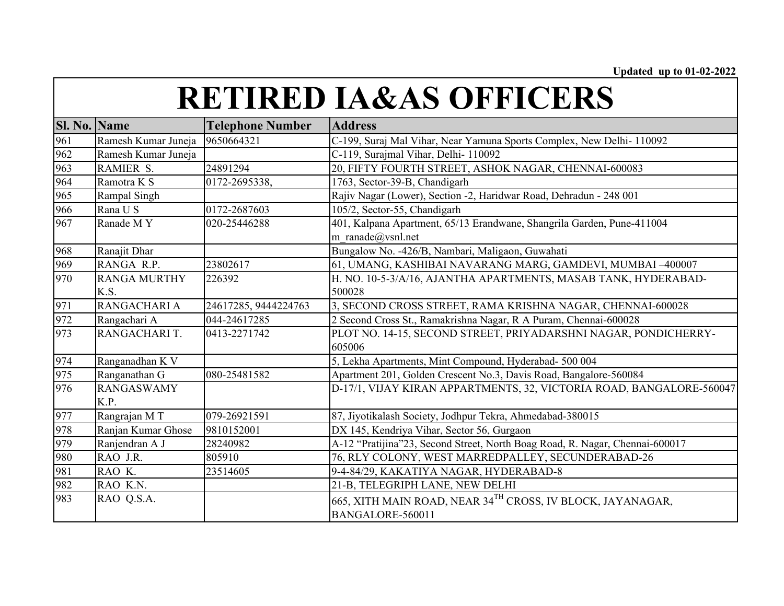| <b>Sl. No.</b> | <b>Name</b>               | <b>Telephone Number</b> | <b>Address</b>                                                                              |
|----------------|---------------------------|-------------------------|---------------------------------------------------------------------------------------------|
| 961            | Ramesh Kumar Juneja       | 9650664321              | C-199, Suraj Mal Vihar, Near Yamuna Sports Complex, New Delhi- 110092                       |
| 962            | Ramesh Kumar Juneja       |                         | C-119, Surajmal Vihar, Delhi- 110092                                                        |
| 963            | RAMIER S.                 | 24891294                | 20, FIFTY FOURTH STREET, ASHOK NAGAR, CHENNAI-600083                                        |
| 964            | Ramotra K S               | 0172-2695338,           | 1763, Sector-39-B, Chandigarh                                                               |
| 965            | Rampal Singh              |                         | Rajiv Nagar (Lower), Section -2, Haridwar Road, Dehradun - 248 001                          |
| 966            | Rana U S                  | 0172-2687603            | 105/2, Sector-55, Chandigarh                                                                |
| 967            | Ranade MY                 | 020-25446288            | 401, Kalpana Apartment, 65/13 Erandwane, Shangrila Garden, Pune-411004<br>m ranade@vsnl.net |
| 968            | Ranajit Dhar              |                         | Bungalow No. -426/B, Nambari, Maligaon, Guwahati                                            |
| 969            | RANGA R.P.                | 23802617                | 61, UMANG, KASHIBAI NAVARANG MARG, GAMDEVI, MUMBAI -400007                                  |
| 970            | <b>RANGA MURTHY</b>       | 226392                  | H. NO. 10-5-3/A/16, AJANTHA APARTMENTS, MASAB TANK, HYDERABAD-                              |
|                | K.S.                      |                         | 500028                                                                                      |
| 971            | RANGACHARI A              | 24617285, 9444224763    | 3, SECOND CROSS STREET, RAMA KRISHNA NAGAR, CHENNAI-600028                                  |
| 972            | Rangachari A              | 044-24617285            | 2 Second Cross St., Ramakrishna Nagar, R A Puram, Chennai-600028                            |
| 973            | RANGACHARI T.             | 0413-2271742            | PLOT NO. 14-15, SECOND STREET, PRIYADARSHNI NAGAR, PONDICHERRY-<br>605006                   |
| 974            | Ranganadhan K V           |                         | 5, Lekha Apartments, Mint Compound, Hyderabad- 500 004                                      |
| 975            | Ranganathan G             | 080-25481582            | Apartment 201, Golden Crescent No.3, Davis Road, Bangalore-560084                           |
| 976            | <b>RANGASWAMY</b><br>K.P. |                         | D-17/1, VIJAY KIRAN APPARTMENTS, 32, VICTORIA ROAD, BANGALORE-560047                        |
| 977            | Rangrajan MT              | 079-26921591            | 87, Jiyotikalash Society, Jodhpur Tekra, Ahmedabad-380015                                   |
| 978            | Ranjan Kumar Ghose        | 9810152001              | DX 145, Kendriya Vihar, Sector 56, Gurgaon                                                  |
| 979            | Ranjendran A J            | 28240982                | A-12 "Pratijina"23, Second Street, North Boag Road, R. Nagar, Chennai-600017                |
| 980            | RAO J.R.                  | 805910                  | 76, RLY COLONY, WEST MARREDPALLEY, SECUNDERABAD-26                                          |
| 981            | RAO K.                    | 23514605                | 9-4-84/29, KAKATIYA NAGAR, HYDERABAD-8                                                      |
| 982            | RAO K.N.                  |                         | 21-B, TELEGRIPH LANE, NEW DELHI                                                             |
| 983            | RAO Q.S.A.                |                         | 665, XITH MAIN ROAD, NEAR 34 <sup>TH</sup> CROSS, IV BLOCK, JAYANAGAR,<br>BANGALORE-560011  |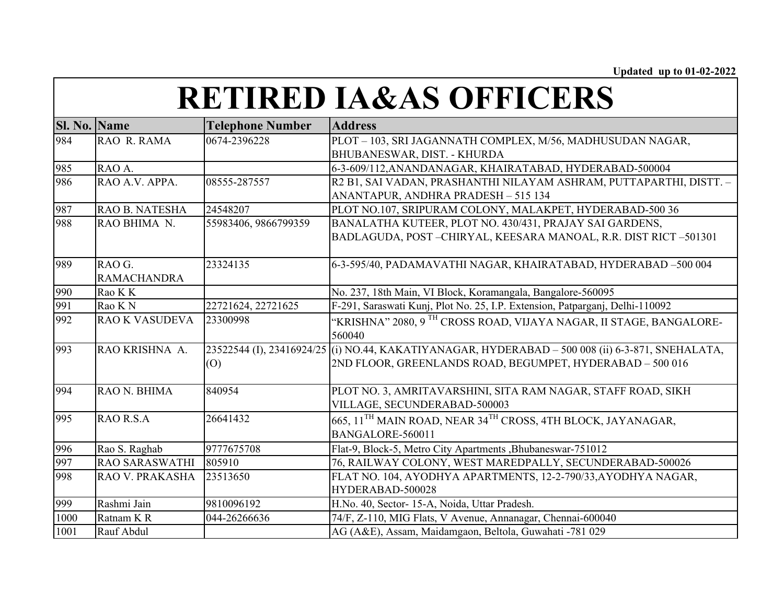| Sl. No. Name |                       | <b>Telephone Number</b> | <b>Address</b>                                                                                   |
|--------------|-----------------------|-------------------------|--------------------------------------------------------------------------------------------------|
| 984          | RAO R. RAMA           | 0674-2396228            | PLOT - 103, SRI JAGANNATH COMPLEX, M/56, MADHUSUDAN NAGAR,                                       |
|              |                       |                         | BHUBANESWAR, DIST. - KHURDA                                                                      |
| 985          | RAO A.                |                         | 6-3-609/112, ANANDANAGAR, KHAIRATABAD, HYDERABAD-500004                                          |
| 986          | RAO A.V. APPA.        | 08555-287557            | R2 B1, SAI VADAN, PRASHANTHI NILAYAM ASHRAM, PUTTAPARTHI, DISTT. -                               |
|              |                       |                         | ANANTAPUR, ANDHRA PRADESH - 515 134                                                              |
| 987          | RAO B. NATESHA        | 24548207                | PLOT NO.107, SRIPURAM COLONY, MALAKPET, HYDERABAD-500 36                                         |
| 988          | RAO BHIMA N.          | 55983406, 9866799359    | BANALATHA KUTEER, PLOT NO. 430/431, PRAJAY SAI GARDENS,                                          |
|              |                       |                         | BADLAGUDA, POST-CHIRYAL, KEESARA MANOAL, R.R. DIST RICT-501301                                   |
| 989          | RAO G.                | 23324135                | 6-3-595/40, PADAMAVATHI NAGAR, KHAIRATABAD, HYDERABAD -500 004                                   |
|              | <b>RAMACHANDRA</b>    |                         |                                                                                                  |
| 990          | Rao K K               |                         | No. 237, 18th Main, VI Block, Koramangala, Bangalore-560095                                      |
| 991          | Rao K N               | 22721624, 22721625      | F-291, Saraswati Kunj, Plot No. 25, I.P. Extension, Patparganj, Delhi-110092                     |
| 992          | <b>RAO K VASUDEVA</b> | 23300998                | "KRISHNA" 2080, 9 <sup>TH</sup> CROSS ROAD, VIJAYA NAGAR, II STAGE, BANGALORE-                   |
|              |                       |                         | 560040                                                                                           |
| 993          | RAO KRISHNA A.        |                         | 23522544 (I), 23416924/25 (i) NO.44, KAKATIYANAGAR, HYDERABAD – 500 008 (ii) 6-3-871, SNEHALATA, |
|              |                       | (0)                     | 2ND FLOOR, GREENLANDS ROAD, BEGUMPET, HYDERABAD - 500 016                                        |
|              |                       |                         |                                                                                                  |
| 994          | RAO N. BHIMA          | 840954                  | PLOT NO. 3, AMRITAVARSHINI, SITA RAM NAGAR, STAFF ROAD, SIKH                                     |
|              |                       |                         | VILLAGE, SECUNDERABAD-500003                                                                     |
| 995          | RAO R.S.A             | 26641432                | 665, 11 <sup>TH</sup> MAIN ROAD, NEAR 34 <sup>TH</sup> CROSS, 4TH BLOCK, JAYANAGAR,              |
|              |                       |                         | BANGALORE-560011                                                                                 |
| 996          | Rao S. Raghab         | 9777675708              | Flat-9, Block-5, Metro City Apartments , Bhubaneswar-751012                                      |
| 997          | <b>RAO SARASWATHI</b> | 805910                  | 76, RAILWAY COLONY, WEST MAREDPALLY, SECUNDERABAD-500026                                         |
| 998          | RAO V. PRAKASHA       | 23513650                | FLAT NO. 104, AYODHYA APARTMENTS, 12-2-790/33, AYODHYA NAGAR,                                    |
|              |                       |                         | HYDERABAD-500028                                                                                 |
| 999          | Rashmi Jain           | 9810096192              | H.No. 40, Sector- 15-A, Noida, Uttar Pradesh.                                                    |
| 1000         | Ratnam KR             | 044-26266636            | 74/F, Z-110, MIG Flats, V Avenue, Annanagar, Chennai-600040                                      |
| 1001         | Rauf Abdul            |                         | AG (A&E), Assam, Maidamgaon, Beltola, Guwahati -781 029                                          |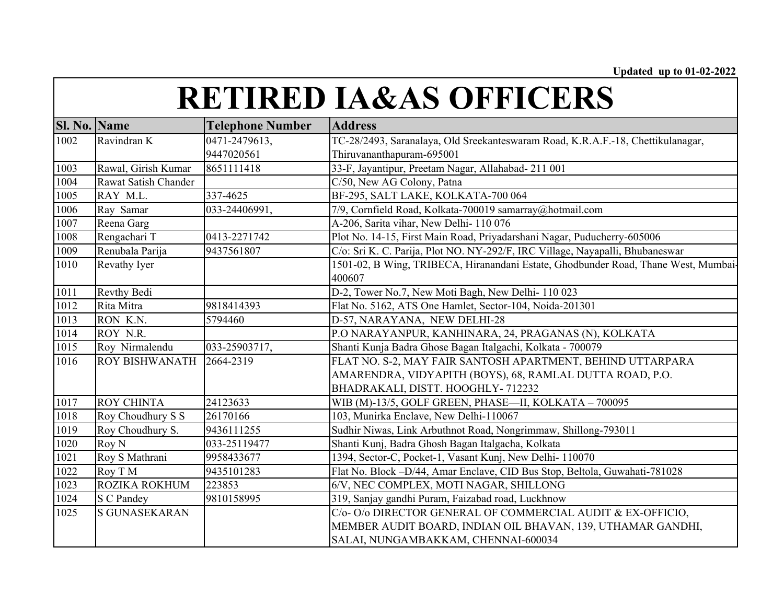| <b>Sl. No. Name</b> |                       | <b>Telephone Number</b> | <b>Address</b>                                                                     |
|---------------------|-----------------------|-------------------------|------------------------------------------------------------------------------------|
| 1002                | Ravindran K           | 0471-2479613,           | TC-28/2493, Saranalaya, Old Sreekanteswaram Road, K.R.A.F.-18, Chettikulanagar,    |
|                     |                       | 9447020561              | Thiruvananthapuram-695001                                                          |
| 1003                | Rawal, Girish Kumar   | 8651111418              | 33-F, Jayantipur, Preetam Nagar, Allahabad- 211 001                                |
| 1004                | Rawat Satish Chander  |                         | C/50, New AG Colony, Patna                                                         |
| 1005                | RAY M.L.              | 337-4625                | BF-295, SALT LAKE, KOLKATA-700 064                                                 |
| 1006                | Ray Samar             | 033-24406991,           | 7/9, Cornfield Road, Kolkata-700019 samarray@hotmail.com                           |
| 1007                | Reena Garg            |                         | A-206, Sarita vihar, New Delhi- 110 076                                            |
| 1008                | Rengachari T          | 0413-2271742            | Plot No. 14-15, First Main Road, Priyadarshani Nagar, Puducherry-605006            |
| 1009                | Renubala Parija       | 9437561807              | C/o: Sri K. C. Parija, Plot NO. NY-292/F, IRC Village, Nayapalli, Bhubaneswar      |
| 1010                | Revathy Iyer          |                         | 1501-02, B Wing, TRIBECA, Hiranandani Estate, Ghodbunder Road, Thane West, Mumbai- |
|                     |                       |                         | 400607                                                                             |
| 1011                | Revthy Bedi           |                         | D-2, Tower No.7, New Moti Bagh, New Delhi-110 023                                  |
| 1012                | Rita Mitra            | 9818414393              | Flat No. 5162, ATS One Hamlet, Sector-104, Noida-201301                            |
| 1013                | RON K.N.              | 5794460                 | D-57, NARAYANA, NEW DELHI-28                                                       |
| 1014                | ROY N.R.              |                         | P.O NARAYANPUR, KANHINARA, 24, PRAGANAS (N), KOLKATA                               |
| 1015                | Roy Nirmalendu        | 033-25903717,           | Shanti Kunja Badra Ghose Bagan Italgachi, Kolkata - 700079                         |
| 1016                | <b>ROY BISHWANATH</b> | 2664-2319               | FLAT NO. S-2, MAY FAIR SANTOSH APARTMENT, BEHIND UTTARPARA                         |
|                     |                       |                         | AMARENDRA, VIDYAPITH (BOYS), 68, RAMLAL DUTTA ROAD, P.O.                           |
|                     |                       |                         | BHADRAKALI, DISTT. HOOGHLY- 712232                                                 |
| 1017                | <b>ROY CHINTA</b>     | 24123633                | WIB (M)-13/5, GOLF GREEN, PHASE—II, KOLKATA – 700095                               |
| 1018                | Roy Choudhury S S     | 26170166                | 103, Munirka Enclave, New Delhi-110067                                             |
| 1019                | Roy Choudhury S.      | 9436111255              | Sudhir Niwas, Link Arbuthnot Road, Nongrimmaw, Shillong-793011                     |
| 1020                | Roy N                 | 033-25119477            | Shanti Kunj, Badra Ghosh Bagan Italgacha, Kolkata                                  |
| 1021                | Roy S Mathrani        | 9958433677              | 1394, Sector-C, Pocket-1, Vasant Kunj, New Delhi- 110070                           |
| 1022                | Roy T M               | 9435101283              | Flat No. Block -D/44, Amar Enclave, CID Bus Stop, Beltola, Guwahati-781028         |
| 1023                | <b>ROZIKA ROKHUM</b>  | 223853                  | 6/V, NEC COMPLEX, MOTI NAGAR, SHILLONG                                             |
| 1024                | <b>S</b> C Pandey     | 9810158995              | 319, Sanjay gandhi Puram, Faizabad road, Luckhnow                                  |
| 1025                | <b>S GUNASEKARAN</b>  |                         | C/o-O/o DIRECTOR GENERAL OF COMMERCIAL AUDIT & EX-OFFICIO,                         |
|                     |                       |                         | MEMBER AUDIT BOARD, INDIAN OIL BHAVAN, 139, UTHAMAR GANDHI,                        |
|                     |                       |                         | SALAI, NUNGAMBAKKAM, CHENNAI-600034                                                |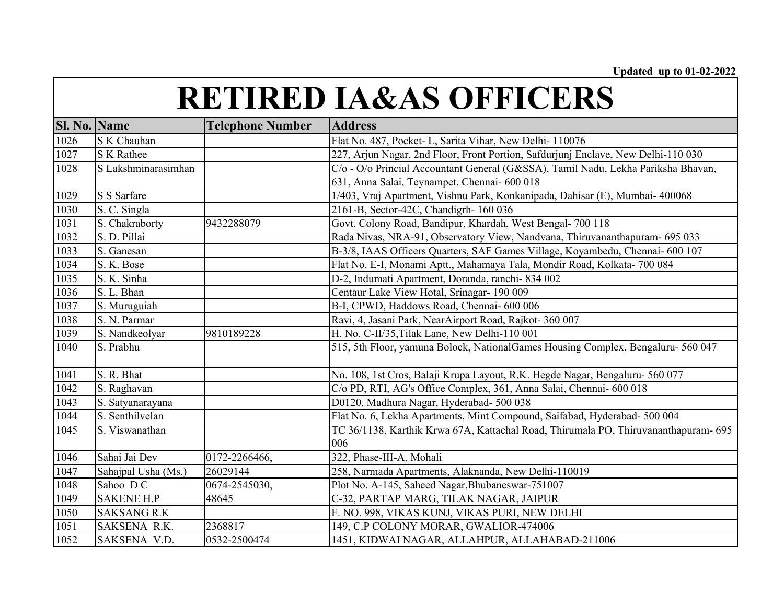| <b>Sl. No. Name</b> |                     | <b>Telephone Number</b> | <b>Address</b>                                                                      |
|---------------------|---------------------|-------------------------|-------------------------------------------------------------------------------------|
| 1026                | S K Chauhan         |                         | Flat No. 487, Pocket- L, Sarita Vihar, New Delhi- 110076                            |
| 1027                | <b>S</b> K Rathee   |                         | 227, Arjun Nagar, 2nd Floor, Front Portion, Safdurjunj Enclave, New Delhi-110 030   |
| 1028                | S Lakshminarasimhan |                         | C/o - O/o Princial Accountant General (G&SSA), Tamil Nadu, Lekha Pariksha Bhavan,   |
|                     |                     |                         | 631, Anna Salai, Teynampet, Chennai- 600 018                                        |
| 1029                | S S Sarfare         |                         | 1/403, Vraj Apartment, Vishnu Park, Konkanipada, Dahisar (E), Mumbai- 400068        |
| 1030                | S. C. Singla        |                         | 2161-B, Sector-42C, Chandigrh- 160 036                                              |
| 1031                | S. Chakraborty      | 9432288079              | Govt. Colony Road, Bandipur, Khardah, West Bengal- 700 118                          |
| 1032                | S. D. Pillai        |                         | Rada Nivas, NRA-91, Observatory View, Nandvana, Thiruvananthapuram- 695 033         |
| 1033                | S. Ganesan          |                         | B-3/8, IAAS Officers Quarters, SAF Games Village, Koyambedu, Chennai- 600 107       |
| 1034                | S. K. Bose          |                         | Flat No. E-I, Monami Aptt., Mahamaya Tala, Mondir Road, Kolkata- 700 084            |
| 1035                | S. K. Sinha         |                         | D-2, Indumati Apartment, Doranda, ranchi-834 002                                    |
| 1036                | S. L. Bhan          |                         | Centaur Lake View Hotal, Srinagar- 190 009                                          |
| 1037                | S. Muruguiah        |                         | B-I, CPWD, Haddows Road, Chennai- 600 006                                           |
| 1038                | S. N. Parmar        |                         | Ravi, 4, Jasani Park, NearAirport Road, Rajkot- 360 007                             |
| 1039                | S. Nandkeolyar      | 9810189228              | H. No. C-II/35, Tilak Lane, New Delhi-110 001                                       |
| 1040                | S. Prabhu           |                         | 515, 5th Floor, yamuna Bolock, NationalGames Housing Complex, Bengaluru- 560 047    |
| 1041                | S. R. Bhat          |                         | No. 108, 1st Cros, Balaji Krupa Layout, R.K. Hegde Nagar, Bengaluru- 560 077        |
| 1042                | S. Raghavan         |                         | C/o PD, RTI, AG's Office Complex, 361, Anna Salai, Chennai- 600 018                 |
| 1043                | S. Satyanarayana    |                         | D0120, Madhura Nagar, Hyderabad- 500 038                                            |
| 1044                | S. Senthilvelan     |                         | Flat No. 6, Lekha Apartments, Mint Compound, Saifabad, Hyderabad- 500 004           |
| 1045                | S. Viswanathan      |                         | TC 36/1138, Karthik Krwa 67A, Kattachal Road, Thirumala PO, Thiruvananthapuram- 695 |
|                     |                     |                         | 006                                                                                 |
| 1046                | Sahai Jai Dev       | 0172-2266466,           | 322, Phase-III-A, Mohali                                                            |
| 1047                | Sahajpal Usha (Ms.) | 26029144                | 258, Narmada Apartments, Alaknanda, New Delhi-110019                                |
| 1048                | Sahoo DC            | 0674-2545030,           | Plot No. A-145, Saheed Nagar, Bhubaneswar-751007                                    |
| 1049                | <b>SAKENE H.P</b>   | 48645                   | C-32, PARTAP MARG, TILAK NAGAR, JAIPUR                                              |
| 1050                | <b>SAKSANG R.K</b>  |                         | F. NO. 998, VIKAS KUNJ, VIKAS PURI, NEW DELHI                                       |
| 1051                | SAKSENA R.K.        | 2368817                 | 149, C.P COLONY MORAR, GWALIOR-474006                                               |
| 1052                | SAKSENA V.D.        | 0532-2500474            | 1451, KIDWAI NAGAR, ALLAHPUR, ALLAHABAD-211006                                      |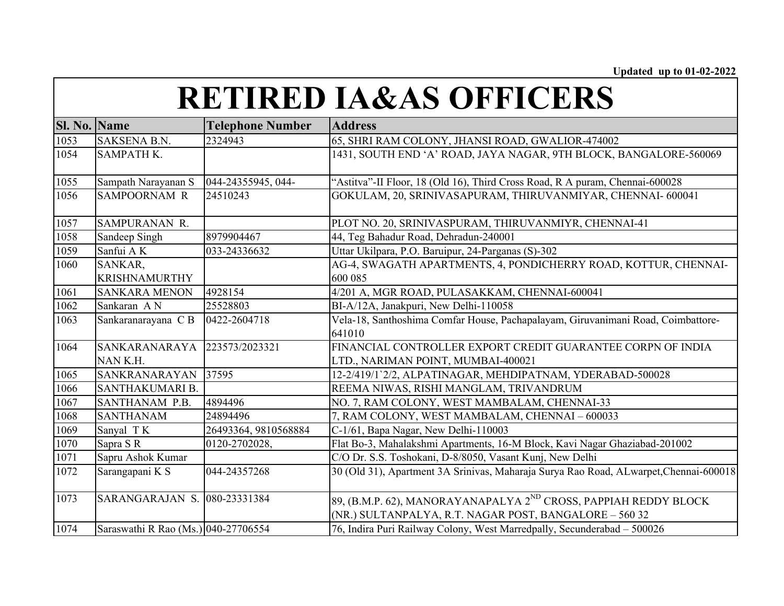| Sl. No. Name      |                                     | <b>Telephone Number</b> | <b>Address</b>                                                                                                                        |
|-------------------|-------------------------------------|-------------------------|---------------------------------------------------------------------------------------------------------------------------------------|
| 1053              | SAKSENA B.N.                        | 2324943                 | 65, SHRI RAM COLONY, JHANSI ROAD, GWALIOR-474002                                                                                      |
| 1054              | SAMPATH K.                          |                         | 1431, SOUTH END 'A' ROAD, JAYA NAGAR, 9TH BLOCK, BANGALORE-560069                                                                     |
| 1055              | Sampath Narayanan S                 | 044-24355945, 044-      | "Astitva"-II Floor, 18 (Old 16), Third Cross Road, R A puram, Chennai-600028                                                          |
| 1056              | <b>SAMPOORNAM R</b>                 | 24510243                | GOKULAM, 20, SRINIVASAPURAM, THIRUVANMIYAR, CHENNAI- 600041                                                                           |
| 1057              | SAMPURANAN R.                       |                         | PLOT NO. 20, SRINIVASPURAM, THIRUVANMIYR, CHENNAI-41                                                                                  |
| 1058              | Sandeep Singh                       | 8979904467              | 44, Teg Bahadur Road, Dehradun-240001                                                                                                 |
| $\frac{1}{1059}$  | Sanfui AK                           | 033-24336632            | Uttar Ukilpara, P.O. Baruipur, 24-Parganas (S)-302                                                                                    |
| 1060              | SANKAR,<br><b>KRISHNAMURTHY</b>     |                         | AG-4, SWAGATH APARTMENTS, 4, PONDICHERRY ROAD, KOTTUR, CHENNAI-<br>600 085                                                            |
| 1061              | <b>SANKARA MENON</b>                | 4928154                 | 4/201 A, MGR ROAD, PULASAKKAM, CHENNAI-600041                                                                                         |
| 1062              | Sankaran AN                         | 25528803                | BI-A/12A, Janakpuri, New Delhi-110058                                                                                                 |
| 1063              | Sankaranarayana CB                  | 0422-2604718            | Vela-18, Santhoshima Comfar House, Pachapalayam, Giruvanimani Road, Coimbattore-<br>641010                                            |
| 1064              | SANKARANARAYA                       | 223573/2023321          | FINANCIAL CONTROLLER EXPORT CREDIT GUARANTEE CORPN OF INDIA                                                                           |
|                   | NAN K.H.                            |                         | LTD., NARIMAN POINT, MUMBAI-400021                                                                                                    |
| $\overline{1065}$ | SANKRANARAYAN                       | 37595                   | 12-2/419/1'2/2, ALPATINAGAR, MEHDIPATNAM, YDERABAD-500028                                                                             |
| 1066              | SANTHAKUMARI B.                     |                         | REEMA NIWAS, RISHI MANGLAM, TRIVANDRUM                                                                                                |
| 1067              | SANTHANAM P.B.                      | 4894496                 | NO. 7, RAM COLONY, WEST MAMBALAM, CHENNAI-33                                                                                          |
| 1068              | <b>SANTHANAM</b>                    | 24894496                | 7, RAM COLONY, WEST MAMBALAM, CHENNAI - 600033                                                                                        |
| 1069              | Sanyal TK                           | 26493364, 9810568884    | C-1/61, Bapa Nagar, New Delhi-110003                                                                                                  |
| 1070              | Sapra SR                            | 0120-2702028,           | Flat Bo-3, Mahalakshmi Apartments, 16-M Block, Kavi Nagar Ghaziabad-201002                                                            |
| 1071              | Sapru Ashok Kumar                   |                         | C/O Dr. S.S. Toshokani, D-8/8050, Vasant Kunj, New Delhi                                                                              |
| 1072              | Sarangapani K S                     | 044-24357268            | 30 (Old 31), Apartment 3A Srinivas, Maharaja Surya Rao Road, ALwarpet, Chennai-600018                                                 |
| 1073              | SARANGARAJAN S. 080-23331384        |                         | 89, (B.M.P. 62), MANORAYANAPALYA 2 <sup>ND</sup> CROSS, PAPPIAH REDDY BLOCK<br>(NR.) SULTANPALYA, R.T. NAGAR POST, BANGALORE - 560 32 |
| 1074              | Saraswathi R Rao (Ms.) 040-27706554 |                         | 76, Indira Puri Railway Colony, West Marredpally, Secunderabad - 500026                                                               |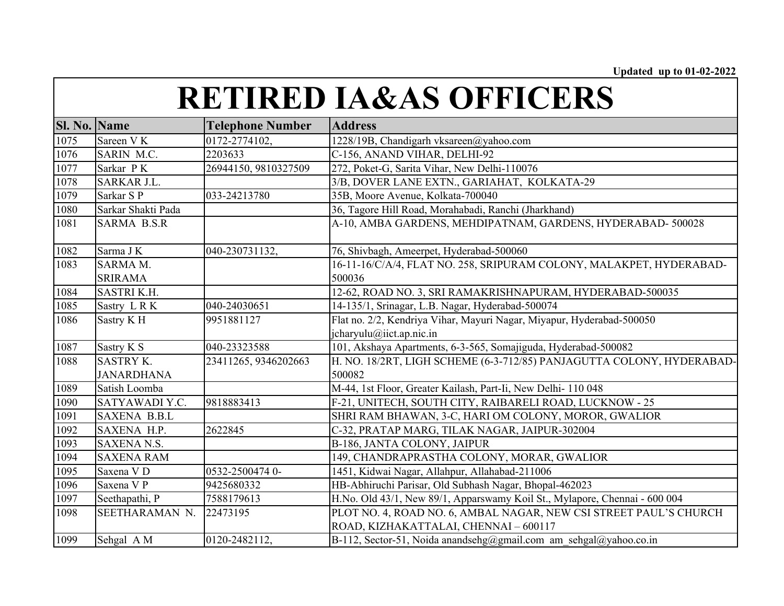| <b>Sl. No. Name</b> |                       | <b>Telephone Number</b> | <b>Address</b>                                                             |
|---------------------|-----------------------|-------------------------|----------------------------------------------------------------------------|
| 1075                | Sareen V K            | 0172-2774102,           | 1228/19B, Chandigarh vksareen@yahoo.com                                    |
| 1076                | SARIN M.C.            | 2203633                 | C-156, ANAND VIHAR, DELHI-92                                               |
| 1077                | Sarkar PK             | 26944150, 9810327509    | 272, Poket-G, Sarita Vihar, New Delhi-110076                               |
| $1078\,$            | SARKAR J.L.           |                         | 3/B, DOVER LANE EXTN., GARIAHAT, KOLKATA-29                                |
| 1079                | Sarkar S P            | 033-24213780            | 35B, Moore Avenue, Kolkata-700040                                          |
| 1080                | Sarkar Shakti Pada    |                         | 36, Tagore Hill Road, Morahabadi, Ranchi (Jharkhand)                       |
| 1081                | <b>SARMA B.S.R</b>    |                         | A-10, AMBA GARDENS, MEHDIPATNAM, GARDENS, HYDERABAD-500028                 |
| 1082                | Sarma J K             | 040-230731132,          | 76, Shivbagh, Ameerpet, Hyderabad-500060                                   |
| 1083                | SARMA M.              |                         | 16-11-16/C/A/4, FLAT NO. 258, SRIPURAM COLONY, MALAKPET, HYDERABAD-        |
|                     | <b>SRIRAMA</b>        |                         | 500036                                                                     |
| 1084                | <b>SASTRI K.H.</b>    |                         | 12-62, ROAD NO. 3, SRI RAMAKRISHNAPURAM, HYDERABAD-500035                  |
| 1085                | Sastry LRK            | 040-24030651            | 14-135/1, Srinagar, L.B. Nagar, Hyderabad-500074                           |
| 1086                | Sastry KH             | 9951881127              | Flat no. 2/2, Kendriya Vihar, Mayuri Nagar, Miyapur, Hyderabad-500050      |
|                     |                       |                         | jcharyulu@iict.ap.nic.in                                                   |
| 1087                | Sastry K S            | 040-23323588            | 101, Akshaya Apartments, 6-3-565, Somajiguda, Hyderabad-500082             |
| 1088                | <b>SASTRY K.</b>      | 23411265, 9346202663    | H. NO. 18/2RT, LIGH SCHEME (6-3-712/85) PANJAGUTTA COLONY, HYDERABAD-      |
|                     | <b>JANARDHANA</b>     |                         | 500082                                                                     |
| 1089                | Satish Loomba         |                         | M-44, 1st Floor, Greater Kailash, Part-Ii, New Delhi-110 048               |
| 1090                | SATYAWADI Y.C.        | 9818883413              | F-21, UNITECH, SOUTH CITY, RAIBARELI ROAD, LUCKNOW - 25                    |
| 1091                | <b>SAXENA B.B.L</b>   |                         | SHRI RAM BHAWAN, 3-C, HARI OM COLONY, MOROR, GWALIOR                       |
| 1092                | SAXENA H.P.           | 2622845                 | C-32, PRATAP MARG, TILAK NAGAR, JAIPUR-302004                              |
| 1093                | <b>SAXENA N.S.</b>    |                         | B-186, JANTA COLONY, JAIPUR                                                |
| 1094                | <b>SAXENA RAM</b>     |                         | 149, CHANDRAPRASTHA COLONY, MORAR, GWALIOR                                 |
| 1095                | Saxena V <sub>D</sub> | 0532-2500474 0-         | 1451, Kidwai Nagar, Allahpur, Allahabad-211006                             |
| 1096                | Saxena V P            | 9425680332              | HB-Abhiruchi Parisar, Old Subhash Nagar, Bhopal-462023                     |
| 1097                | Seethapathi, P        | 7588179613              | H.No. Old 43/1, New 89/1, Apparswamy Koil St., Mylapore, Chennai - 600 004 |
| 1098                | SEETHARAMAN N.        | 22473195                | PLOT NO. 4, ROAD NO. 6, AMBAL NAGAR, NEW CSI STREET PAUL'S CHURCH          |
|                     |                       |                         | ROAD, KIZHAKATTALAI, CHENNAI - 600117                                      |
| 1099                | Sehgal A M            | 0120-2482112,           | B-112, Sector-51, Noida anandsehg@gmail.com am sehgal@yahoo.co.in          |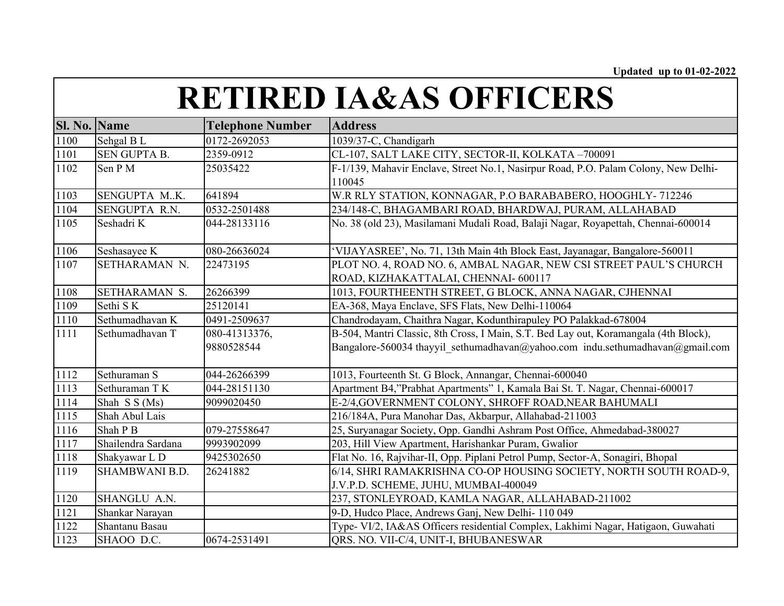| <b>Sl. No. Name</b> |                       | <b>Telephone Number</b> | <b>Address</b>                                                                       |
|---------------------|-----------------------|-------------------------|--------------------------------------------------------------------------------------|
| 1100                | Sehgal BL             | 0172-2692053            | 1039/37-C, Chandigarh                                                                |
| 1101                | <b>SEN GUPTA B.</b>   | 2359-0912               | CL-107, SALT LAKE CITY, SECTOR-II, KOLKATA-700091                                    |
| 1102                | Sen PM                | 25035422                | F-1/139, Mahavir Enclave, Street No.1, Nasirpur Road, P.O. Palam Colony, New Delhi-  |
|                     |                       |                         | 110045                                                                               |
| 1103                | SENGUPTA MK.          | 641894                  | W.R RLY STATION, KONNAGAR, P.O BARABABERO, HOOGHLY-712246                            |
| 1104                | SENGUPTA R.N.         | 0532-2501488            | 234/148-C, BHAGAMBARI ROAD, BHARDWAJ, PURAM, ALLAHABAD                               |
| 1105                | Seshadri K            | 044-28133116            | No. 38 (old 23), Masilamani Mudali Road, Balaji Nagar, Royapettah, Chennai-600014    |
| 1106                | Seshasayee K          | 080-26636024            | 'VIJAYASREE', No. 71, 13th Main 4th Block East, Jayanagar, Bangalore-560011          |
| 1107                | SETHARAMAN N.         | 22473195                | PLOT NO. 4, ROAD NO. 6, AMBAL NAGAR, NEW CSI STREET PAUL'S CHURCH                    |
|                     |                       |                         | ROAD, KIZHAKATTALAI, CHENNAI-600117                                                  |
| 1108                | SETHARAMAN S.         | 26266399                | 1013, FOURTHEENTH STREET, G BLOCK, ANNA NAGAR, CJHENNAI                              |
| 1109                | Sethi S K             | 25120141                | EA-368, Maya Enclave, SFS Flats, New Delhi-110064                                    |
| 1110                | Sethumadhavan K       | 0491-2509637            | Chandrodayam, Chaithra Nagar, Kodunthirapuley PO Palakkad-678004                     |
| 1111                | Sethumadhavan T       | 080-41313376,           | B-504, Mantri Classic, 8th Cross, I Main, S.T. Bed Lay out, Koramangala (4th Block), |
|                     |                       | 9880528544              | Bangalore-560034 thayyil sethumadhavan@yahoo.com indu.sethumadhavan@gmail.com        |
| 1112                | Sethuraman S          | 044-26266399            | 1013, Fourteenth St. G Block, Annangar, Chennai-600040                               |
| 1113                | Sethuraman T K        | 044-28151130            | Apartment B4,"Prabhat Apartments" 1, Kamala Bai St. T. Nagar, Chennai-600017         |
| 1114                | Shah S S (Ms)         | 9099020450              | E-2/4, GOVERNMENT COLONY, SHROFF ROAD, NEAR BAHUMALI                                 |
| 1115                | Shah Abul Lais        |                         | 216/184A, Pura Manohar Das, Akbarpur, Allahabad-211003                               |
| 1116                | Shah P B              | 079-27558647            | 25, Suryanagar Society, Opp. Gandhi Ashram Post Office, Ahmedabad-380027             |
| 1117                | Shailendra Sardana    | 9993902099              | 203, Hill View Apartment, Harishankar Puram, Gwalior                                 |
| 1118                | Shakyawar L D         | 9425302650              | Flat No. 16, Rajvihar-II, Opp. Piplani Petrol Pump, Sector-A, Sonagiri, Bhopal       |
| 1119                | <b>SHAMBWANI B.D.</b> | 26241882                | 6/14, SHRI RAMAKRISHNA CO-OP HOUSING SOCIETY, NORTH SOUTH ROAD-9,                    |
|                     |                       |                         | J.V.P.D. SCHEME, JUHU, MUMBAI-400049                                                 |
| 1120                | SHANGLU A.N.          |                         | 237, STONLEYROAD, KAMLA NAGAR, ALLAHABAD-211002                                      |
| 1121                | Shankar Narayan       |                         | 9-D, Hudco Place, Andrews Ganj, New Delhi- 110 049                                   |
| 1122                | Shantanu Basau        |                         | Type- VI/2, IA&AS Officers residential Complex, Lakhimi Nagar, Hatigaon, Guwahati    |
| 1123                | SHAOO D.C.            | 0674-2531491            | QRS. NO. VII-C/4, UNIT-I, BHUBANESWAR                                                |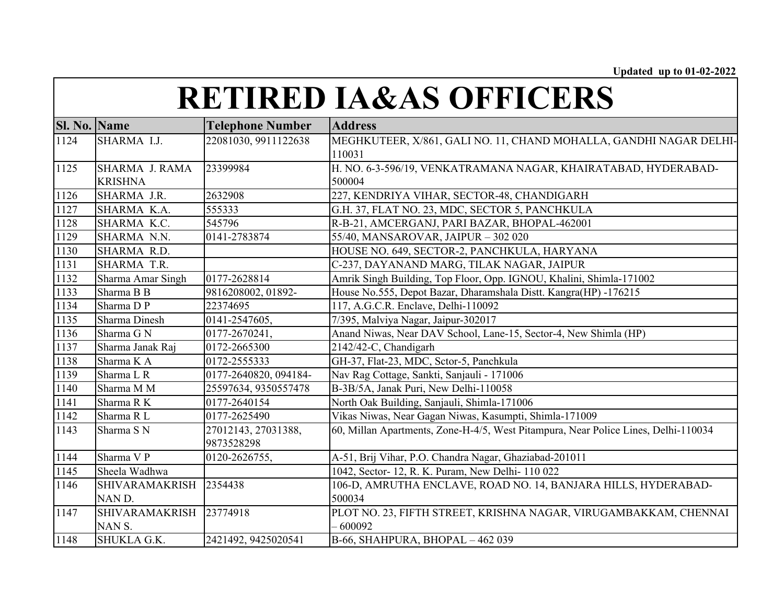| <b>Sl. No. Name</b> |                       | <b>Telephone Number</b> | <b>Address</b>                                                                     |
|---------------------|-----------------------|-------------------------|------------------------------------------------------------------------------------|
| 1124                | SHARMA I.J.           | 22081030, 9911122638    | MEGHKUTEER, X/861, GALI NO. 11, CHAND MOHALLA, GANDHI NAGAR DELHI-                 |
|                     |                       |                         | 110031                                                                             |
| 1125                | <b>SHARMA J. RAMA</b> | 23399984                | H. NO. 6-3-596/19, VENKATRAMANA NAGAR, KHAIRATABAD, HYDERABAD-                     |
|                     | <b>KRISHNA</b>        |                         | 500004                                                                             |
| 1126                | SHARMA J.R.           | 2632908                 | 227, KENDRIYA VIHAR, SECTOR-48, CHANDIGARH                                         |
| 1127                | SHARMA K.A.           | 555333                  | G.H. 37, FLAT NO. 23, MDC, SECTOR 5, PANCHKULA                                     |
| 1128                | SHARMA K.C.           | 545796                  | R-B-21, AMCERGANJ, PARI BAZAR, BHOPAL-462001                                       |
| 1129                | SHARMA N.N.           | 0141-2783874            | 55/40, MANSAROVAR, JAIPUR - 302 020                                                |
| 1130                | SHARMA R.D.           |                         | HOUSE NO. 649, SECTOR-2, PANCHKULA, HARYANA                                        |
| 1131                | SHARMA T.R.           |                         | C-237, DAYANAND MARG, TILAK NAGAR, JAIPUR                                          |
| 1132                | Sharma Amar Singh     | 0177-2628814            | Amrik Singh Building, Top Floor, Opp. IGNOU, Khalini, Shimla-171002                |
| 1133                | Sharma B B            | 9816208002, 01892-      | House No.555, Depot Bazar, Dharamshala Distt. Kangra(HP) -176215                   |
| 1134                | Sharma DP             | 22374695                | 117, A.G.C.R. Enclave, Delhi-110092                                                |
| 1135                | Sharma Dinesh         | 0141-2547605,           | 7/395, Malviya Nagar, Jaipur-302017                                                |
| 1136                | Sharma G N            | 0177-2670241,           | Anand Niwas, Near DAV School, Lane-15, Sector-4, New Shimla (HP)                   |
| 1137                | Sharma Janak Raj      | 0172-2665300            | 2142/42-C, Chandigarh                                                              |
| 1138                | Sharma K A            | 0172-2555333            | GH-37, Flat-23, MDC, Sctor-5, Panchkula                                            |
| 1139                | Sharma L R            | 0177-2640820, 094184-   | Nav Rag Cottage, Sankti, Sanjauli - 171006                                         |
| 1140                | Sharma M M            | 25597634, 9350557478    | B-3B/5A, Janak Puri, New Delhi-110058                                              |
| 1141                | Sharma R K            | 0177-2640154            | North Oak Building, Sanjauli, Shimla-171006                                        |
| 1142                | Sharma R L            | 0177-2625490            | Vikas Niwas, Near Gagan Niwas, Kasumpti, Shimla-171009                             |
| 1143                | Sharma S N            | 27012143, 27031388,     | 60, Millan Apartments, Zone-H-4/5, West Pitampura, Near Police Lines, Delhi-110034 |
|                     |                       | 9873528298              |                                                                                    |
| 1144                | Sharma V P            | 0120-2626755,           | A-51, Brij Vihar, P.O. Chandra Nagar, Ghaziabad-201011                             |
| 1145                | Sheela Wadhwa         |                         | 1042, Sector- 12, R. K. Puram, New Delhi- 110 022                                  |
| 1146                | <b>SHIVARAMAKRISH</b> | 2354438                 | 106-D, AMRUTHA ENCLAVE, ROAD NO. 14, BANJARA HILLS, HYDERABAD-                     |
|                     | NAN D.                |                         | 500034                                                                             |
| 1147                | <b>SHIVARAMAKRISH</b> | 23774918                | PLOT NO. 23, FIFTH STREET, KRISHNA NAGAR, VIRUGAMBAKKAM, CHENNAI                   |
|                     | NAN S.                |                         | $-600092$                                                                          |
| 1148                | SHUKLA G.K.           | 2421492, 9425020541     | B-66, SHAHPURA, BHOPAL - 462 039                                                   |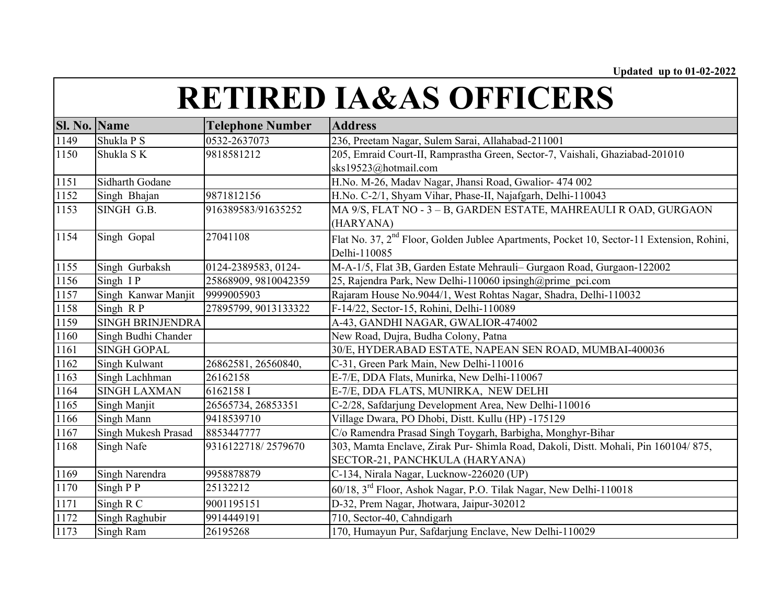| Sl. No. | <b>Name</b>             | <b>Telephone Number</b> | <b>Address</b>                                                                                        |
|---------|-------------------------|-------------------------|-------------------------------------------------------------------------------------------------------|
| 1149    | Shukla P S              | 0532-2637073            | 236, Preetam Nagar, Sulem Sarai, Allahabad-211001                                                     |
| 1150    | Shukla SK               | 9818581212              | 205, Emraid Court-II, Ramprastha Green, Sector-7, Vaishali, Ghaziabad-201010                          |
|         |                         |                         | sks19523@hotmail.com                                                                                  |
| 1151    | Sidharth Godane         |                         | H.No. M-26, Madav Nagar, Jhansi Road, Gwalior- 474 002                                                |
| 1152    | Singh Bhajan            | 9871812156              | H.No. C-2/1, Shyam Vihar, Phase-II, Najafgarh, Delhi-110043                                           |
| 1153    | SINGH G.B.              | 916389583/91635252      | MA 9/S, FLAT NO - 3 - B, GARDEN ESTATE, MAHREAULI R OAD, GURGAON                                      |
|         |                         |                         | (HARYANA)                                                                                             |
| 1154    | Singh Gopal             | 27041108                | Flat No. 37, 2 <sup>nd</sup> Floor, Golden Jublee Apartments, Pocket 10, Sector-11 Extension, Rohini, |
|         |                         |                         | Delhi-110085                                                                                          |
| 1155    | Singh Gurbaksh          | 0124-2389583, 0124-     | M-A-1/5, Flat 3B, Garden Estate Mehrauli-Gurgaon Road, Gurgaon-122002                                 |
| 1156    | Singh IP                | 25868909, 9810042359    | 25, Rajendra Park, New Delhi-110060 ipsingh@prime pci.com                                             |
| 1157    | Singh Kanwar Manjit     | 9999005903              | Rajaram House No.9044/1, West Rohtas Nagar, Shadra, Delhi-110032                                      |
| 1158    | Singh RP                | 27895799, 9013133322    | F-14/22, Sector-15, Rohini, Delhi-110089                                                              |
| 1159    | <b>SINGH BRINJENDRA</b> |                         | A-43, GANDHI NAGAR, GWALIOR-474002                                                                    |
| 1160    | Singh Budhi Chander     |                         | New Road, Dujra, Budha Colony, Patna                                                                  |
| 1161    | <b>SINGH GOPAL</b>      |                         | 30/E, HYDERABAD ESTATE, NAPEAN SEN ROAD, MUMBAI-400036                                                |
| 1162    | Singh Kulwant           | 26862581, 26560840,     | C-31, Green Park Main, New Delhi-110016                                                               |
| 1163    | Singh Lachhman          | 26162158                | E-7/E, DDA Flats, Munirka, New Delhi-110067                                                           |
| 1164    | <b>SINGH LAXMAN</b>     | 6162158 I               | E-7/E, DDA FLATS, MUNIRKA, NEW DELHI                                                                  |
| 1165    | Singh Manjit            | 26565734, 26853351      | C-2/28, Safdarjung Development Area, New Delhi-110016                                                 |
| 1166    | Singh Mann              | 9418539710              | Village Dwara, PO Dhobi, Distt. Kullu (HP) -175129                                                    |
| 1167    | Singh Mukesh Prasad     | 8853447777              | C/o Ramendra Prasad Singh Toygarh, Barbigha, Monghyr-Bihar                                            |
| 1168    | Singh Nafe              | 9316122718/2579670      | 303, Mamta Enclave, Zirak Pur- Shimla Road, Dakoli, Distt. Mohali, Pin 160104/875,                    |
|         |                         |                         | SECTOR-21, PANCHKULA (HARYANA)                                                                        |
| 1169    | Singh Narendra          | 9958878879              | C-134, Nirala Nagar, Lucknow-226020 (UP)                                                              |
| 1170    | Singh P P               | 25132212                | 60/18, 3 <sup>rd</sup> Floor, Ashok Nagar, P.O. Tilak Nagar, New Delhi-110018                         |
| 1171    | Singh R C               | 9001195151              | D-32, Prem Nagar, Jhotwara, Jaipur-302012                                                             |
| 1172    | Singh Raghubir          | 9914449191              | 710, Sector-40, Cahndigarh                                                                            |
| 1173    | Singh Ram               | 26195268                | 170, Humayun Pur, Safdarjung Enclave, New Delhi-110029                                                |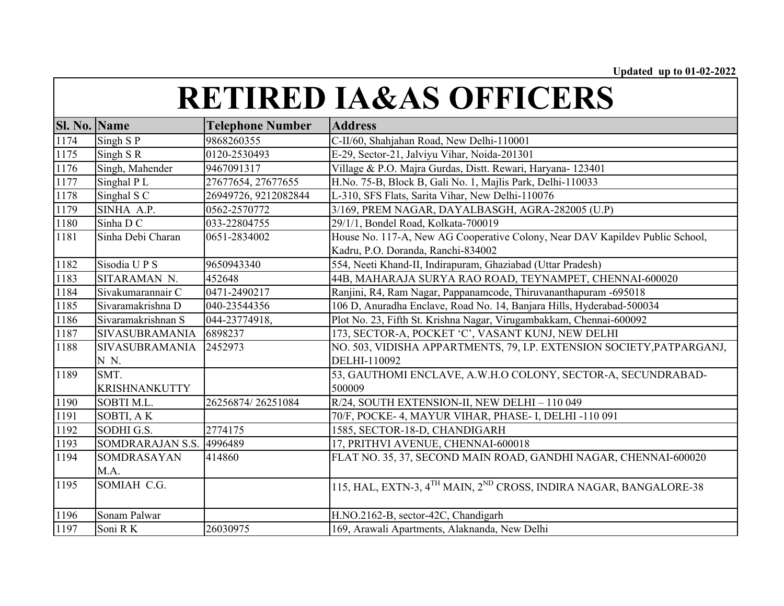| <b>Sl. No. Name</b><br><b>Telephone Number</b><br><b>Address</b><br>1174<br>C-II/60, Shahjahan Road, New Delhi-110001<br>Singh SP<br>9868260355 |  |
|-------------------------------------------------------------------------------------------------------------------------------------------------|--|
|                                                                                                                                                 |  |
|                                                                                                                                                 |  |
| 1175<br>Singh SR<br>E-29, Sector-21, Jalviyu Vihar, Noida-201301<br>0120-2530493                                                                |  |
| 1176<br>Singh, Mahender<br>Village & P.O. Majra Gurdas, Distt. Rewari, Haryana- 123401<br>9467091317                                            |  |
| 1177<br>Singhal PL<br>27677654, 27677655<br>H.No. 75-B, Block B, Gali No. 1, Majlis Park, Delhi-110033                                          |  |
| 1178<br>Singhal S C<br>L-310, SFS Flats, Sarita Vihar, New Delhi-110076<br>26949726, 9212082844                                                 |  |
| 1179<br>SINHA A.P.<br>0562-2570772<br>3/169, PREM NAGAR, DAYALBASGH, AGRA-282005 (U.P)                                                          |  |
| 1180<br>Sinha D C<br>29/1/1, Bondel Road, Kolkata-700019<br>033-22804755                                                                        |  |
| House No. 117-A, New AG Cooperative Colony, Near DAV Kapildev Public School,<br>1181<br>Sinha Debi Charan<br>0651-2834002                       |  |
| Kadru, P.O. Doranda, Ranchi-834002                                                                                                              |  |
| 1182<br>554, Neeti Khand-II, Indirapuram, Ghaziabad (Uttar Pradesh)<br>Sisodia UPS<br>9650943340                                                |  |
| 1183<br>SITARAMAN N.<br>452648<br>44B, MAHARAJA SURYA RAO ROAD, TEYNAMPET, CHENNAI-600020                                                       |  |
| 1184<br>0471-2490217<br>Ranjini, R4, Ram Nagar, Pappanamcode, Thiruvananthapuram -695018<br>Sivakumarannair C                                   |  |
| 1185<br>Sivaramakrishna D<br>106 D, Anuradha Enclave, Road No. 14, Banjara Hills, Hyderabad-500034<br>040-23544356                              |  |
| Sivaramakrishnan S<br>1186<br>044-23774918,<br>Plot No. 23, Fifth St. Krishna Nagar, Virugambakkam, Chennai-600092                              |  |
| 1187<br>6898237<br>173, SECTOR-A, POCKET 'C', VASANT KUNJ, NEW DELHI<br><b>SIVASUBRAMANIA</b>                                                   |  |
| NO. 503, VIDISHA APPARTMENTS, 79, I.P. EXTENSION SOCIETY, PATPARGANJ,<br>1188<br><b>SIVASUBRAMANIA</b><br>2452973                               |  |
| DELHI-110092<br>N N.                                                                                                                            |  |
| SMT.<br>53, GAUTHOMI ENCLAVE, A.W.H.O COLONY, SECTOR-A, SECUNDRABAD-<br>1189                                                                    |  |
| 500009<br><b>KRISHNANKUTTY</b>                                                                                                                  |  |
| 1190<br>26256874/26251084<br>R/24, SOUTH EXTENSION-II, NEW DELHI - 110 049<br>SOBTI M.L.                                                        |  |
| 1191<br>SOBTI, AK<br>70/F, POCKE- 4, MAYUR VIHAR, PHASE- I, DELHI -110 091                                                                      |  |
| 1192<br>2774175<br>SODHI G.S.<br>1585, SECTOR-18-D, CHANDIGARH                                                                                  |  |
| 1193<br>SOMDRARAJAN S.S.<br>17, PRITHVI AVENUE, CHENNAI-600018<br>4996489                                                                       |  |
| FLAT NO. 35, 37, SECOND MAIN ROAD, GANDHI NAGAR, CHENNAI-600020<br>1194<br>SOMDRASAYAN<br>414860                                                |  |
| M.A.                                                                                                                                            |  |
| 1195<br>SOMIAH C.G.<br>115, HAL, EXTN-3, 4 <sup>TH</sup> MAIN, 2 <sup>ND</sup> CROSS, INDIRA NAGAR, BANGALORE-38                                |  |
|                                                                                                                                                 |  |
| 1196<br>Sonam Palwar<br>H.NO.2162-B, sector-42C, Chandigarh                                                                                     |  |
| 1197<br>Soni RK<br>169, Arawali Apartments, Alaknanda, New Delhi<br>26030975                                                                    |  |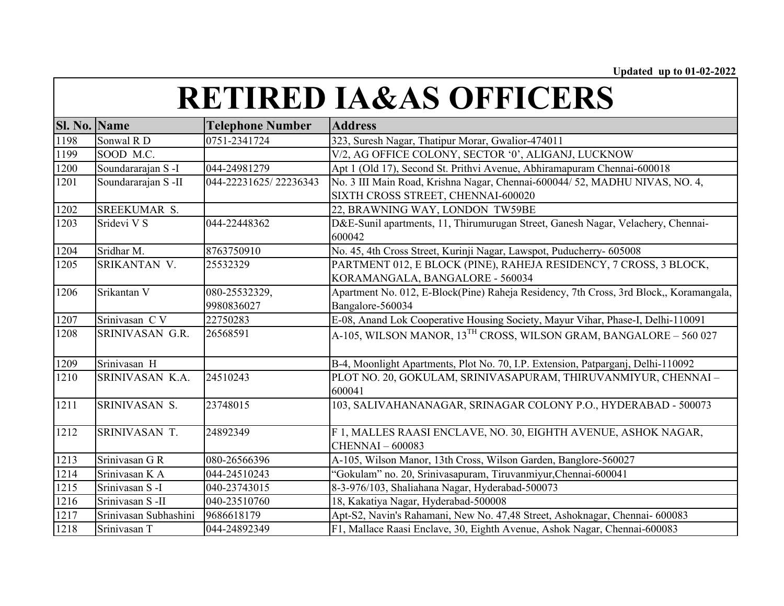| <b>Sl. No. Name</b> |                       | <b>Telephone Number</b> | <b>Address</b>                                                                         |
|---------------------|-----------------------|-------------------------|----------------------------------------------------------------------------------------|
| 1198                | Sonwal R D            | 0751-2341724            | 323, Suresh Nagar, Thatipur Morar, Gwalior-474011                                      |
| 1199                | SOOD M.C.             |                         | V/2, AG OFFICE COLONY, SECTOR '0', ALIGANJ, LUCKNOW                                    |
| 1200                | Soundararajan S-I     | 044-24981279            | Apt 1 (Old 17), Second St. Prithvi Avenue, Abhiramapuram Chennai-600018                |
| 1201                | Soundararajan S -II   | 044-22231625/22236343   | No. 3 III Main Road, Krishna Nagar, Chennai-600044/ 52, MADHU NIVAS, NO. 4,            |
|                     |                       |                         | SIXTH CROSS STREET, CHENNAI-600020                                                     |
| 1202                | SREEKUMAR S.          |                         | 22, BRAWNING WAY, LONDON TW59BE                                                        |
| 1203                | Sridevi V S           | 044-22448362            | D&E-Sunil apartments, 11, Thirumurugan Street, Ganesh Nagar, Velachery, Chennai-       |
|                     |                       |                         | 600042                                                                                 |
| 1204                | Sridhar M.            | 8763750910              | No. 45, 4th Cross Street, Kurinji Nagar, Lawspot, Puducherry- 605008                   |
| 1205                | SRIKANTAN V.          | 25532329                | PARTMENT 012, E BLOCK (PINE), RAHEJA RESIDENCY, 7 CROSS, 3 BLOCK,                      |
|                     |                       |                         | KORAMANGALA, BANGALORE - 560034                                                        |
| 1206                | Srikantan V           | 080-25532329,           | Apartment No. 012, E-Block(Pine) Raheja Residency, 7th Cross, 3rd Block,, Koramangala, |
|                     |                       | 9980836027              | Bangalore-560034                                                                       |
| 1207                | Srinivasan CV         | 22750283                | E-08, Anand Lok Cooperative Housing Society, Mayur Vihar, Phase-I, Delhi-110091        |
| 1208                | SRINIVASAN G.R.       | 26568591                | A-105, WILSON MANOR, 13 <sup>TH</sup> CROSS, WILSON GRAM, BANGALORE – 560 027          |
| 1209                | Srinivasan H          |                         | B-4, Moonlight Apartments, Plot No. 70, I.P. Extension, Patparganj, Delhi-110092       |
| 1210                | SRINIVASAN K.A.       | 24510243                | PLOT NO. 20, GOKULAM, SRINIVASAPURAM, THIRUVANMIYUR, CHENNAI -                         |
|                     |                       |                         | 600041                                                                                 |
| 1211                | SRINIVASAN S.         | 23748015                | 103, SALIVAHANANAGAR, SRINAGAR COLONY P.O., HYDERABAD - 500073                         |
| 1212                | SRINIVASAN T.         | 24892349                | F 1, MALLES RAASI ENCLAVE, NO. 30, EIGHTH AVENUE, ASHOK NAGAR,                         |
|                     |                       |                         | <b>CHENNAI-600083</b>                                                                  |
| 1213                | Srinivasan G R        | 080-26566396            | A-105, Wilson Manor, 13th Cross, Wilson Garden, Banglore-560027                        |
| 1214                | Srinivasan K A        | 044-24510243            | "Gokulam" no. 20, Srinivasapuram, Tiruvanmiyur, Chennai-600041                         |
| 1215                | Srinivasan S-I        | 040-23743015            | 8-3-976/103, Shaliahana Nagar, Hyderabad-500073                                        |
| 1216                | Srinivasan S-II       | 040-23510760            | 18, Kakatiya Nagar, Hyderabad-500008                                                   |
| 1217                | Srinivasan Subhashini | 9686618179              | Apt-S2, Navin's Rahamani, New No. 47,48 Street, Ashoknagar, Chennai- 600083            |
| 1218                | Srinivasan T          | 044-24892349            | F1, Mallace Raasi Enclave, 30, Eighth Avenue, Ashok Nagar, Chennai-600083              |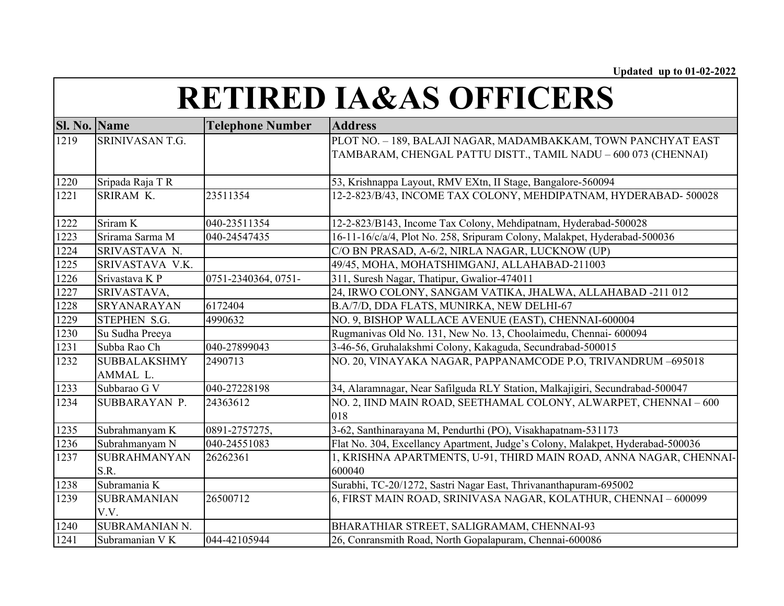| <b>Sl. No. Name</b> |                     | <b>Telephone Number</b> | <b>Address</b>                                                                 |
|---------------------|---------------------|-------------------------|--------------------------------------------------------------------------------|
| 1219                | SRINIVASAN T.G.     |                         | PLOT NO. - 189, BALAJI NAGAR, MADAMBAKKAM, TOWN PANCHYAT EAST                  |
|                     |                     |                         | TAMBARAM, CHENGAL PATTU DISTT., TAMIL NADU - 600 073 (CHENNAI)                 |
|                     |                     |                         |                                                                                |
| 1220                | Sripada Raja T R    |                         | 53, Krishnappa Layout, RMV EXtn, II Stage, Bangalore-560094                    |
| 1221                | SRIRAM K.           | 23511354                | 12-2-823/B/43, INCOME TAX COLONY, MEHDIPATNAM, HYDERABAD- 500028               |
|                     |                     |                         |                                                                                |
| 1222                | Sriram K            | 040-23511354            | 12-2-823/B143, Income Tax Colony, Mehdipatnam, Hyderabad-500028                |
| 1223                | Srirama Sarma M     | 040-24547435            | 16-11-16/c/a/4, Plot No. 258, Sripuram Colony, Malakpet, Hyderabad-500036      |
| 1224                | SRIVASTAVA N.       |                         | C/O BN PRASAD, A-6/2, NIRLA NAGAR, LUCKNOW (UP)                                |
| 1225                | SRIVASTAVA V.K.     |                         | 49/45, MOHA, MOHATSHIMGANJ, ALLAHABAD-211003                                   |
| 1226                | Srivastava KP       | 0751-2340364, 0751-     | 311, Suresh Nagar, Thatipur, Gwalior-474011                                    |
| 1227                | SRIVASTAVA,         |                         | 24, IRWO COLONY, SANGAM VATIKA, JHALWA, ALLAHABAD -211 012                     |
| 1228                | SRYANARAYAN         | 6172404                 | B.A/7/D, DDA FLATS, MUNIRKA, NEW DELHI-67                                      |
| 1229                | STEPHEN S.G.        | 4990632                 | NO. 9, BISHOP WALLACE AVENUE (EAST), CHENNAI-600004                            |
| 1230                | Su Sudha Preeya     |                         | Rugmanivas Old No. 131, New No. 13, Choolaimedu, Chennai- 600094               |
| 1231                | Subba Rao Ch        | 040-27899043            | 3-46-56, Gruhalakshmi Colony, Kakaguda, Secundrabad-500015                     |
| 1232                | <b>SUBBALAKSHMY</b> | 2490713                 | NO. 20, VINAYAKA NAGAR, PAPPANAMCODE P.O, TRIVANDRUM-695018                    |
|                     | AMMAL L.            |                         |                                                                                |
| 1233                | Subbarao G V        | 040-27228198            | 34, Alaramnagar, Near Safilguda RLY Station, Malkajigiri, Secundrabad-500047   |
| 1234                | SUBBARAYAN P.       | 24363612                | NO. 2, IIND MAIN ROAD, SEETHAMAL COLONY, ALWARPET, CHENNAI - 600               |
|                     |                     |                         | 018                                                                            |
| 1235                | Subrahmanyam K      | 0891-2757275,           | 3-62, Santhinarayana M, Pendurthi (PO), Visakhapatnam-531173                   |
| 1236                | Subrahmanyam N      | 040-24551083            | Flat No. 304, Excellancy Apartment, Judge's Colony, Malakpet, Hyderabad-500036 |
| 1237                | <b>SUBRAHMANYAN</b> | 26262361                | 1, KRISHNA APARTMENTS, U-91, THIRD MAIN ROAD, ANNA NAGAR, CHENNAI-             |
|                     | S.R.                |                         | 600040                                                                         |
| 1238                | Subramania K        |                         | Surabhi, TC-20/1272, Sastri Nagar East, Thrivananthapuram-695002               |
| 1239                | <b>SUBRAMANIAN</b>  | 26500712                | 6, FIRST MAIN ROAD, SRINIVASA NAGAR, KOLATHUR, CHENNAI - 600099                |
|                     | V.V.                |                         |                                                                                |
| 1240                | SUBRAMANIAN N.      |                         | BHARATHIAR STREET, SALIGRAMAM, CHENNAI-93                                      |
| 1241                | Subramanian VK      | 044-42105944            | 26, Conransmith Road, North Gopalapuram, Chennai-600086                        |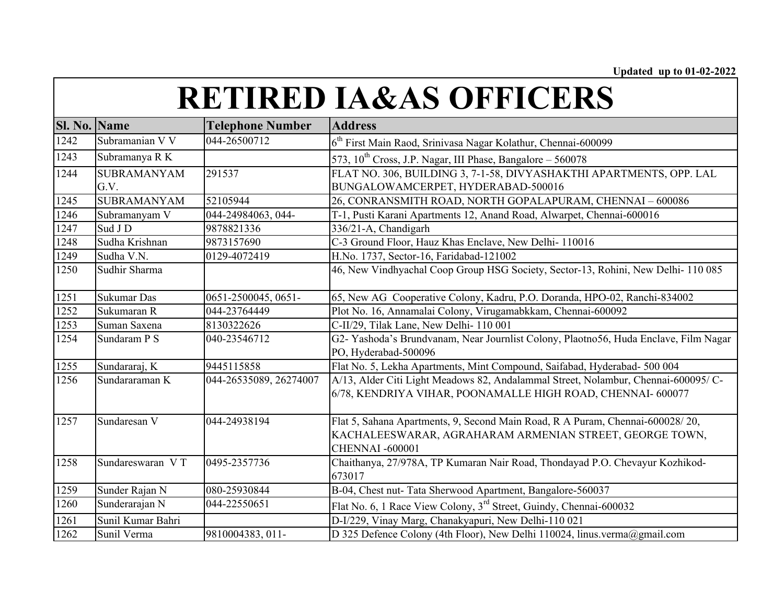| <b>RETIRED IA&amp;AS OFFICERS</b> |  |
|-----------------------------------|--|
|-----------------------------------|--|

| <b>Sl. No. Name</b> |                    | <b>Telephone Number</b> | <b>Address</b>                                                                       |
|---------------------|--------------------|-------------------------|--------------------------------------------------------------------------------------|
| 1242                | Subramanian V V    | 044-26500712            | 6 <sup>th</sup> First Main Raod, Srinivasa Nagar Kolathur, Chennai-600099            |
| 1243                | Subramanya R K     |                         | 573, $10^{th}$ Cross, J.P. Nagar, III Phase, Bangalore - 560078                      |
| 1244                | <b>SUBRAMANYAM</b> | 291537                  | FLAT NO. 306, BUILDING 3, 7-1-58, DIVYASHAKTHI APARTMENTS, OPP. LAL                  |
|                     | G.V.               |                         | BUNGALOWAMCERPET, HYDERABAD-500016                                                   |
| 1245                | <b>SUBRAMANYAM</b> | 52105944                | 26, CONRANSMITH ROAD, NORTH GOPALAPURAM, CHENNAI - 600086                            |
| 1246                | Subramanyam V      | 044-24984063, 044-      | T-1, Pusti Karani Apartments 12, Anand Road, Alwarpet, Chennai-600016                |
| 1247                | Sud J D            | 9878821336              | 336/21-A, Chandigarh                                                                 |
| 1248                | Sudha Krishnan     | 9873157690              | C-3 Ground Floor, Hauz Khas Enclave, New Delhi- 110016                               |
| 1249                | Sudha V.N.         | 0129-4072419            | H.No. 1737, Sector-16, Faridabad-121002                                              |
| 1250                | Sudhir Sharma      |                         | 46, New Vindhyachal Coop Group HSG Society, Sector-13, Rohini, New Delhi-110 085     |
| 1251                | Sukumar Das        | 0651-2500045, 0651-     | 65, New AG Cooperative Colony, Kadru, P.O. Doranda, HPO-02, Ranchi-834002            |
| 1252                | Sukumaran R        | 044-23764449            | Plot No. 16, Annamalai Colony, Virugamabkkam, Chennai-600092                         |
| 1253                | Suman Saxena       | 8130322626              | C-II/29, Tilak Lane, New Delhi- 110 001                                              |
| 1254                | Sundaram P S       | 040-23546712            | G2- Yashoda's Brundvanam, Near Journlist Colony, Plaotno56, Huda Enclave, Film Nagar |
|                     |                    |                         | PO, Hyderabad-500096                                                                 |
| 1255                | Sundararaj, K      | 9445115858              | Flat No. 5, Lekha Apartments, Mint Compound, Saifabad, Hyderabad- 500 004            |
| 1256                | Sundararaman K     | 044-26535089, 26274007  | A/13, Alder Citi Light Meadows 82, Andalammal Street, Nolambur, Chennai-600095/ C-   |
|                     |                    |                         | 6/78, KENDRIYA VIHAR, POONAMALLE HIGH ROAD, CHENNAI- 600077                          |
| 1257                | Sundaresan V       | 044-24938194            | Flat 5, Sahana Apartments, 9, Second Main Road, R A Puram, Chennai-600028/20,        |
|                     |                    |                         | KACHALEESWARAR, AGRAHARAM ARMENIAN STREET, GEORGE TOWN,                              |
|                     |                    |                         | <b>CHENNAI -600001</b>                                                               |
| 1258                | Sundareswaran VT   | 0495-2357736            | Chaithanya, 27/978A, TP Kumaran Nair Road, Thondayad P.O. Chevayur Kozhikod-         |
|                     |                    |                         | 673017                                                                               |
| 1259                | Sunder Rajan N     | 080-25930844            | B-04, Chest nut- Tata Sherwood Apartment, Bangalore-560037                           |
| 1260                | Sunderarajan N     | 044-22550651            | Flat No. 6, 1 Race View Colony, 3 <sup>rd</sup> Street, Guindy, Chennai-600032       |
| 1261                | Sunil Kumar Bahri  |                         | D-I/229, Vinay Marg, Chanakyapuri, New Delhi-110 021                                 |
| 1262                | Sunil Verma        | 9810004383, 011-        | D 325 Defence Colony (4th Floor), New Delhi 110024, linus.verma@gmail.com            |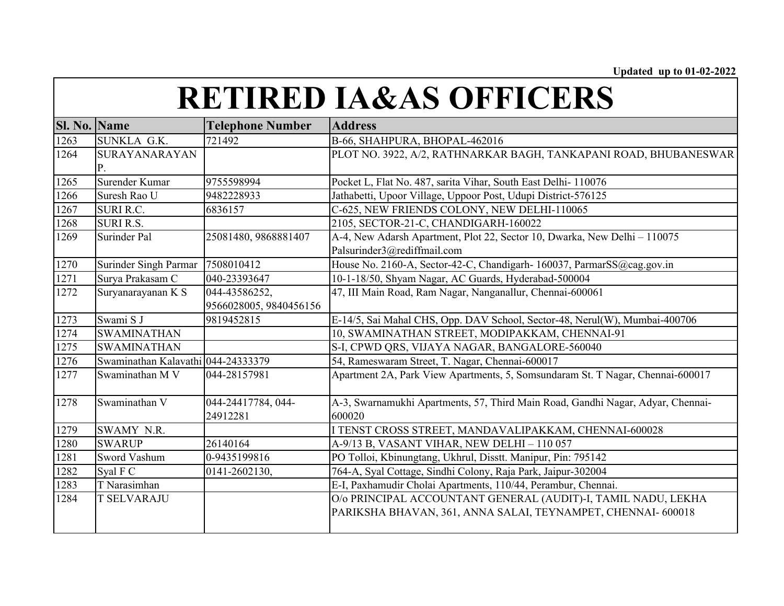| Sl. No. Name |                                    | <b>Telephone Number</b> | <b>Address</b>                                                                  |
|--------------|------------------------------------|-------------------------|---------------------------------------------------------------------------------|
| 1263         | SUNKLA G.K.                        | 721492                  | B-66, SHAHPURA, BHOPAL-462016                                                   |
| 1264         | SURAYANARAYAN                      |                         | PLOT NO. 3922, A/2, RATHNARKAR BAGH, TANKAPANI ROAD, BHUBANESWAR                |
|              | Р.                                 |                         |                                                                                 |
| 1265         | Surender Kumar                     | 9755598994              | Pocket L, Flat No. 487, sarita Vihar, South East Delhi- 110076                  |
| 1266         | Suresh Rao U                       | 9482228933              | Jathabetti, Upoor Village, Uppoor Post, Udupi District-576125                   |
| 1267         | <b>SURI R.C.</b>                   | 6836157                 | C-625, NEW FRIENDS COLONY, NEW DELHI-110065                                     |
| 1268         | <b>SURI R.S.</b>                   |                         | 2105, SECTOR-21-C, CHANDIGARH-160022                                            |
| 1269         | Surinder Pal                       | 25081480, 9868881407    | A-4, New Adarsh Apartment, Plot 22, Sector 10, Dwarka, New Delhi - 110075       |
|              |                                    |                         | Palsurinder3@rediffmail.com                                                     |
| 1270         | Surinder Singh Parmar              | 7508010412              | House No. 2160-A, Sector-42-C, Chandigarh- 160037, ParmarSS@cag.gov.in          |
| 1271         | Surya Prakasam C                   | 040-23393647            | 10-1-18/50, Shyam Nagar, AC Guards, Hyderabad-500004                            |
| 1272         | Suryanarayanan K S                 | 044-43586252,           | 47, III Main Road, Ram Nagar, Nanganallur, Chennai-600061                       |
|              |                                    | 9566028005, 9840456156  |                                                                                 |
| 1273         | Swami S J                          | 9819452815              | E-14/5, Sai Mahal CHS, Opp. DAV School, Sector-48, Nerul(W), Mumbai-400706      |
| 1274         | <b>SWAMINATHAN</b>                 |                         | 10, SWAMINATHAN STREET, MODIPAKKAM, CHENNAI-91                                  |
| 1275         | <b>SWAMINATHAN</b>                 |                         | S-I, CPWD QRS, VIJAYA NAGAR, BANGALORE-560040                                   |
| 1276         | Swaminathan Kalavathi 044-24333379 |                         | 54, Rameswaram Street, T. Nagar, Chennai-600017                                 |
| 1277         | Swaminathan M V                    | 044-28157981            | Apartment 2A, Park View Apartments, 5, Somsundaram St. T Nagar, Chennai-600017  |
| 1278         | Swaminathan V                      | 044-24417784, 044-      | A-3, Swarnamukhi Apartments, 57, Third Main Road, Gandhi Nagar, Adyar, Chennai- |
|              |                                    | 24912281                | 600020                                                                          |
| 1279         | SWAMY N.R.                         |                         | I TENST CROSS STREET, MANDAVALIPAKKAM, CHENNAI-600028                           |
| 1280         | <b>SWARUP</b>                      | 26140164                | A-9/13 B, VASANT VIHAR, NEW DELHI - 110 057                                     |
| 1281         | Sword Vashum                       | 0-9435199816            | PO Tolloi, Kbinungtang, Ukhrul, Disstt. Manipur, Pin: 795142                    |
| 1282         | Syal F C                           | 0141-2602130,           | 764-A, Syal Cottage, Sindhi Colony, Raja Park, Jaipur-302004                    |
| 1283         | T Narasimhan                       |                         | E-I, Paxhamudir Cholai Apartments, 110/44, Perambur, Chennai.                   |
| 1284         | <b>T SELVARAJU</b>                 |                         | O/o PRINCIPAL ACCOUNTANT GENERAL (AUDIT)-I, TAMIL NADU, LEKHA                   |
|              |                                    |                         | PARIKSHA BHAVAN, 361, ANNA SALAI, TEYNAMPET, CHENNAI- 600018                    |
|              |                                    |                         |                                                                                 |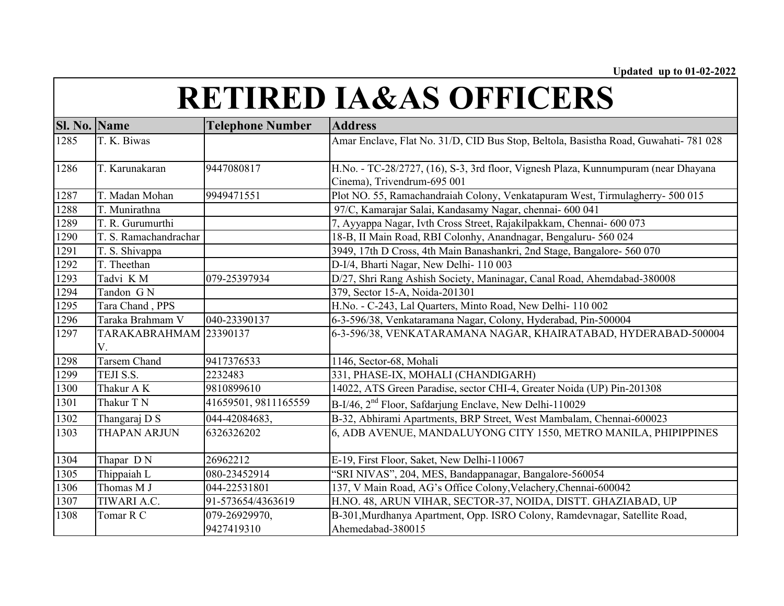| <b>Sl. No. Name</b> |                        | <b>Telephone Number</b> | <b>Address</b>                                                                       |
|---------------------|------------------------|-------------------------|--------------------------------------------------------------------------------------|
| 1285                | T. K. Biwas            |                         | Amar Enclave, Flat No. 31/D, CID Bus Stop, Beltola, Basistha Road, Guwahati- 781 028 |
|                     |                        |                         |                                                                                      |
| 1286                | T. Karunakaran         | 9447080817              | H.No. - TC-28/2727, (16), S-3, 3rd floor, Vignesh Plaza, Kunnumpuram (near Dhayana   |
|                     |                        |                         | Cinema), Trivendrum-695 001                                                          |
| 1287                | T. Madan Mohan         | 9949471551              | Plot NO. 55, Ramachandraiah Colony, Venkatapuram West, Tirmulagherry- 500 015        |
| 1288                | T. Munirathna          |                         | 97/C, Kamarajar Salai, Kandasamy Nagar, chennai- 600 041                             |
| 1289                | T. R. Gurumurthi       |                         | 7, Ayyappa Nagar, Ivth Cross Street, Rajakilpakkam, Chennai- 600 073                 |
| 1290                | T. S. Ramachandrachar  |                         | 18-B, II Main Road, RBI Colonhy, Anandnagar, Bengaluru- 560 024                      |
| 1291                | T. S. Shivappa         |                         | 3949, 17th D Cross, 4th Main Banashankri, 2nd Stage, Bangalore- 560 070              |
| 1292                | T. Theethan            |                         | D-I/4, Bharti Nagar, New Delhi-110 003                                               |
| 1293                | Tadvi KM               | 079-25397934            | D/27, Shri Rang Ashish Society, Maninagar, Canal Road, Ahemdabad-380008              |
| 1294                | Tandon GN              |                         | 379, Sector 15-A, Noida-201301                                                       |
| 1295                | Tara Chand, PPS        |                         | H.No. - C-243, Lal Quarters, Minto Road, New Delhi-110 002                           |
| 1296                | Taraka Brahmam V       | 040-23390137            | 6-3-596/38, Venkataramana Nagar, Colony, Hyderabad, Pin-500004                       |
| 1297                | TARAKABRAHMAM 23390137 |                         | 6-3-596/38, VENKATARAMANA NAGAR, KHAIRATABAD, HYDERABAD-500004                       |
|                     | V.                     |                         |                                                                                      |
| 1298                | Tarsem Chand           | 9417376533              | 1146, Sector-68, Mohali                                                              |
| 1299                | TEJI S.S.              | 2232483                 | 331, PHASE-IX, MOHALI (CHANDIGARH)                                                   |
| 1300                | Thakur AK              | 9810899610              | 14022, ATS Green Paradise, sector CHI-4, Greater Noida (UP) Pin-201308               |
| 1301                | Thakur T N             | 41659501, 9811165559    | B-I/46, 2 <sup>nd</sup> Floor, Safdarjung Enclave, New Delhi-110029                  |
| 1302                | Thangaraj D S          | 044-42084683,           | B-32, Abhirami Apartments, BRP Street, West Mambalam, Chennai-600023                 |
| 1303                | <b>THAPAN ARJUN</b>    | 6326326202              | 6, ADB AVENUE, MANDALUYONG CITY 1550, METRO MANILA, PHIPIPPINES                      |
| 1304                | Thapar DN              | 26962212                | E-19, First Floor, Saket, New Delhi-110067                                           |
| 1305                | Thippaiah L            | 080-23452914            | "SRI NIVAS", 204, MES, Bandappanagar, Bangalore-560054                               |
| 1306                | Thomas M J             | 044-22531801            | 137, V Main Road, AG's Office Colony, Velachery, Chennai-600042                      |
| 1307                | TIWARI A.C.            | 91-573654/4363619       | H.NO. 48, ARUN VIHAR, SECTOR-37, NOIDA, DISTT. GHAZIABAD, UP                         |
| 1308                | Tomar R C              | 079-26929970,           | B-301, Murdhanya Apartment, Opp. ISRO Colony, Ramdevnagar, Satellite Road,           |
|                     |                        | 9427419310              | Ahemedabad-380015                                                                    |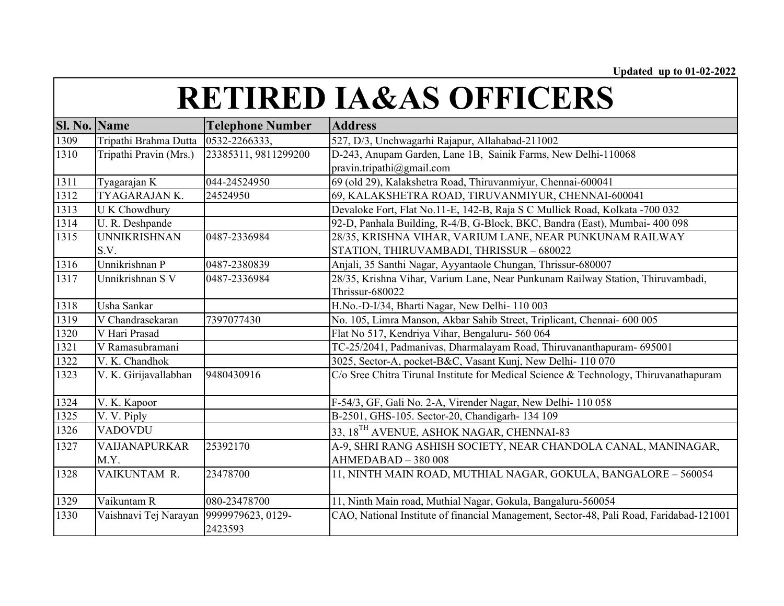| Sl. No. | <b>Name</b>            | <b>Telephone Number</b>      | <b>Address</b>                                                                          |
|---------|------------------------|------------------------------|-----------------------------------------------------------------------------------------|
| 1309    | Tripathi Brahma Dutta  | 0532-2266333,                | 527, D/3, Unchwagarhi Rajapur, Allahabad-211002                                         |
| 1310    | Tripathi Pravin (Mrs.) | 23385311, 9811299200         | D-243, Anupam Garden, Lane 1B, Sainik Farms, New Delhi-110068                           |
|         |                        |                              | pravin.tripathi@gmail.com                                                               |
| 1311    | Tyagarajan K           | 044-24524950                 | 69 (old 29), Kalakshetra Road, Thiruvanmiyur, Chennai-600041                            |
| 1312    | TYAGARAJAN K.          | 24524950                     | 69, KALAKSHETRA ROAD, TIRUVANMIYUR, CHENNAI-600041                                      |
| 1313    | <b>UK</b> Chowdhury    |                              | Devaloke Fort, Flat No.11-E, 142-B, Raja S C Mullick Road, Kolkata -700 032             |
| 1314    | U. R. Deshpande        |                              | 92-D, Panhala Building, R-4/B, G-Block, BKC, Bandra (East), Mumbai- 400 098             |
| 1315    | <b>UNNIKRISHNAN</b>    | 0487-2336984                 | 28/35, KRISHNA VIHAR, VARIUM LANE, NEAR PUNKUNAM RAILWAY                                |
|         | S.V.                   |                              | STATION, THIRUVAMBADI, THRISSUR - 680022                                                |
| 1316    | Unnikrishnan P         | 0487-2380839                 | Anjali, 35 Santhi Nagar, Ayyantaole Chungan, Thrissur-680007                            |
| 1317    | Unnikrishnan S V       | 0487-2336984                 | 28/35, Krishna Vihar, Varium Lane, Near Punkunam Railway Station, Thiruvambadi,         |
|         |                        |                              | <b>Thrissur-680022</b>                                                                  |
| 1318    | Usha Sankar            |                              | H.No.-D-I/34, Bharti Nagar, New Delhi- 110 003                                          |
| 1319    | V Chandrasekaran       | 7397077430                   | No. 105, Limra Manson, Akbar Sahib Street, Triplicant, Chennai- 600 005                 |
| 1320    | V Hari Prasad          |                              | Flat No 517, Kendriya Vihar, Bengaluru- 560 064                                         |
| 1321    | V Ramasubramani        |                              | TC-25/2041, Padmanivas, Dharmalayam Road, Thiruvananthapuram- 695001                    |
| 1322    | V. K. Chandhok         |                              | 3025, Sector-A, pocket-B&C, Vasant Kunj, New Delhi-110 070                              |
| 1323    | V. K. Girijavallabhan  | 9480430916                   | C/o Sree Chitra Tirunal Institute for Medical Science & Technology, Thiruvanathapuram   |
| 1324    | V. K. Kapoor           |                              | F-54/3, GF, Gali No. 2-A, Virender Nagar, New Delhi-110 058                             |
| 1325    | V. V. Piply            |                              | B-2501, GHS-105. Sector-20, Chandigarh- 134 109                                         |
| 1326    | <b>VADOVDU</b>         |                              | 33, 18 <sup>TH</sup> AVENUE, ASHOK NAGAR, CHENNAI-83                                    |
| 1327    | <b>VAIJANAPURKAR</b>   | 25392170                     | A-9, SHRI RANG ASHISH SOCIETY, NEAR CHANDOLA CANAL, MANINAGAR,                          |
|         | M.Y.                   |                              | AHMEDABAD - 380 008                                                                     |
| 1328    | VAIKUNTAM R.           | 23478700                     | 11, NINTH MAIN ROAD, MUTHIAL NAGAR, GOKULA, BANGALORE - 560054                          |
| 1329    | Vaikuntam R            | 080-23478700                 | 11, Ninth Main road, Muthial Nagar, Gokula, Bangaluru-560054                            |
| 1330    | Vaishnavi Tej Narayan  | 9999979623, 0129-<br>2423593 | CAO, National Institute of financial Management, Sector-48, Pali Road, Faridabad-121001 |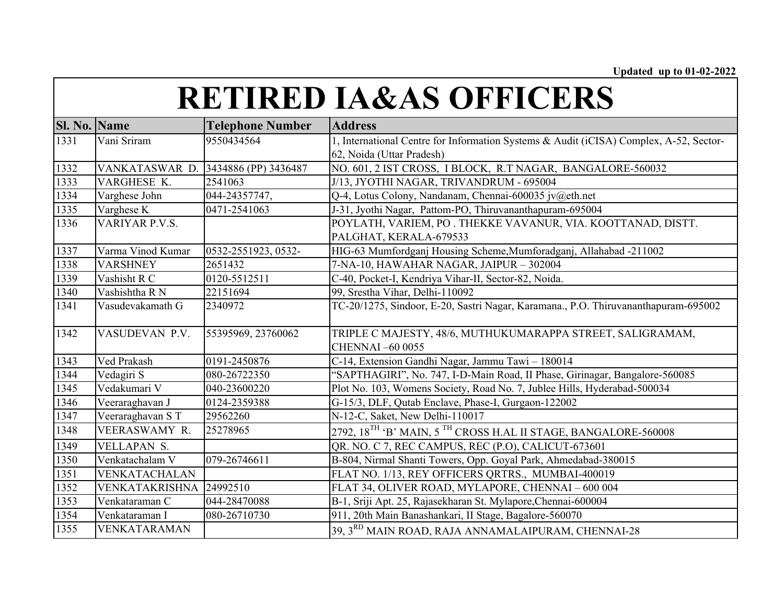| <b>Sl. No. Name</b> |                       | <b>Telephone Number</b> | <b>Address</b>                                                                         |
|---------------------|-----------------------|-------------------------|----------------------------------------------------------------------------------------|
| 1331                | Vani Sriram           | 9550434564              | 1, International Centre for Information Systems & Audit (iCISA) Complex, A-52, Sector- |
|                     |                       |                         | 62, Noida (Uttar Pradesh)                                                              |
| 1332                | VANKATASWAR D.        | 3434886 (PP) 3436487    | NO. 601, 2 IST CROSS, I BLOCK, R.T NAGAR, BANGALORE-560032                             |
| 1333                | VARGHESE K.           | 2541063                 | J/13, JYOTHI NAGAR, TRIVANDRUM - 695004                                                |
| 1334                | Varghese John         | 044-24357747,           | Q-4, Lotus Colony, Nandanam, Chennai-600035 jv@eth.net                                 |
| 1335                | Varghese K            | 0471-2541063            | J-31, Jyothi Nagar, Pattom-PO, Thiruvananthapuram-695004                               |
| 1336                | VARIYAR P.V.S.        |                         | POYLATH, VARIEM, PO. THEKKE VAVANUR, VIA. KOOTTANAD, DISTT.                            |
|                     |                       |                         | PALGHAT, KERALA-679533                                                                 |
| 1337                | Varma Vinod Kumar     | 0532-2551923, 0532-     | HIG-63 Mumfordganj Housing Scheme, Mumforadganj, Allahabad -211002                     |
| 1338                | <b>VARSHNEY</b>       | 2651432                 | 7-NA-10, HAWAHAR NAGAR, JAIPUR - 302004                                                |
| 1339                | Vashisht R C          | 0120-5512511            | C-40, Pocket-I, Kendriya Vihar-II, Sector-82, Noida.                                   |
| 1340                | Vashishtha R N        | 22151694                | 99, Srestha Vihar, Delhi-110092                                                        |
| 1341                | Vasudevakamath G      | 2340972                 | TC-20/1275, Sindoor, E-20, Sastri Nagar, Karamana., P.O. Thiruvananthapuram-695002     |
| 1342                | VASUDEVAN P.V.        | 55395969, 23760062      | TRIPLE C MAJESTY, 48/6, MUTHUKUMARAPPA STREET, SALIGRAMAM,<br>CHENNAI-60 0055          |
| 1343                | Ved Prakash           | 0191-2450876            | C-14, Extension Gandhi Nagar, Jammu Tawi - 180014                                      |
| 1344                | Vedagiri S            | 080-26722350            | "SAPTHAGIRI", No. 747, I-D-Main Road, II Phase, Girinagar, Bangalore-560085            |
| 1345                | Vedakumari V          | 040-23600220            | Plot No. 103, Womens Society, Road No. 7, Jublee Hills, Hyderabad-500034               |
| 1346                | Veeraraghavan J       | 0124-2359388            | G-15/3, DLF, Qutab Enclave, Phase-I, Gurgaon-122002                                    |
| 1347                | Veeraraghavan ST      | 29562260                | N-12-C, Saket, New Delhi-110017                                                        |
| 1348                | VEERASWAMY R.         | 25278965                | 2792, 18 <sup>TH</sup> 'B' MAIN, 5 <sup>TH</sup> CROSS H.AL II STAGE, BANGALORE-560008 |
| 1349                | VELLAPAN S.           |                         | QR. NO. C 7, REC CAMPUS, REC (P.O), CALICUT-673601                                     |
| 1350                | Venkatachalam V       | 079-26746611            | B-804, Nirmal Shanti Towers, Opp. Goyal Park, Ahmedabad-380015                         |
| 1351                | VENKATACHALAN         |                         | FLAT NO. 1/13, REY OFFICERS QRTRS., MUMBAI-400019                                      |
| 1352                | <b>VENKATAKRISHNA</b> | 24992510                | FLAT 34, OLIVER ROAD, MYLAPORE, CHENNAI - 600 004                                      |
| 1353                | Venkataraman C        | 044-28470088            | B-1, Sriji Apt. 25, Rajasekharan St. Mylapore, Chennai-600004                          |
| 1354                | Venkataraman I        | 080-26710730            | 911, 20th Main Banashankari, II Stage, Bagalore-560070                                 |
| 1355                | VENKATARAMAN          |                         | 39, 3RD MAIN ROAD, RAJA ANNAMALAIPURAM, CHENNAI-28                                     |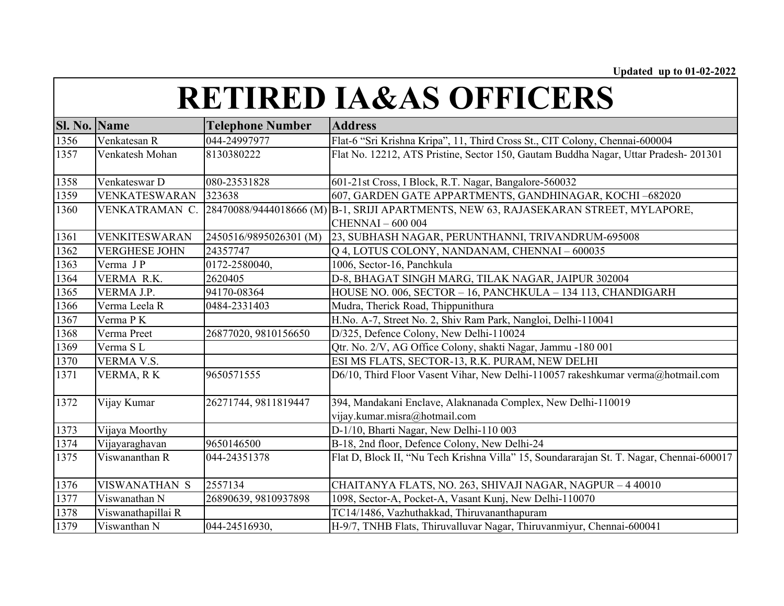| <b>Sl. No. Name</b> |                      | <b>Telephone Number</b> | <b>Address</b>                                                                                                   |
|---------------------|----------------------|-------------------------|------------------------------------------------------------------------------------------------------------------|
| 1356                | Venkatesan R         | 044-24997977            | Flat-6 "Sri Krishna Kripa", 11, Third Cross St., CIT Colony, Chennai-600004                                      |
| 1357                | Venkatesh Mohan      | 8130380222              | Flat No. 12212, ATS Pristine, Sector 150, Gautam Buddha Nagar, Uttar Pradesh-201301                              |
| 1358                | Venkateswar D        | 080-23531828            | 601-21st Cross, I Block, R.T. Nagar, Bangalore-560032                                                            |
| 1359                | VENKATESWARAN        | 323638                  | 607, GARDEN GATE APPARTMENTS, GANDHINAGAR, KOCHI-682020                                                          |
| 1360                | VENKATRAMAN C.       |                         | 28470088/9444018666 (M) B-1, SRIJI APARTMENTS, NEW 63, RAJASEKARAN STREET, MYLAPORE,<br><b>CHENNAI</b> - 600 004 |
| 1361                | VENKITESWARAN        | 2450516/9895026301 (M)  | 23, SUBHASH NAGAR, PERUNTHANNI, TRIVANDRUM-695008                                                                |
| 1362                | <b>VERGHESE JOHN</b> | 24357747                | Q 4, LOTUS COLONY, NANDANAM, CHENNAI - 600035                                                                    |
| 1363                | Verma JP             | 0172-2580040,           | 1006, Sector-16, Panchkula                                                                                       |
| 1364                | VERMA R.K.           | 2620405                 | D-8, BHAGAT SINGH MARG, TILAK NAGAR, JAIPUR 302004                                                               |
| 1365                | VERMA J.P.           | 94170-08364             | HOUSE NO. 006, SECTOR - 16, PANCHKULA - 134 113, CHANDIGARH                                                      |
| 1366                | Verma Leela R        | 0484-2331403            | Mudra, Therick Road, Thippunithura                                                                               |
| 1367                | Verma PK             |                         | H.No. A-7, Street No. 2, Shiv Ram Park, Nangloi, Delhi-110041                                                    |
| 1368                | Verma Preet          | 26877020, 9810156650    | D/325, Defence Colony, New Delhi-110024                                                                          |
| 1369                | Verma SL             |                         | Qtr. No. 2/V, AG Office Colony, shakti Nagar, Jammu -180 001                                                     |
| 1370                | VERMA V.S.           |                         | ESI MS FLATS, SECTOR-13, R.K. PURAM, NEW DELHI                                                                   |
| 1371                | VERMA, RK            | 9650571555              | D6/10, Third Floor Vasent Vihar, New Delhi-110057 rakeshkumar verma@hotmail.com                                  |
| 1372                | Vijay Kumar          | 26271744, 9811819447    | 394, Mandakani Enclave, Alaknanada Complex, New Delhi-110019                                                     |
|                     |                      |                         | vijay.kumar.misra@hotmail.com                                                                                    |
| 1373                | Vijaya Moorthy       |                         | D-1/10, Bharti Nagar, New Delhi-110 003                                                                          |
| 1374                | Vijayaraghavan       | 9650146500              | B-18, 2nd floor, Defence Colony, New Delhi-24                                                                    |
| 1375                | Viswananthan R       | 044-24351378            | Flat D, Block II, "Nu Tech Krishna Villa" 15, Soundararajan St. T. Nagar, Chennai-600017                         |
| 1376                | <b>VISWANATHAN S</b> | 2557134                 | CHAITANYA FLATS, NO. 263, SHIVAJI NAGAR, NAGPUR - 4 40010                                                        |
| 1377                | Viswanathan N        | 26890639, 9810937898    | 1098, Sector-A, Pocket-A, Vasant Kunj, New Delhi-110070                                                          |
| 1378                | Viswanathapillai R   |                         | TC14/1486, Vazhuthakkad, Thiruvananthapuram                                                                      |
| 1379                | Viswanthan N         | 044-24516930,           | H-9/7, TNHB Flats, Thiruvalluvar Nagar, Thiruvanmiyur, Chennai-600041                                            |